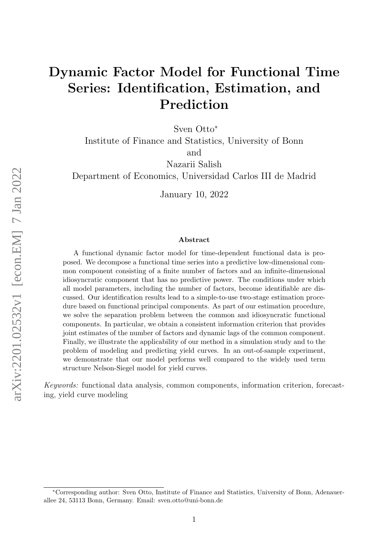# Dynamic Factor Model for Functional Time Series: Identification, Estimation, and Prediction

Sven Otto<sup>∗</sup>

Institute of Finance and Statistics, University of Bonn and

Nazarii Salish

Department of Economics, Universidad Carlos III de Madrid

January 10, 2022

#### Abstract

A functional dynamic factor model for time-dependent functional data is proposed. We decompose a functional time series into a predictive low-dimensional common component consisting of a finite number of factors and an infinite-dimensional idiosyncratic component that has no predictive power. The conditions under which all model parameters, including the number of factors, become identifiable are discussed. Our identification results lead to a simple-to-use two-stage estimation procedure based on functional principal components. As part of our estimation procedure, we solve the separation problem between the common and idiosyncratic functional components. In particular, we obtain a consistent information criterion that provides joint estimates of the number of factors and dynamic lags of the common component. Finally, we illustrate the applicability of our method in a simulation study and to the problem of modeling and predicting yield curves. In an out-of-sample experiment, we demonstrate that our model performs well compared to the widely used term structure Nelson-Siegel model for yield curves.

Keywords: functional data analysis, common components, information criterion, forecasting, yield curve modeling

<sup>∗</sup>Corresponding author: Sven Otto, Institute of Finance and Statistics, University of Bonn, Adenauerallee 24, 53113 Bonn, Germany. Email: sven.otto@uni-bonn.de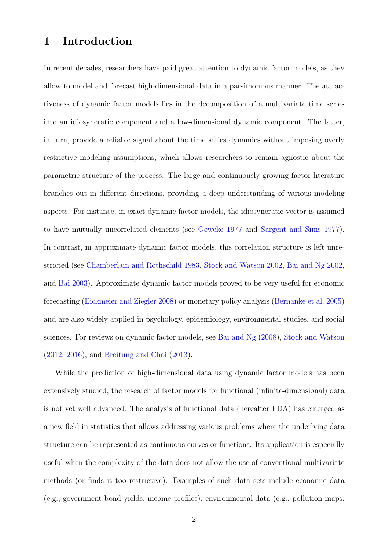# 1 Introduction

In recent decades, researchers have paid great attention to dynamic factor models, as they allow to model and forecast high-dimensional data in a parsimonious manner. The attractiveness of dynamic factor models lies in the decomposition of a multivariate time series into an idiosyncratic component and a low-dimensional dynamic component. The latter, in turn, provide a reliable signal about the time series dynamics without imposing overly restrictive modeling assumptions, which allows researchers to remain agnostic about the parametric structure of the process. The large and continuously growing factor literature branches out in different directions, providing a deep understanding of various modeling aspects. For instance, in exact dynamic factor models, the idiosyncratic vector is assumed to have mutually uncorrelated elements (see [Geweke](#page-29-0) [1977](#page-29-0) and [Sargent and Sims](#page-30-0) [1977\)](#page-30-0). In contrast, in approximate dynamic factor models, this correlation structure is left unrestricted (see [Chamberlain and Rothschild](#page-28-0) [1983,](#page-28-0) [Stock and Watson](#page-30-1) [2002,](#page-30-1) [Bai and Ng](#page-28-1) [2002,](#page-28-1) and [Bai](#page-28-2) [2003\)](#page-28-2). Approximate dynamic factor models proved to be very useful for economic forecasting [\(Eickmeier and Ziegler](#page-29-1) [2008\)](#page-29-1) or monetary policy analysis [\(Bernanke et al.](#page-28-3) [2005\)](#page-28-3) and are also widely applied in psychology, epidemiology, environmental studies, and social sciences. For reviews on dynamic factor models, see [Bai and Ng](#page-28-4) [\(2008\)](#page-28-4), [Stock and Watson](#page-30-2) [\(2012,](#page-30-2) [2016\)](#page-30-3), and [Breitung and Choi](#page-28-5) [\(2013\)](#page-28-5).

While the prediction of high-dimensional data using dynamic factor models has been extensively studied, the research of factor models for functional (infinite-dimensional) data is not yet well advanced. The analysis of functional data (hereafter FDA) has emerged as a new field in statistics that allows addressing various problems where the underlying data structure can be represented as continuous curves or functions. Its application is especially useful when the complexity of the data does not allow the use of conventional multivariate methods (or finds it too restrictive). Examples of such data sets include economic data (e.g., government bond yields, income profiles), environmental data (e.g., pollution maps,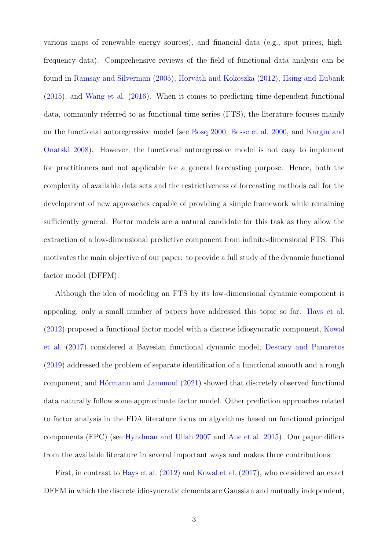various maps of renewable energy sources), and financial data (e.g., spot prices, highfrequency data). Comprehensive reviews of the field of functional data analysis can be found in [Ramsay and Silverman](#page-30-4) [\(2005\)](#page-30-4), Horváth and Kokoszka [\(2012\)](#page-29-2), [Hsing and Eubank](#page-29-3) [\(2015\)](#page-29-3), and [Wang et al.](#page-30-5) [\(2016\)](#page-30-5). When it comes to predicting time-dependent functional data, commonly referred to as functional time series (FTS), the literature focuses mainly on the functional autoregressive model (see [Bosq](#page-28-6) [2000,](#page-28-6) [Besse et al.](#page-28-7) [2000,](#page-28-7) and [Kargin and](#page-29-4) [Onatski](#page-29-4) [2008\)](#page-29-4). However, the functional autoregressive model is not easy to implement for practitioners and not applicable for a general forecasting purpose. Hence, both the complexity of available data sets and the restrictiveness of forecasting methods call for the development of new approaches capable of providing a simple framework while remaining sufficiently general. Factor models are a natural candidate for this task as they allow the extraction of a low-dimensional predictive component from infinite-dimensional FTS. This motivates the main objective of our paper: to provide a full study of the dynamic functional factor model (DFFM).

Although the idea of modeling an FTS by its low-dimensional dynamic component is appealing, only a small number of papers have addressed this topic so far. [Hays et al.](#page-29-5) [\(2012\)](#page-29-5) proposed a functional factor model with a discrete idiosyncratic component, [Kowal](#page-29-6) [et al.](#page-29-6) [\(2017\)](#page-29-6) considered a Bayesian functional dynamic model, [Descary and Panaretos](#page-28-8) [\(2019\)](#page-28-8) addressed the problem of separate identification of a functional smooth and a rough component, and Hörmann and Jammoul [\(2021\)](#page-29-7) showed that discretely observed functional data naturally follow some approximate factor model. Other prediction approaches related to factor analysis in the FDA literature focus on algorithms based on functional principal components (FPC) (see [Hyndman and Ullah](#page-29-8) [2007](#page-29-8) and [Aue et al.](#page-28-9) [2015\)](#page-28-9). Our paper differs from the available literature in several important ways and makes three contributions.

First, in contrast to [Hays et al.](#page-29-5) [\(2012\)](#page-29-5) and [Kowal et al.](#page-29-6) [\(2017\)](#page-29-6), who considered an exact DFFM in which the discrete idiosyncratic elements are Gaussian and mutually independent,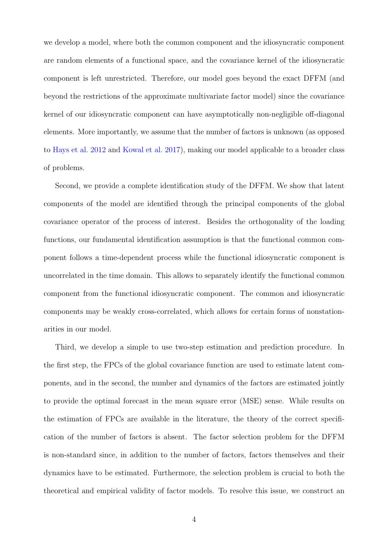we develop a model, where both the common component and the idiosyncratic component are random elements of a functional space, and the covariance kernel of the idiosyncratic component is left unrestricted. Therefore, our model goes beyond the exact DFFM (and beyond the restrictions of the approximate multivariate factor model) since the covariance kernel of our idiosyncratic component can have asymptotically non-negligible off-diagonal elements. More importantly, we assume that the number of factors is unknown (as opposed to [Hays et al.](#page-29-5) [2012](#page-29-5) and [Kowal et al.](#page-29-6) [2017\)](#page-29-6), making our model applicable to a broader class of problems.

Second, we provide a complete identification study of the DFFM. We show that latent components of the model are identified through the principal components of the global covariance operator of the process of interest. Besides the orthogonality of the loading functions, our fundamental identification assumption is that the functional common component follows a time-dependent process while the functional idiosyncratic component is uncorrelated in the time domain. This allows to separately identify the functional common component from the functional idiosyncratic component. The common and idiosyncratic components may be weakly cross-correlated, which allows for certain forms of nonstationarities in our model.

Third, we develop a simple to use two-step estimation and prediction procedure. In the first step, the FPCs of the global covariance function are used to estimate latent components, and in the second, the number and dynamics of the factors are estimated jointly to provide the optimal forecast in the mean square error (MSE) sense. While results on the estimation of FPCs are available in the literature, the theory of the correct specification of the number of factors is absent. The factor selection problem for the DFFM is non-standard since, in addition to the number of factors, factors themselves and their dynamics have to be estimated. Furthermore, the selection problem is crucial to both the theoretical and empirical validity of factor models. To resolve this issue, we construct an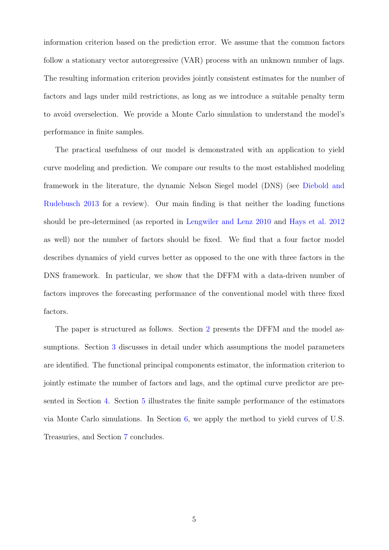information criterion based on the prediction error. We assume that the common factors follow a stationary vector autoregressive (VAR) process with an unknown number of lags. The resulting information criterion provides jointly consistent estimates for the number of factors and lags under mild restrictions, as long as we introduce a suitable penalty term to avoid overselection. We provide a Monte Carlo simulation to understand the model's performance in finite samples.

The practical usefulness of our model is demonstrated with an application to yield curve modeling and prediction. We compare our results to the most established modeling framework in the literature, the dynamic Nelson Siegel model (DNS) (see [Diebold and](#page-29-9) [Rudebusch](#page-29-9) [2013](#page-29-9) for a review). Our main finding is that neither the loading functions should be pre-determined (as reported in [Lengwiler and Lenz](#page-29-10) [2010](#page-29-10) and [Hays et al.](#page-29-5) [2012](#page-29-5) as well) nor the number of factors should be fixed. We find that a four factor model describes dynamics of yield curves better as opposed to the one with three factors in the DNS framework. In particular, we show that the DFFM with a data-driven number of factors improves the forecasting performance of the conventional model with three fixed factors.

The paper is structured as follows. Section [2](#page-5-0) presents the DFFM and the model assumptions. Section [3](#page-9-0) discusses in detail under which assumptions the model parameters are identified. The functional principal components estimator, the information criterion to jointly estimate the number of factors and lags, and the optimal curve predictor are presented in Section [4.](#page-12-0) Section [5](#page-21-0) illustrates the finite sample performance of the estimators via Monte Carlo simulations. In Section [6,](#page-22-0) we apply the method to yield curves of U.S. Treasuries, and Section [7](#page-26-0) concludes.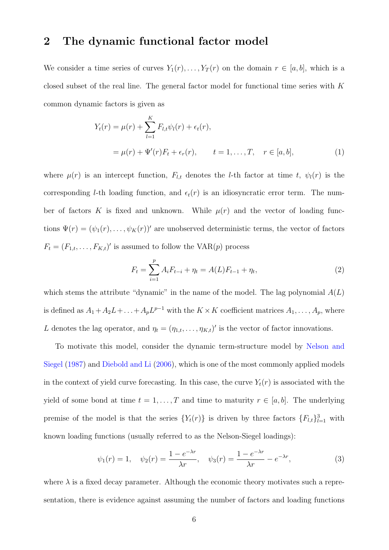### <span id="page-5-0"></span>2 The dynamic functional factor model

We consider a time series of curves  $Y_1(r), \ldots, Y_T(r)$  on the domain  $r \in [a, b]$ , which is a closed subset of the real line. The general factor model for functional time series with K common dynamic factors is given as

$$
Y_t(r) = \mu(r) + \sum_{l=1}^K F_{l,t} \psi_l(r) + \epsilon_t(r),
$$
  
=  $\mu(r) + \Psi'(r) F_t + \epsilon_r(r), \qquad t = 1, ..., T, \quad r \in [a, b],$  (1)

where  $\mu(r)$  is an intercept function,  $F_{l,t}$  denotes the *l*-th factor at time t,  $\psi_l(r)$  is the corresponding *l*-th loading function, and  $\epsilon_t(r)$  is an idiosyncratic error term. The number of factors K is fixed and unknown. While  $\mu(r)$  and the vector of loading functions  $\Psi(r) = (\psi_1(r), \ldots, \psi_K(r))'$  are unobserved deterministic terms, the vector of factors  $F_t = (F_{1,t}, \ldots, F_{K,t})'$  is assumed to follow the VAR $(p)$  process

<span id="page-5-2"></span><span id="page-5-1"></span>
$$
F_t = \sum_{i=1}^p A_i F_{t-i} + \eta_t = A(L) F_{t-1} + \eta_t,
$$
\n(2)

which stems the attribute "dynamic" in the name of the model. The lag polynomial  $A(L)$ is defined as  $A_1 + A_2 L + \ldots + A_p L^{p-1}$  with the  $K \times K$  coefficient matrices  $A_1, \ldots, A_p$ , where L denotes the lag operator, and  $\eta_t = (\eta_{1,t}, \dots, \eta_{K,t})'$  is the vector of factor innovations.

To motivate this model, consider the dynamic term-structure model by [Nelson and](#page-30-6) [Siegel](#page-30-6) [\(1987\)](#page-30-6) and [Diebold and Li](#page-28-10) [\(2006\)](#page-28-10), which is one of the most commonly applied models in the context of yield curve forecasting. In this case, the curve  $Y_t(r)$  is associated with the yield of some bond at time  $t = 1, ..., T$  and time to maturity  $r \in [a, b]$ . The underlying premise of the model is that the series  ${Y_t(r)}$  is driven by three factors  ${F_{l,t}}_{l=1}^3$  with known loading functions (usually referred to as the Nelson-Siegel loadings):

<span id="page-5-3"></span>
$$
\psi_1(r) = 1, \quad \psi_2(r) = \frac{1 - e^{-\lambda r}}{\lambda r}, \quad \psi_3(r) = \frac{1 - e^{-\lambda r}}{\lambda r} - e^{-\lambda r},
$$
\n(3)

where  $\lambda$  is a fixed decay parameter. Although the economic theory motivates such a representation, there is evidence against assuming the number of factors and loading functions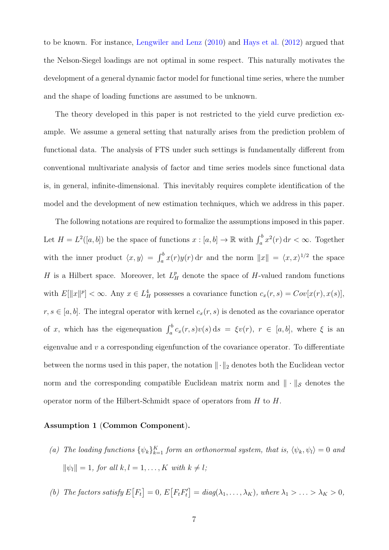to be known. For instance, [Lengwiler and Lenz](#page-29-10) [\(2010\)](#page-29-10) and [Hays et al.](#page-29-5) [\(2012\)](#page-29-5) argued that the Nelson-Siegel loadings are not optimal in some respect. This naturally motivates the development of a general dynamic factor model for functional time series, where the number and the shape of loading functions are assumed to be unknown.

The theory developed in this paper is not restricted to the yield curve prediction example. We assume a general setting that naturally arises from the prediction problem of functional data. The analysis of FTS under such settings is fundamentally different from conventional multivariate analysis of factor and time series models since functional data is, in general, infinite-dimensional. This inevitably requires complete identification of the model and the development of new estimation techniques, which we address in this paper.

The following notations are required to formalize the assumptions imposed in this paper. Let  $H = L^2([a, b])$  be the space of functions  $x : [a, b] \to \mathbb{R}$  with  $\int_a^b x^2(r) dr < \infty$ . Together with the inner product  $\langle x, y \rangle = \int_a^b x(r)y(r) dr$  and the norm  $||x|| = \langle x, x \rangle^{1/2}$  the space H is a Hilbert space. Moreover, let  $L_H^p$  denote the space of H-valued random functions with  $E[\Vert x \Vert^p] < \infty$ . Any  $x \in L_H^4$  possesses a covariance function  $c_x(r, s) = Cov[x(r), x(s)],$  $r, s \in [a, b]$ . The integral operator with kernel  $c_x(r, s)$  is denoted as the covariance operator of x, which has the eigenequation  $\int_a^b c_x(r,s)v(s) ds = \xi v(r)$ ,  $r \in [a, b]$ , where  $\xi$  is an eigenvalue and  $v$  a corresponding eigenfunction of the covariance operator. To differentiate between the norms used in this paper, the notation  $\lVert \cdot \rVert_2$  denotes both the Euclidean vector norm and the corresponding compatible Euclidean matrix norm and  $\|\cdot\|_{\mathcal{S}}$  denotes the operator norm of the Hilbert-Schmidt space of operators from H to H.

#### <span id="page-6-0"></span>Assumption 1 (Common Component).

- (a) The loading functions  $\{\psi_k\}_{k=1}^K$  form an orthonormal system, that is,  $\langle \psi_k, \psi_l \rangle = 0$  and  $\|\psi_l\| = 1$ , for all  $k, l = 1, ..., K$  with  $k \neq l$ ;
- (b) The factors satisfy  $E[F_t] = 0, E[F_t F_t'] = diag(\lambda_1, ..., \lambda_K)$ , where  $\lambda_1 > ... > \lambda_K > 0$ ,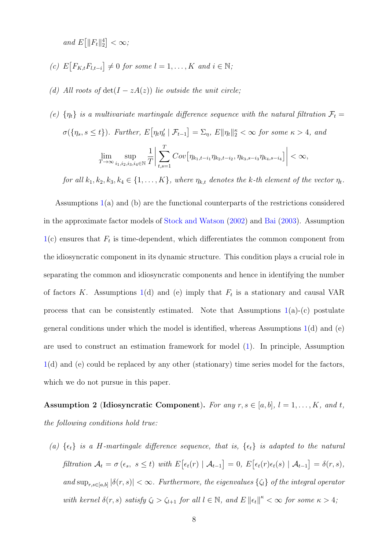and  $E\left[\|F_t\|_2^4\right] < \infty$ ;

- (c)  $E\big[F_{K,t}F_{l,t-i}\big] \neq 0$  for some  $l = 1, ..., K$  and  $i \in \mathbb{N}$ ;
- (d) All roots of  $det(I zA(z))$  lie outside the unit circle;
- (e)  $\{\eta_t\}$  is a multivariate martingale difference sequence with the natural filtration  $\mathcal{F}_t$  =  $\sigma(\{\eta_s, s \le t\})$ . Further,  $E[\eta_t \eta'_t | \mathcal{F}_{t-1}] = \Sigma_{\eta}$ ,  $E\|\eta_t\|_2^{\kappa} < \infty$  for some  $\kappa > 4$ , and  $\lim_{T\to\infty} \sup_{i_1,i_2,i_3}$  $\overline{i_1,i_2,i_3,i_4}$ ∈N 1 T  $\begin{array}{c} \begin{array}{c} \begin{array}{c} \end{array}\\ \begin{array}{c} \end{array} \end{array} \end{array}$  $\sum$ T  $_{t,s=1}$  $Cov\Big[\eta_{k_1,t-i_1}\eta_{k_2,t-i_2},\eta_{k_3,s-i_3}\eta_{k_4,s-i_4}\Big]\Big|$  $< \infty$ ,

for all  $k_1, k_2, k_3, k_4 \in \{1, ..., K\}$ , where  $\eta_{k,t}$  denotes the k-th element of the vector  $\eta_t$ .

Assumptions [1\(](#page-6-0)a) and (b) are the functional counterparts of the restrictions considered in the approximate factor models of [Stock and Watson](#page-30-1) [\(2002\)](#page-30-1) and [Bai](#page-28-2) [\(2003\)](#page-28-2). Assumption  $1(c)$  $1(c)$  ensures that  $F_t$  is time-dependent, which differentiates the common component from the idiosyncratic component in its dynamic structure. This condition plays a crucial role in separating the common and idiosyncratic components and hence in identifying the number of factors K. Assumptions [1\(](#page-6-0)d) and (e) imply that  $F_t$  is a stationary and causal VAR process that can be consistently estimated. Note that Assumptions  $1(a)-(c)$  $1(a)-(c)$  postulate general conditions under which the model is identified, whereas Assumptions  $1(d)$  $1(d)$  and  $(e)$ are used to construct an estimation framework for model [\(1\)](#page-5-1). In principle, Assumption [1\(](#page-6-0)d) and (e) could be replaced by any other (stationary) time series model for the factors, which we do not pursue in this paper.

<span id="page-7-0"></span>Assumption 2 (Idiosyncratic Component). For any  $r, s \in [a, b]$ ,  $l = 1, \ldots, K$ , and t, the following conditions hold true:

(a)  $\{\epsilon_t\}$  is a H-martingale difference sequence, that is,  $\{\epsilon_t\}$  is adapted to the natural filtration  $A_t = \sigma(\epsilon_s, s \leq t)$  with  $E[\epsilon_t(r) | A_{t-1}] = 0$ ,  $E[\epsilon_t(r)\epsilon_t(s) | A_{t-1}] = \delta(r, s)$ , and  $\sup_{r,s\in[a,b]}|\delta(r,s)|<\infty$ . Furthermore, the eigenvalues  $\{\zeta_l\}$  of the integral operator with kernel  $\delta(r,s)$  satisfy  $\zeta_l > \zeta_{l+1}$  for all  $l \in \mathbb{N}$ , and  $E ||\epsilon_t||^{\kappa} < \infty$  for some  $\kappa > 4$ ;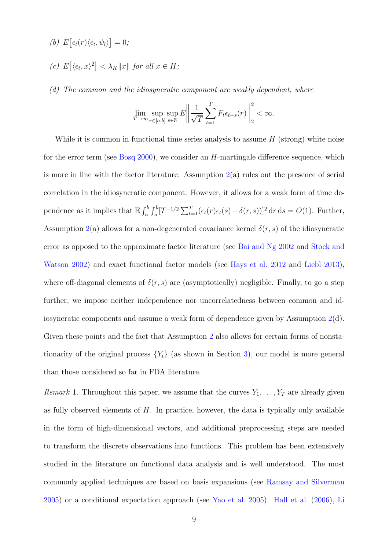- (b)  $E\big[\epsilon_t(r)\langle \epsilon_t, \psi_l \rangle\big] = 0;$
- (c)  $E\left[\langle \epsilon_t, x \rangle^2\right] < \lambda_K ||x||$  for all  $x \in H$ ;
- (d) The common and the idiosyncratic component are weakly dependent, where

$$
\lim_{T \to \infty} \sup_{r \in [a,b]} \sup_{s \in \mathbb{N}} E \left\| \frac{1}{\sqrt{T}} \sum_{t=1}^T F_t \epsilon_{t-s}(r) \right\|_2^2 < \infty.
$$

While it is common in functional time series analysis to assume  $H$  (strong) white noise for the error term (see [Bosq](#page-28-6) [2000\)](#page-28-6), we consider an H-martingale difference sequence, which is more in line with the factor literature. Assumption  $2(a)$  $2(a)$  rules out the presence of serial correlation in the idiosyncratic component. However, it allows for a weak form of time dependence as it implies that  $\mathbb{E} \int_a^b \int_a^b [T^{-1/2} \sum_{t=1}^T (\epsilon_t(r) \epsilon_t(s) - \delta(r, s))]^2 dr ds = O(1)$ . Further, Assumption [2\(](#page-7-0)a) allows for a non-degenerated covariance kernel  $\delta(r, s)$  of the idiosyncratic error as opposed to the approximate factor literature (see [Bai and Ng](#page-28-1) [2002](#page-28-1) and [Stock and](#page-30-1) [Watson](#page-30-1) [2002\)](#page-30-1) and exact functional factor models (see [Hays et al.](#page-29-5) [2012](#page-29-5) and [Liebl](#page-30-7) [2013\)](#page-30-7), where off-diagonal elements of  $\delta(r, s)$  are (asymptotically) negligible. Finally, to go a step further, we impose neither independence nor uncorrelatedness between common and idiosyncratic components and assume a weak form of dependence given by Assumption  $2(d)$  $2(d)$ . Given these points and the fact that Assumption [2](#page-7-0) also allows for certain forms of nonstationarity of the original process  ${Y_t}$  (as shown in Section [3\)](#page-9-0), our model is more general than those considered so far in FDA literature.

<span id="page-8-0"></span>Remark 1. Throughout this paper, we assume that the curves  $Y_1, \ldots, Y_T$  are already given as fully observed elements of  $H$ . In practice, however, the data is typically only available in the form of high-dimensional vectors, and additional preprocessing steps are needed to transform the discrete observations into functions. This problem has been extensively studied in the literature on functional data analysis and is well understood. The most commonly applied techniques are based on basis expansions (see [Ramsay and Silverman](#page-30-4) [2005\)](#page-30-4) or a conditional expectation approach (see [Yao et al.](#page-30-8) [2005\)](#page-30-8). [Hall et al.](#page-29-11) [\(2006\)](#page-29-11), [Li](#page-30-9)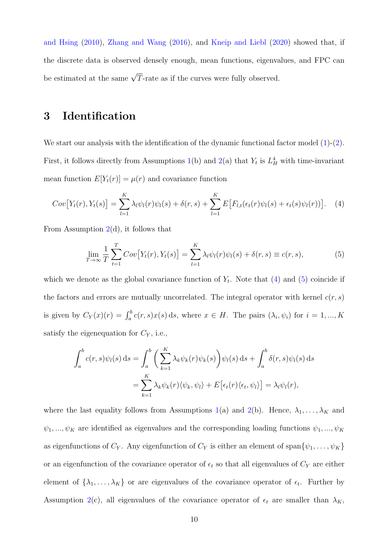[and Hsing](#page-30-9) [\(2010\)](#page-30-9), [Zhang and Wang](#page-30-10) [\(2016\)](#page-30-10), and [Kneip and Liebl](#page-29-12) [\(2020\)](#page-29-12) showed that, if the discrete data is observed densely enough, mean functions, eigenvalues, and FPC can be estimated at the same  $\sqrt{T}$ -rate as if the curves were fully observed.

# <span id="page-9-0"></span>3 Identification

We start our analysis with the identification of the dynamic functional factor model  $(1)-(2)$  $(1)-(2)$ . First, it follows directly from Assumptions [1\(](#page-6-0)b) and [2\(](#page-7-0)a) that  $Y_t$  is  $L_H^4$  with time-invariant mean function  $E[Y_t(r)] = \mu(r)$  and covariance function

<span id="page-9-1"></span>
$$
Cov[Y_t(r), Y_t(s)] = \sum_{l=1}^K \lambda_l \psi_l(r) \psi_l(s) + \delta(r, s) + \sum_{l=1}^K E\big[F_{l,t}(\epsilon_t(r) \psi_l(s) + \epsilon_t(s) \psi_l(r))\big]. \tag{4}
$$

From Assumption  $2(d)$  $2(d)$ , it follows that

<span id="page-9-2"></span>
$$
\lim_{T \to \infty} \frac{1}{T} \sum_{t=1}^{T} Cov[Y_t(r), Y_t(s)] = \sum_{l=1}^{K} \lambda_l \psi_l(r) \psi_l(s) + \delta(r, s) \equiv c(r, s),
$$
\n(5)

which we denote as the global covariance function of  $Y_t$ . Note that [\(4\)](#page-9-1) and [\(5\)](#page-9-2) coincide if the factors and errors are mutually uncorrelated. The integral operator with kernel  $c(r, s)$ is given by  $C_Y(x)(r) = \int_a^b c(r,s)x(s) ds$ , where  $x \in H$ . The pairs  $(\lambda_i, \psi_i)$  for  $i = 1, ..., K$ satisfy the eigenequation for  $C_Y$ , i.e.,

$$
\int_{a}^{b} c(r,s)\psi_{l}(s) ds = \int_{a}^{b} \left(\sum_{k=1}^{K} \lambda_{k} \psi_{k}(r)\psi_{k}(s)\right) \psi_{l}(s) ds + \int_{a}^{b} \delta(r,s)\psi_{l}(s) ds
$$

$$
= \sum_{k=1}^{K} \lambda_{k} \psi_{k}(r) \langle \psi_{k}, \psi_{l} \rangle + E\big[\epsilon_{t}(r)\langle \epsilon_{t}, \psi_{l} \rangle\big] = \lambda_{l} \psi_{l}(r),
$$

where the last equality follows from Assumptions [1\(](#page-6-0)a) and [2\(](#page-7-0)b). Hence,  $\lambda_1, \ldots, \lambda_K$  and  $\psi_1,...,\psi_K$  are identified as eigenvalues and the corresponding loading functions  $\psi_1,...,\psi_K$ as eigenfunctions of  $C_Y$ . Any eigenfunction of  $C_Y$  is either an element of span $\{\psi_1, \ldots, \psi_K\}$ or an eigenfunction of the covariance operator of  $\epsilon_t$  so that all eigenvalues of  $C_Y$  are either element of  $\{\lambda_1, \ldots, \lambda_K\}$  or are eigenvalues of the covariance operator of  $\epsilon_t$ . Further by Assumption [2\(](#page-7-0)c), all eigenvalues of the covariance operator of  $\epsilon_t$  are smaller than  $\lambda_K$ ,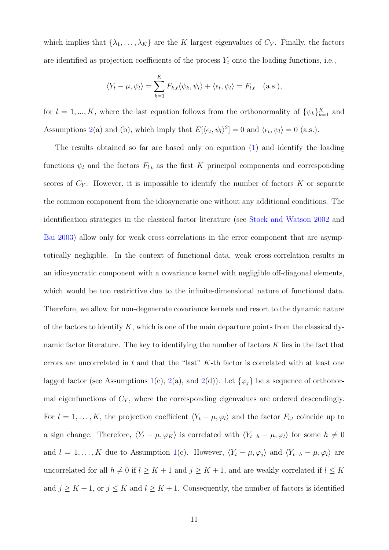which implies that  $\{\lambda_1, \ldots, \lambda_K\}$  are the K largest eigenvalues of  $C_Y$ . Finally, the factors are identified as projection coefficients of the process  $Y_t$  onto the loading functions, i.e.,

$$
\langle Y_t - \mu, \psi_l \rangle = \sum_{k=1}^K F_{k,t} \langle \psi_k, \psi_l \rangle + \langle \epsilon_t, \psi_l \rangle = F_{l,t} \quad \text{(a.s.),}
$$

for  $l = 1, ..., K$ , where the last equation follows from the orthonormality of  $\{\psi_k\}_{k=1}^K$  and Assumptions [2\(](#page-7-0)a) and (b), which imply that  $E[\langle \epsilon_t, \psi_l \rangle^2] = 0$  and  $\langle \epsilon_t, \psi_l \rangle = 0$  (a.s.).

The results obtained so far are based only on equation [\(1\)](#page-5-1) and identify the loading functions  $\psi_l$  and the factors  $F_{l,t}$  as the first K principal components and corresponding scores of  $C_Y$ . However, it is impossible to identify the number of factors  $K$  or separate the common component from the idiosyncratic one without any additional conditions. The identification strategies in the classical factor literature (see [Stock and Watson](#page-30-1) [2002](#page-30-1) and [Bai](#page-28-2) [2003\)](#page-28-2) allow only for weak cross-correlations in the error component that are asymptotically negligible. In the context of functional data, weak cross-correlation results in an idiosyncratic component with a covariance kernel with negligible off-diagonal elements, which would be too restrictive due to the infinite-dimensional nature of functional data. Therefore, we allow for non-degenerate covariance kernels and resort to the dynamic nature of the factors to identify  $K$ , which is one of the main departure points from the classical dynamic factor literature. The key to identifying the number of factors  $K$  lies in the fact that errors are uncorrelated in  $t$  and that the "last"  $K$ -th factor is correlated with at least one lagged factor (see Assumptions [1\(](#page-6-0)c), [2\(](#page-7-0)a), and 2(d)). Let  $\{\varphi_j\}$  be a sequence of orthonormal eigenfunctions of  $C_Y$ , where the corresponding eigenvalues are ordered descendingly. For  $l = 1, ..., K$ , the projection coefficient  $\langle Y_t - \mu, \varphi_l \rangle$  and the factor  $F_{l,t}$  coincide up to a sign change. Therefore,  $\langle Y_t - \mu, \varphi_K \rangle$  is correlated with  $\langle Y_{t-h} - \mu, \varphi_l \rangle$  for some  $h \neq 0$ and  $l = 1, ..., K$  due to Assumption [1\(](#page-6-0)c). However,  $\langle Y_t - \mu, \varphi_j \rangle$  and  $\langle Y_{t-h} - \mu, \varphi_l \rangle$  are uncorrelated for all  $h \neq 0$  if  $l \geq K + 1$  and  $j \geq K + 1$ , and are weakly correlated if  $l \leq K$ and  $j \geq K + 1$ , or  $j \leq K$  and  $l \geq K + 1$ . Consequently, the number of factors is identified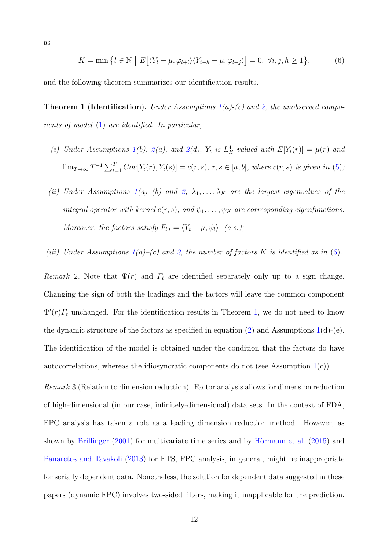<span id="page-11-0"></span>
$$
K = \min\left\{l \in \mathbb{N} \mid E\big[\langle Y_t - \mu, \varphi_{l+i} \rangle \langle Y_{t-h} - \mu, \varphi_{l+j} \rangle\big] = 0, \ \forall i, j, h \ge 1\right\},\tag{6}
$$

<span id="page-11-1"></span>and the following theorem summarizes our identification results.

**Theorem 1 (Identification).** Under Assumptions  $1(a)-(c)$  $1(a)-(c)$  and [2,](#page-7-0) the unobserved components of model [\(1\)](#page-5-1) are identified. In particular,

- (i) Under Assumptions [1\(](#page-6-0)b), [2\(](#page-7-0)a), and 2(d),  $Y_t$  is  $L_H^4$ -valued with  $E[Y_t(r)] = \mu(r)$  and  $\lim_{T\to\infty} T^{-1}\sum_{t=1}^T Cov[Y_t(r),Y_t(s)] = c(r,s), r,s \in [a,b],$  where  $c(r,s)$  is given in [\(5\)](#page-9-2);
- (ii) Under Assumptions  $1(a)$  $1(a)$ –(b) and [2,](#page-7-0)  $\lambda_1, \ldots, \lambda_K$  are the largest eigenvalues of the integral operator with kernel  $c(r, s)$ , and  $\psi_1, \ldots, \psi_K$  are corresponding eigenfunctions. Moreover, the factors satisfy  $F_{l,t} = \langle Y_t - \mu, \psi_l \rangle$ , (a.s.);
- (iii) Under Assumptions  $1(a)-(c)$  $1(a)-(c)$  and [2,](#page-7-0) the number of factors K is identified as in [\(6\)](#page-11-0).

Remark 2. Note that  $\Psi(r)$  and  $F_t$  are identified separately only up to a sign change. Changing the sign of both the loadings and the factors will leave the common component  $\Psi'(r)F_t$  unchanged. For the identification results in Theorem [1,](#page-11-1) we do not need to know the dynamic structure of the factors as specified in equation  $(2)$  and Assumptions [1\(](#page-6-0)d)-(e). The identification of the model is obtained under the condition that the factors do have autocorrelations, whereas the idiosyncratic components do not (see Assumption [1\(](#page-6-0)c)).

Remark 3 (Relation to dimension reduction). Factor analysis allows for dimension reduction of high-dimensional (in our case, infinitely-dimensional) data sets. In the context of FDA, FPC analysis has taken a role as a leading dimension reduction method. However, as shown by [Brillinger](#page-28-11)  $(2001)$  for multivariate time series and by Hörmann et al.  $(2015)$  and [Panaretos and Tavakoli](#page-30-11) [\(2013\)](#page-30-11) for FTS, FPC analysis, in general, might be inappropriate for serially dependent data. Nonetheless, the solution for dependent data suggested in these papers (dynamic FPC) involves two-sided filters, making it inapplicable for the prediction.

as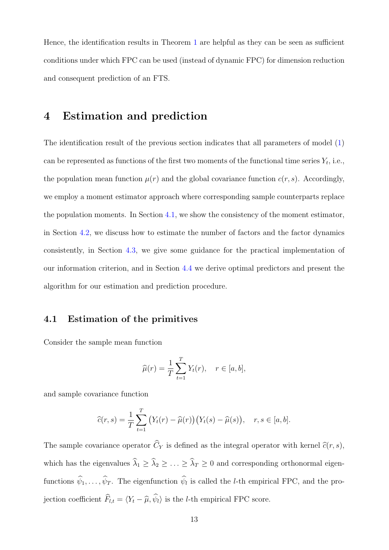Hence, the identification results in Theorem [1](#page-11-1) are helpful as they can be seen as sufficient conditions under which FPC can be used (instead of dynamic FPC) for dimension reduction and consequent prediction of an FTS.

### <span id="page-12-0"></span>4 Estimation and prediction

The identification result of the previous section indicates that all parameters of model [\(1\)](#page-5-1) can be represented as functions of the first two moments of the functional time series  $Y_t$ , i.e., the population mean function  $\mu(r)$  and the global covariance function  $c(r, s)$ . Accordingly, we employ a moment estimator approach where corresponding sample counterparts replace the population moments. In Section [4.1,](#page-12-1) we show the consistency of the moment estimator, in Section [4.2,](#page-14-0) we discuss how to estimate the number of factors and the factor dynamics consistently, in Section [4.3,](#page-17-0) we give some guidance for the practical implementation of our information criterion, and in Section [4.4](#page-20-0) we derive optimal predictors and present the algorithm for our estimation and prediction procedure.

### <span id="page-12-1"></span>4.1 Estimation of the primitives

Consider the sample mean function

$$
\widehat{\mu}(r) = \frac{1}{T} \sum_{t=1}^{T} Y_t(r), \quad r \in [a, b],
$$

and sample covariance function

$$
\widehat{c}(r,s) = \frac{1}{T} \sum_{t=1}^{T} (Y_t(r) - \widehat{\mu}(r)) (Y_t(s) - \widehat{\mu}(s)), \quad r, s \in [a, b].
$$

The sample covariance operator  $\widehat{C}_Y$  is defined as the integral operator with kernel  $\widehat{c}(r, s)$ , which has the eigenvalues  $\widehat{\lambda}_1 \geq \widehat{\lambda}_2 \geq \ldots \geq \widehat{\lambda}_T \geq 0$  and corresponding orthonormal eigenfunctions  $\psi_1, \ldots, \psi_T$ . The eigenfunction  $\psi_l$  is called the *l*-th empirical FPC, and the projection coefficient  $\widehat{F}_{l,t} = \langle Y_t - \widehat{\mu}, \widehat{\psi}_l \rangle$  is the *l*-th empirical FPC score.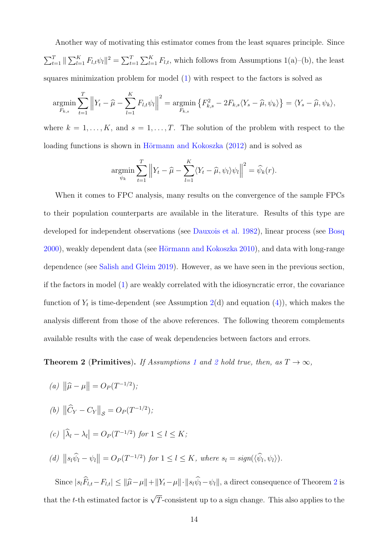Another way of motivating this estimator comes from the least squares principle. Since  $\sum_{t=1}^T \|\sum_{l=1}^K F_{l,t}\psi_l\|^2 = \sum_{t=1}^T \sum_{l=1}^K F_{l,t}$ , which follows from Assumptions 1(a)–(b), the least squares minimization problem for model [\(1\)](#page-5-1) with respect to the factors is solved as

$$
\underset{F_{k,s}}{\operatorname{argmin}} \sum_{t=1}^{T} \left\| Y_t - \widehat{\mu} - \sum_{l=1}^{K} F_{l,t} \psi_l \right\|^2 = \underset{F_{k,s}}{\operatorname{argmin}} \left\{ F_{k,s}^2 - 2F_{k,s} \langle Y_s - \widehat{\mu}, \psi_k \rangle \right\} = \langle Y_s - \widehat{\mu}, \psi_k \rangle,
$$

where  $k = 1, ..., K$ , and  $s = 1, ..., T$ . The solution of the problem with respect to the loading functions is shown in Hörmann and Kokoszka  $(2012)$  and is solved as

$$
\underset{\psi_k}{\operatorname{argmin}} \sum_{t=1}^T \left\| Y_t - \widehat{\mu} - \sum_{l=1}^K \langle Y_t - \widehat{\mu}, \psi_l \rangle \psi_l \right\|^2 = \widehat{\psi}_k(r).
$$

When it comes to FPC analysis, many results on the convergence of the sample FPCs to their population counterparts are available in the literature. Results of this type are developed for independent observations (see [Dauxois et al.](#page-28-12) [1982\)](#page-28-12), linear process (see [Bosq](#page-28-6) [2000\)](#page-28-6), weakly dependent data (see Hörmann and Kokoszka [2010\)](#page-29-15), and data with long-range dependence (see [Salish and Gleim](#page-30-12) [2019\)](#page-30-12). However, as we have seen in the previous section, if the factors in model [\(1\)](#page-5-1) are weakly correlated with the idiosyncratic error, the covariance function of  $Y_t$  is time-dependent (see Assumption [2\(](#page-7-0)d) and equation [\(4\)](#page-9-1)), which makes the analysis different from those of the above references. The following theorem complements available results with the case of weak dependencies between factors and errors.

<span id="page-13-0"></span>**Theorem [2](#page-7-0)** (Primitives). If Assumptions [1](#page-6-0) and 2 hold true, then, as  $T \to \infty$ ,

(a) 
$$
\|\hat{\mu} - \mu\| = O_P(T^{-1/2});
$$

(b) 
$$
\|\widehat{C}_Y - C_Y\|_{\mathcal{S}} = O_P(T^{-1/2});
$$

$$
(c) |\widehat{\lambda}_l - \lambda_l| = O_P(T^{-1/2}) \text{ for } 1 \le l \le K;
$$

(d) 
$$
||s_l\hat{\psi}_l - \psi_l|| = O_P(T^{-1/2})
$$
 for  $1 \le l \le K$ , where  $s_l = sign(\langle \hat{\psi}_l, \psi_l \rangle)$ .

Since  $|s_l\hat{F}_{l,t}-F_{l,t}| \leq ||\hat{\mu}-\mu||+||Y_t-\mu|| \cdot ||s_l\hat{\psi}_l-\psi_l||$ , a direct consequence of Theorem [2](#page-13-0) is that the t-th estimated factor is  $\sqrt{T}$ -consistent up to a sign change. This also applies to the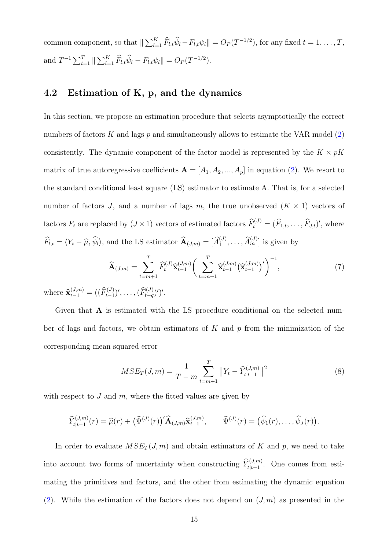common component, so that  $\|\sum_{l=1}^K \widehat{F}_{l,t}\widehat{\psi}_l - F_{l,t}\psi_l\| = O_P(T^{-1/2})$ , for any fixed  $t = 1, \ldots, T$ , and  $T^{-1} \sum_{t=1}^{T} \|\sum_{l=1}^{K} \widehat{F}_{l,t} \widehat{\psi}_l - F_{l,t} \psi_l \| = O_P(T^{-1/2}).$ 

### <span id="page-14-0"></span>4.2 Estimation of K, p, and the dynamics

In this section, we propose an estimation procedure that selects asymptotically the correct numbers of factors K and lags p and simultaneously allows to estimate the VAR model  $(2)$ consistently. The dynamic component of the factor model is represented by the  $K \times pK$ matrix of true autoregressive coefficients  $\mathbf{A} = [A_1, A_2, ..., A_p]$  in equation [\(2\)](#page-5-2). We resort to the standard conditional least square (LS) estimator to estimate A. That is, for a selected number of factors J, and a number of lags m, the true unobserved  $(K \times 1)$  vectors of factors  $F_t$  are replaced by  $(J \times 1)$  vectors of estimated factors  $\widehat{F}_t^{(J)} = (\widehat{F}_{1,t}, \ldots, \widehat{F}_{J,t})'$ , where  $\widehat{F}_{l,t} = \langle Y_t - \widehat{\mu}, \widehat{\psi}_l \rangle$ , and the LS estimator  $\widehat{A}_{(J,m)} = [\widehat{A}_1^{(J)}, \ldots, \widehat{A}_m^{(J)}]$  is given by

<span id="page-14-2"></span>
$$
\widehat{\mathbf{A}}_{(J,m)} = \sum_{t=m+1}^{T} \widehat{F}_{t}^{(J)} \widehat{\mathbf{x}}_{t-1}^{(J,m)} \bigg( \sum_{t=m+1}^{T} \widehat{\mathbf{x}}_{t-1}^{(J,m)} \big(\widehat{\mathbf{x}}_{t-1}^{(J,m)}\big)'\bigg)^{-1},\tag{7}
$$

where  $\widehat{\mathbf{x}}_{t-1}^{(J,m)} = ((\widehat{F}_{t-1}^{(J)})', \ldots, (\widehat{F}_{t-q}^{(J)})')'.$ 

Given that **A** is estimated with the LS procedure conditional on the selected number of lags and factors, we obtain estimators of  $K$  and  $p$  from the minimization of the corresponding mean squared error

<span id="page-14-1"></span>
$$
MSE_T(J,m) = \frac{1}{T-m} \sum_{t=m+1}^{T} ||Y_t - \widehat{Y}_{t|t-1}^{(J,m)}||^2
$$
\n(8)

with respect to  $J$  and  $m$ , where the fitted values are given by

$$
\widehat{Y}_{t|t-1}^{(J,m)}(r) = \widehat{\mu}(r) + \big(\widehat{\Psi}^{(J)}(r)\big)'\widehat{\mathbf{A}}_{(J,m)}\widehat{\mathbf{x}}_{t-1}^{(J,m)}, \qquad \widehat{\Psi}^{(J)}(r) = \big(\widehat{\psi}_1(r), \ldots, \widehat{\psi}_J(r)\big).
$$

In order to evaluate  $MSE_T(J, m)$  and obtain estimators of K and p, we need to take into account two forms of uncertainty when constructing  $\hat{Y}_{t|t-1}^{(J,m)}$ . One comes from estimating the primitives and factors, and the other from estimating the dynamic equation [\(2\)](#page-5-2). While the estimation of the factors does not depend on  $(J, m)$  as presented in the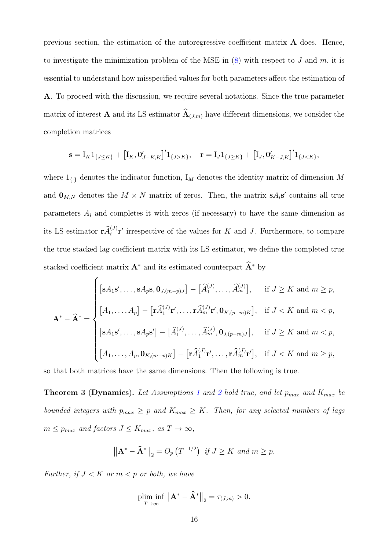previous section, the estimation of the autoregressive coefficient matrix  $\bf{A}$  does. Hence, to investigate the minimization problem of the MSE in  $(8)$  with respect to J and m, it is essential to understand how misspecified values for both parameters affect the estimation of A. To proceed with the discussion, we require several notations. Since the true parameter matrix of interest **A** and its LS estimator  $\widehat{A}_{(J,m)}$  have different dimensions, we consider the completion matrices

$$
\mathbf{s} = I_K 1_{\{J \leq K\}} + [I_K, \mathbf{0}'_{J-K,K}]' 1_{\{J > K\}}, \quad \mathbf{r} = I_J 1_{\{J \geq K\}} + [I_J, \mathbf{0}'_{K-J,K}]' 1_{\{J < K\}},
$$

where  $1_{\{.\}}$  denotes the indicator function,  $I_M$  denotes the identity matrix of dimension M and  $\mathbf{0}_{M,N}$  denotes the  $M \times N$  matrix of zeros. Then, the matrix  $\mathbf{s} A_i \mathbf{s}'$  contains all true parameters  $A_i$  and completes it with zeros (if necessary) to have the same dimension as its LS estimator  $\mathbf{r}\hat{A}_i^{(J)}\mathbf{r}'$  irrespective of the values for K and J. Furthermore, to compare the true stacked lag coefficient matrix with its LS estimator, we define the completed true stacked coefficient matrix  $A^*$  and its estimated counterpart  $\widehat{A}^*$  by

$$
\mathbf{A}^* - \widehat{\mathbf{A}}^* = \begin{cases}\n[\mathbf{s}A_1\mathbf{s}', \dots, \mathbf{s}A_p\mathbf{s}, \mathbf{0}_{J,(m-p)J}] - [\widehat{A}_1^{(J)}, \dots, \widehat{A}_m^{(J)}], & \text{if } J \ge K \text{ and } m \ge p, \\
[A_1, \dots, A_p] - [\mathbf{r}\widehat{A}_1^{(J)}\mathbf{r}', \dots, \mathbf{r}\widehat{A}_m^{(J)}\mathbf{r}', \mathbf{0}_{K,(p-m)K}], & \text{if } J < K \text{ and } m < p, \\
[\mathbf{s}A_1\mathbf{s}', \dots, \mathbf{s}A_p\mathbf{s}'] - [\widehat{A}_1^{(J)}, \dots, \widehat{A}_m^{(J)}, \mathbf{0}_{J,(p-m)J}], & \text{if } J \ge K \text{ and } m < p, \\
[A_1, \dots, A_p, \mathbf{0}_{K,(m-p)K}] - [\mathbf{r}\widehat{A}_1^{(J)}\mathbf{r}', \dots, \mathbf{r}\widehat{A}_m^{(J)}\mathbf{r}'], & \text{if } J < K \text{ and } m \ge p,\n\end{cases}
$$

<span id="page-15-0"></span>so that both matrices have the same dimensions. Then the following is true.

**Theorem 3 (Dynamics).** Let Assumptions [1](#page-6-0) and [2](#page-7-0) hold true, and let  $p_{max}$  and  $K_{max}$  be bounded integers with  $p_{max} \geq p$  and  $K_{max} \geq K$ . Then, for any selected numbers of lags  $m \leq p_{max}$  and factors  $J \leq K_{max}$ , as  $T \to \infty$ ,

$$
\left\|\mathbf{A}^* - \widehat{\mathbf{A}}^*\right\|_2 = O_p\left(T^{-1/2}\right) \text{ if } J \ge K \text{ and } m \ge p.
$$

Further, if  $J < K$  or  $m < p$  or both, we have

$$
\plim_{T\to\infty} \inf \| \mathbf{A}^* - \mathbf{\widehat{A}}^* \|_2 = \tau_{(J,m)} > 0.
$$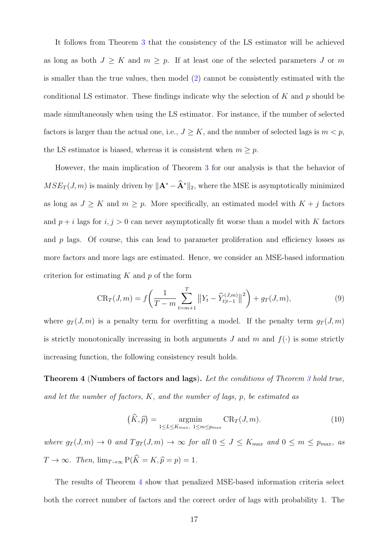It follows from Theorem [3](#page-15-0) that the consistency of the LS estimator will be achieved as long as both  $J \geq K$  and  $m \geq p$ . If at least one of the selected parameters J or m is smaller than the true values, then model [\(2\)](#page-5-2) cannot be consistently estimated with the conditional LS estimator. These findings indicate why the selection of  $K$  and  $p$  should be made simultaneously when using the LS estimator. For instance, if the number of selected factors is larger than the actual one, i.e.,  $J \geq K$ , and the number of selected lags is  $m < p$ , the LS estimator is biased, whereas it is consistent when  $m \geq p$ .

However, the main implication of Theorem [3](#page-15-0) for our analysis is that the behavior of  $MSE_T(J, m)$  is mainly driven by  $\|\mathbf{A}^* - \mathbf{\hat{A}}^*\|_2$ , where the MSE is asymptotically minimized as long as  $J \geq K$  and  $m \geq p$ . More specifically, an estimated model with  $K + j$  factors and  $p + i$  lags for  $i, j > 0$  can never asymptotically fit worse than a model with K factors and  $p$  lags. Of course, this can lead to parameter proliferation and efficiency losses as more factors and more lags are estimated. Hence, we consider an MSE-based information criterion for estimating  $K$  and  $p$  of the form

<span id="page-16-1"></span>
$$
CR_T(J,m) = f\left(\frac{1}{T-m} \sum_{t=m+1}^T \left\|Y_t - \widehat{Y}_{t|t-1}^{(J,m)}\right\|^2\right) + g_T(J,m),\tag{9}
$$

where  $g_T(J, m)$  is a penalty term for overfitting a model. If the penalty term  $g_T(J, m)$ is strictly monotonically increasing in both arguments J and  $m$  and  $f(\cdot)$  is some strictly increasing function, the following consistency result holds.

<span id="page-16-0"></span>Theorem 4 (Numbers of factors and lags). Let the conditions of Theorem [3](#page-15-0) hold true, and let the number of factors,  $K$ , and the number of lags,  $p$ , be estimated as

$$
\left(\widehat{K}, \widehat{p}\right) = \underset{1 \le L \le K_{max}}{\operatorname{argmin}} \operatorname{CR}_{T}(J, m). \tag{10}
$$

where  $g_T(J,m) \to 0$  and  $Tg_T(J,m) \to \infty$  for all  $0 \leq J \leq K_{max}$  and  $0 \leq m \leq p_{max}$ , as  $T \to \infty$ . Then,  $\lim_{T \to \infty} P(\hat{K} = K, \hat{p} = p) = 1$ .

The results of Theorem [4](#page-16-0) show that penalized MSE-based information criteria select both the correct number of factors and the correct order of lags with probability 1. The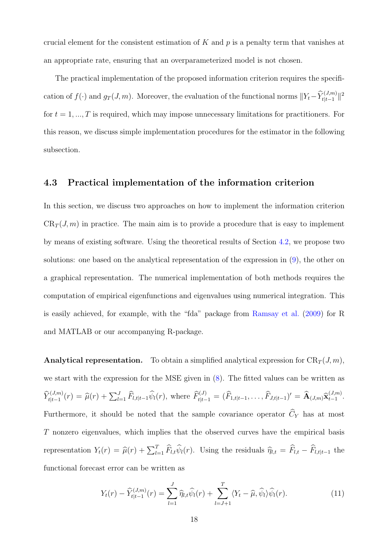crucial element for the consistent estimation of K and  $p$  is a penalty term that vanishes at an appropriate rate, ensuring that an overparameterized model is not chosen.

The practical implementation of the proposed information criterion requires the specification of  $f(\cdot)$  and  $g_T(J,m)$ . Moreover, the evaluation of the functional norms  $||Y_t - \hat{Y}_{t|t-1}^{(J,m)}||^2$ for  $t = 1, ..., T$  is required, which may impose unnecessary limitations for practitioners. For this reason, we discuss simple implementation procedures for the estimator in the following subsection.

### <span id="page-17-0"></span>4.3 Practical implementation of the information criterion

In this section, we discuss two approaches on how to implement the information criterion  $CR_T(J, m)$  in practice. The main aim is to provide a procedure that is easy to implement by means of existing software. Using the theoretical results of Section [4.2,](#page-14-0) we propose two solutions: one based on the analytical representation of the expression in [\(9\)](#page-16-1), the other on a graphical representation. The numerical implementation of both methods requires the computation of empirical eigenfunctions and eigenvalues using numerical integration. This is easily achieved, for example, with the "fda" package from [Ramsay et al.](#page-30-13) [\(2009\)](#page-30-13) for R and MATLAB or our accompanying R-package.

**Analytical representation.** To obtain a simplified analytical expression for  $CR_T(J, m)$ , we start with the expression for the MSE given in [\(8\)](#page-14-1). The fitted values can be written as  $\widehat{Y}_{t|t-1}^{(J,m)}(r) = \widehat{\mu}(r) + \sum_{l=1}^{J} \widehat{F}_{l,t|t-1} \widehat{\psi}_l(r)$ , where  $\widehat{F}_{t|t-1}^{(J)} = (\widehat{F}_{1,t|t-1}, \ldots, \widehat{F}_{J,t|t-1})' = \widehat{A}_{(J,m)} \widehat{\mathbf{x}}_{t-1}^{(J,m)}$ : $\frac{(J,m)}{t-1}$ . Furthermore, it should be noted that the sample covariance operator  $\widehat{C}_Y$  has at most T nonzero eigenvalues, which implies that the observed curves have the empirical basis representation  $Y_t(r) = \hat{\mu}(r) + \sum_{l=1}^T \hat{F}_{l,t} \hat{\psi}_l(r)$ . Using the residuals  $\hat{\eta}_{l,t} = \hat{F}_{l,t} - \hat{F}_{l,t|t-1}$  the functional forecast error can be written as

<span id="page-17-1"></span>
$$
Y_t(r) - \widehat{Y}_{t|t-1}^{(J,m)}(r) = \sum_{l=1}^J \widehat{\eta}_{l,t} \widehat{\psi}_l(r) + \sum_{l=J+1}^T \langle Y_t - \widehat{\mu}, \widehat{\psi}_l \rangle \widehat{\psi}_l(r). \tag{11}
$$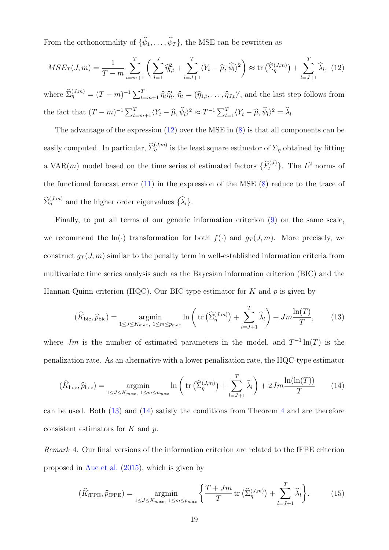From the orthonormality of  $\{\widehat{\psi}_1, \ldots, \widehat{\psi}_T\}$ , the MSE can be rewritten as

<span id="page-18-0"></span>
$$
MSE_T(J,m) = \frac{1}{T-m} \sum_{t=m+1}^{T} \left( \sum_{l=1}^{J} \hat{\eta}_{l,t}^2 + \sum_{l=J+1}^{T} \langle Y_t - \hat{\mu}, \hat{\psi}_l \rangle^2 \right) \approx \text{tr} \left( \hat{\Sigma}_{\eta}^{(J,m)} \right) + \sum_{l=J+1}^{T} \hat{\lambda}_l, \tag{12}
$$

where  $\widehat{\Sigma}_{\eta}^{(J,m)} = (T-m)^{-1} \sum_{t=m+1}^{T} \widehat{\eta}_t \widehat{\eta}_t$ ,  $\widehat{\eta}_t = (\widehat{\eta}_{1,t}, \ldots, \widehat{\eta}_{J,t})'$ , and the last step follows from the fact that  $(T - m)^{-1} \sum_{t=m+1}^{T} \langle Y_t - \widehat{\mu}, \widehat{\psi}_l \rangle^2 \approx T^{-1} \sum_{t=1}^{T} \langle Y_t - \widehat{\mu}, \widehat{\psi}_l \rangle^2 = \widehat{\lambda}_l$ .

The advantage of the expression [\(12\)](#page-18-0) over the MSE in [\(8\)](#page-14-1) is that all components can be easily computed. In particular,  $\widehat{\Sigma}_{\eta}^{(J,m)}$  is the least square estimator of  $\Sigma_{\eta}$  obtained by fitting a VAR $(m)$  model based on the time series of estimated factors  $\{\widehat{F}_t^{(J)}\}$ . The  $L^2$  norms of the functional forecast error  $(11)$  in the expression of the MSE  $(8)$  reduce to the trace of  $\widehat{\Sigma}_{\eta}^{(J,m)}$  and the higher order eigenvalues  $\{\widehat{\lambda}_l\}.$ 

Finally, to put all terms of our generic information criterion [\(9\)](#page-16-1) on the same scale, we recommend the ln(·) transformation for both  $f(\cdot)$  and  $g_T(J, m)$ . More precisely, we construct  $g_T(J, m)$  similar to the penalty term in well-established information criteria from multivariate time series analysis such as the Bayesian information criterion (BIC) and the Hannan-Quinn criterion (HQC). Our BIC-type estimator for  $K$  and  $p$  is given by

<span id="page-18-1"></span>
$$
(\widehat{K}_{\text{bic}}, \widehat{p}_{\text{bic}}) = \underset{1 \le J \le K_{max}, 1 \le m \le p_{max}}{\operatorname{argmin}} \ln \left( \text{tr} \left( \widehat{\Sigma}_{\eta}^{(J,m)} \right) + \sum_{l=J+1}^{T} \widehat{\lambda}_{l} \right) + Jm \frac{\ln(T)}{T}, \tag{13}
$$

where Jm is the number of estimated parameters in the model, and  $T^{-1}\ln(T)$  is the penalization rate. As an alternative with a lower penalization rate, the HQC-type estimator

<span id="page-18-2"></span>
$$
(\widehat{K}_{\text{hqc}}, \widehat{p}_{\text{hqc}}) = \underset{1 \le J \le K_{max}, 1 \le m \le p_{max}}{\operatorname{argmin}} \ln \left( \text{tr}\left(\widehat{\Sigma}_{\eta}^{(J,m)}\right) + \sum_{l=J+1}^{T} \widehat{\lambda}_{l} \right) + 2Jm \frac{\ln(\ln(T))}{T} \tag{14}
$$

can be used. Both [\(13\)](#page-18-1) and [\(14\)](#page-18-2) satisfy the conditions from Theorem [4](#page-16-0) and are therefore consistent estimators for  $K$  and  $p$ .

Remark 4. Our final versions of the information criterion are related to the fFPE criterion proposed in [Aue et al.](#page-28-9) [\(2015\)](#page-28-9), which is given by

<span id="page-18-3"></span>
$$
(\widehat{K}_{\text{fFPE}}, \widehat{p}_{\text{fFPE}}) = \underset{1 \le J \le K_{max}, 1 \le m \le p_{max}}{\operatorname{argmin}} \left\{ \frac{T + Jm}{T} \operatorname{tr} \left( \widehat{\Sigma}_{\eta}^{(J,m)} \right) + \sum_{l=J+1}^{T} \widehat{\lambda}_{l} \right\}.
$$
 (15)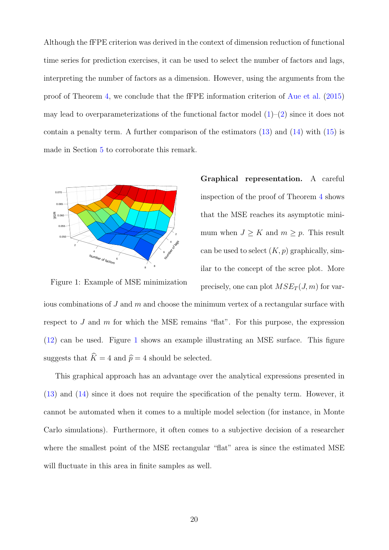Although the fFPE criterion was derived in the context of dimension reduction of functional time series for prediction exercises, it can be used to select the number of factors and lags, interpreting the number of factors as a dimension. However, using the arguments from the proof of Theorem [4,](#page-16-0) we conclude that the fFPE information criterion of [Aue et al.](#page-28-9) [\(2015\)](#page-28-9) may lead to overparameterizations of the functional factor model  $(1)$ – $(2)$  since it does not contain a penalty term. A further comparison of the estimators  $(13)$  and  $(14)$  with  $(15)$  is made in Section [5](#page-21-0) to corroborate this remark.



Graphical representation. A careful inspection of the proof of Theorem [4](#page-16-0) shows that the MSE reaches its asymptotic minimum when  $J \geq K$  and  $m \geq p$ . This result can be used to select  $(K, p)$  graphically, similar to the concept of the scree plot. More precisely, one can plot  $MSE_T(J, m)$  for var-

<span id="page-19-0"></span>Figure 1: Example of MSE minimization

ious combinations of  $J$  and  $m$  and choose the minimum vertex of a rectangular surface with respect to  $J$  and  $m$  for which the MSE remains "flat". For this purpose, the expression [\(12\)](#page-18-0) can be used. Figure [1](#page-19-0) shows an example illustrating an MSE surface. This figure suggests that  $\widehat{K} = 4$  and  $\widehat{p} = 4$  should be selected.

This graphical approach has an advantage over the analytical expressions presented in [\(13\)](#page-18-1) and [\(14\)](#page-18-2) since it does not require the specification of the penalty term. However, it cannot be automated when it comes to a multiple model selection (for instance, in Monte Carlo simulations). Furthermore, it often comes to a subjective decision of a researcher where the smallest point of the MSE rectangular "flat" area is since the estimated MSE will fluctuate in this area in finite samples as well.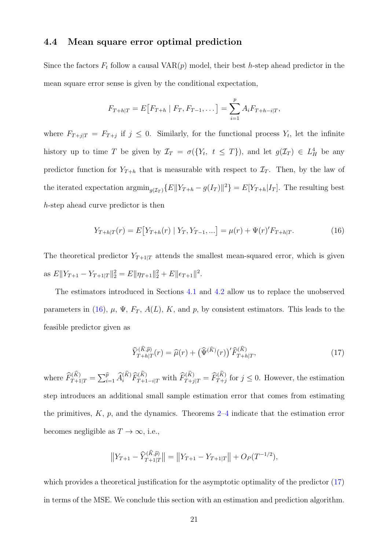#### <span id="page-20-0"></span>4.4 Mean square error optimal prediction

Since the factors  $F_t$  follow a causal VAR $(p)$  model, their best h-step ahead predictor in the mean square error sense is given by the conditional expectation,

$$
F_{T+h|T} = E[F_{T+h} | F_T, F_{T-1}, \dots] = \sum_{i=1}^{p} A_i F_{T+h-i|T},
$$

where  $F_{T+j|T} = F_{T+j}$  if  $j \leq 0$ . Similarly, for the functional process  $Y_t$ , let the infinite history up to time T be given by  $\mathcal{I}_T = \sigma({Y_t, t \leq T})$ , and let  $g(\mathcal{I}_T) \in L^4$  be any predictor function for  $Y_{T+h}$  that is measurable with respect to  $\mathcal{I}_T$ . Then, by the law of the iterated expectation  $\operatorname{argmin}_{g(\mathcal{I}_T)} \{E \|Y_{T+h} - g(I_T)\|^2\} = E[Y_{T+h}|I_T]$ . The resulting best h-step ahead curve predictor is then

<span id="page-20-1"></span>
$$
Y_{T+h|T}(r) = E[Y_{T+h}(r) | Y_T, Y_{T-1}, \ldots] = \mu(r) + \Psi(r)'F_{T+h|T}.
$$
\n(16)

The theoretical predictor  $Y_{T+1|T}$  attends the smallest mean-squared error, which is given as  $E\|Y_{T+1} - Y_{T+1|T}\|_2^2 = E\|\eta_{T+1}\|_2^2 + E\|\epsilon_{T+1}\|^2$ .

The estimators introduced in Sections [4.1](#page-12-1) and [4.2](#page-14-0) allow us to replace the unobserved parameters in [\(16\)](#page-20-1),  $\mu$ ,  $\Psi$ ,  $F_T$ ,  $A(L)$ ,  $K$ , and  $p$ , by consistent estimators. This leads to the feasible predictor given as

<span id="page-20-2"></span>
$$
\widehat{Y}_{T+h|T}^{(\widehat{K},\widehat{p})}(r) = \widehat{\mu}(r) + \left(\widehat{\Psi}^{(\widehat{K})}(r)\right)^{\prime} \widehat{F}_{T+h|T}^{(\widehat{K})},\tag{17}
$$

where  $\widehat{F}_{T+1|T}^{(K)} = \sum_{i=1}^{\widehat{p}} \widehat{A}_i^{(K)} \widehat{F}_{T+1-i|T}^{(K)}$  with  $\widehat{F}_{T+j|T}^{(K)} = \widehat{F}_{T+j}^{(K)}$  for  $j \leq 0$ . However, the estimation step introduces an additional small sample estimation error that comes from estimating the primitives,  $K$ ,  $p$ , and the dynamics. Theorems  $2-4$  $2-4$  indicate that the estimation error becomes negligible as  $T \to \infty$ , i.e.,

$$
||Y_{T+1} - \widehat{Y}_{T+1|T}^{(\widehat{K}, \widehat{p})}|| = ||Y_{T+1} - Y_{T+1|T}|| + O_P(T^{-1/2}),
$$

which provides a theoretical justification for the asymptotic optimality of the predictor [\(17\)](#page-20-2) in terms of the MSE. We conclude this section with an estimation and prediction algorithm.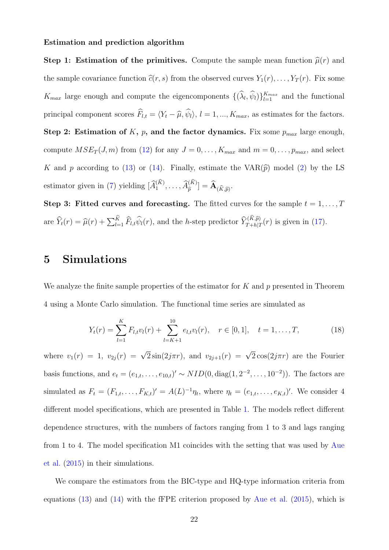#### Estimation and prediction algorithm

Step 1: Estimation of the primitives. Compute the sample mean function  $\hat{\mu}(r)$  and the sample covariance function  $\hat{c}(r, s)$  from the observed curves  $Y_1(r), \ldots, Y_T(r)$ . Fix some  $K_{max}$  large enough and compute the eigencomponents  $\{(\hat{\lambda}_l, \hat{\psi}_l)\}_{l=1}^{K_{max}}$  and the functional principal component scores  $\widehat{F}_{l,t} = \langle Y_t - \widehat{\mu}, \widehat{\psi}_l \rangle, l = 1, ..., K_{max}$ , as estimates for the factors. Step 2: Estimation of  $K$ ,  $p$ , and the factor dynamics. Fix some  $p_{max}$  large enough, compute  $MSE_T(J, m)$  from [\(12\)](#page-18-0) for any  $J = 0, \ldots, K_{max}$  and  $m = 0, \ldots, p_{max}$ , and select K and p according to [\(13\)](#page-18-1) or [\(14\)](#page-18-2). Finally, estimate the VAR $(\hat{p})$  model [\(2\)](#page-5-2) by the LS estimator given in [\(7\)](#page-14-2) yielding  $[\widehat{A}_1^{(K)}, \ldots, \widehat{A}_{\widehat{p}}^{(K)}] = \widehat{A}_{(\widehat{K}, \widehat{p})}$ .

Step 3: Fitted curves and forecasting. The fitted curves for the sample  $t = 1, \ldots, T$ are  $\widehat{Y}_t(r) = \widehat{\mu}(r) + \sum_{l=1}^K \widehat{F}_{l,t} \widehat{\psi}_l(r)$ , and the *h*-step predictor  $\widehat{Y}_{T+h|T}^{(K,\widehat{p})}(r)$  is given in [\(17\)](#page-20-2).

### <span id="page-21-0"></span>5 Simulations

We analyze the finite sample properties of the estimator for  $K$  and  $p$  presented in Theorem 4 using a Monte Carlo simulation. The functional time series are simulated as

<span id="page-21-1"></span>
$$
Y_t(r) = \sum_{l=1}^K F_{l,t} v_l(r) + \sum_{l=K+1}^{10} e_{l,t} v_l(r), \quad r \in [0,1], \quad t = 1,\dots,T,
$$
 (18)

where  $v_1(r) = 1$ ,  $v_{2j}(r) = \sqrt{2}\sin(2j\pi r)$ , and  $v_{2j+1}(r) = \sqrt{2}\cos(2j\pi r)$  are the Fourier basis functions, and  $e_t = (e_{1,t}, \ldots, e_{10,t})' \sim NID(0, \text{diag}(1, 2^{-2}, \ldots, 10^{-2}))$ . The factors are simulated as  $F_t = (F_{1,t}, \ldots, F_{K,t})' = A(L)^{-1} \eta_t$ , where  $\eta_t = (e_{1,t}, \ldots, e_{K,t})'$ . We consider 4 different model specifications, which are presented in Table [1.](#page-22-1) The models reflect different dependence structures, with the numbers of factors ranging from 1 to 3 and lags ranging from 1 to 4. The model specification M1 coincides with the setting that was used by [Aue](#page-28-9) [et al.](#page-28-9) [\(2015\)](#page-28-9) in their simulations.

We compare the estimators from the BIC-type and HQ-type information criteria from equations [\(13\)](#page-18-1) and [\(14\)](#page-18-2) with the fFPE criterion proposed by [Aue et al.](#page-28-9) [\(2015\)](#page-28-9), which is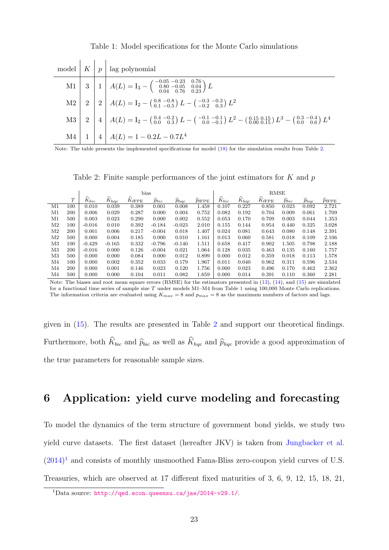|  | model $\left  K \right  p$ ag polynomial                                                                                                                                                                                                                                                                                                                         |
|--|------------------------------------------------------------------------------------------------------------------------------------------------------------------------------------------------------------------------------------------------------------------------------------------------------------------------------------------------------------------|
|  | M1 3 1 $A(L) = I_3 - \begin{pmatrix} -0.05 & -0.23 & 0.76 \\ 0.80 & -0.05 & 0.04 \\ 0.04 & 0.76 & 0.23 \end{pmatrix} L$<br>M2 2 $A(L) = I_2 - \begin{pmatrix} 0.8 & -0.8 \\ 0.1 & -0.5 \end{pmatrix} L - \begin{pmatrix} -0.3 & -0.3 \\ -0.2 & 0.3 \end{pmatrix} L^2$<br>M3 2 4 $A(L) = I_2 - \begin{pmatrix} 0.4 & -0.2 \\ 0.0 & 0.3 \end{pmatrix} L - \begin{$ |
|  |                                                                                                                                                                                                                                                                                                                                                                  |
|  |                                                                                                                                                                                                                                                                                                                                                                  |
|  |                                                                                                                                                                                                                                                                                                                                                                  |

<span id="page-22-1"></span>Table 1: Model specifications for the Monte Carlo simulations

Note: The table presents the implemented specifications for model [\(18\)](#page-21-1) for the simulation results from Table [2.](#page-22-2)

<span id="page-22-2"></span>Table 2: Finite sample performances of the joint estimators for  $K$  and  $p$ 

|                |     |                     |                            | bias                        |                |                     | <b>RMSE</b>         |                     |                            |                             |                |                |                     |
|----------------|-----|---------------------|----------------------------|-----------------------------|----------------|---------------------|---------------------|---------------------|----------------------------|-----------------------------|----------------|----------------|---------------------|
|                | T   | $\widehat{K}_{bic}$ | $\widehat{K}_{\text{hqc}}$ | $\widehat{K}_{\text{fFPE}}$ | ∼<br>$p_{bic}$ | ∼<br>$p_{\rm{hac}}$ | ∼<br>$p_{\rm fFPE}$ | $\widehat{K}_{bic}$ | $\widehat{K}_{\text{hqc}}$ | $\widehat{K}_{\text{fFPE}}$ | ∼<br>$p_{bic}$ | $p_{\rm{hac}}$ | $p_{\mathrm{fFPE}}$ |
| M1             | 100 | 0.010               | 0.039                      | 0.389                       | 0.001          | 0.008               | 1.458               | 0.107               | 0.227                      | 0.850                       | 0.023          | 0.092          | 2.721               |
| M1             | 200 | 0.006               | 0.029                      | 0.287                       | 0.000          | 0.004               | 0.752               | 0.082               | 0.192                      | 0.704                       | 0.009          | 0.061          | 1.709               |
| M1             | 500 | 0.003               | 0.023                      | 0.290                       | 0.000          | 0.002               | 0.552               | 0.053               | 0.170                      | 0.709                       | 0.003          | 0.044          | 1.353               |
| M2             | 100 | $-0.016$            | 0.010                      | 0.392                       | $-0.184$       | $-0.023$            | 2.010               | 0.155               | 0.144                      | 0.954                       | 0.440          | 0.325          | 3.028               |
| M2             | 200 | 0.001               | 0.006                      | 0.217                       | $-0.004$       | 0.018               | 1.407               | 0.024               | 0.081                      | 0.643                       | 0.080          | 0.148          | 2.391               |
| M2             | 500 | 0.000               | 0.004                      | 0.185                       | 0.000          | 0.010               | 1.161               | 0.013               | 0.060                      | 0.581                       | 0.018          | 0.109          | 2.106               |
| M3             | 100 | $-0.429$            | $-0.165$                   | 0.332                       | $-0.796$       | $-0.140$            | 1.511               | 0.658               | 0.417                      | 0.902                       | 1.505          | 0.798          | 2.188               |
| M3             | 200 | $-0.016$            | 0.000                      | 0.126                       | $-0.004$       | 0.021               | 1.064               | 0.128               | 0.035                      | 0.463                       | 0.135          | 0.160          | 1.757               |
| M3             | 500 | 0.000               | 0.000                      | 0.084                       | 0.000          | 0.012               | 0.899               | 0.000               | 0.012                      | 0.359                       | 0.018          | 0.113          | 1.578               |
| M4             | 100 | 0.000               | 0.002                      | 0.352                       | 0.033          | 0.179               | 1.967               | 0.011               | 0.040                      | 0.962                       | 0.311          | 0.596          | 2.534               |
| M <sub>4</sub> | 200 | 0.000               | 0.001                      | 0.146                       | 0.023          | 0.120               | 1.756               | 0.000               | 0.023                      | 0.496                       | 0.170          | 0.462          | 2.362               |
| M4             | 500 | 0.000               | 0.000                      | 0.104                       | 0.011          | 0.082               | 1.659               | 0.000               | 0.014                      | 0.391                       | 0.110          | 0.360          | 2.281               |

Note: The biases and root mean square errors (RMSE) for the estimators presented in [\(13\)](#page-18-1), [\(14\)](#page-18-2), and [\(15\)](#page-18-3) are simulated for a functional time series of sample size T under models M[1](#page-22-1)–M4 from Table 1 using  $100,000$  Monte Carlo replications. The information criteria are evaluated using  $K_{max} = 8$  and  $p_{max} = 8$  as the maximum numbers of factors and lags.

given in [\(15\)](#page-18-3). The results are presented in Table [2](#page-22-2) and support our theoretical findings. Furthermore, both  $\widehat{K}_{bic}$  and  $\widehat{p}_{bic}$  as well as  $\widehat{K}_{hqc}$  and  $\widehat{p}_{hqc}$  provide a good approximation of the true parameters for reasonable sample sizes.

# <span id="page-22-0"></span>6 Application: yield curve modeling and forecasting

To model the dynamics of the term structure of government bond yields, we study two yield curve datasets. The first dataset (hereafter JKV) is taken from [Jungbacker et al.](#page-29-16)  $(2014)^1$  $(2014)^1$  $(2014)^1$  and consists of monthly unsmoothed Fama-Bliss zero-coupon yield curves of U.S. Treasuries, which are observed at 17 different fixed maturities of 3, 6, 9, 12, 15, 18, 21,

<span id="page-22-3"></span><sup>1</sup>Data source: <http://qed.econ.queensu.ca/jae/2014-v29.1/>.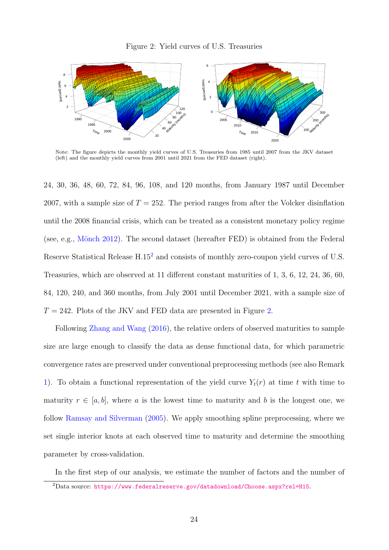<span id="page-23-1"></span>

Note: The figure depicts the monthly yield curves of U.S. Treasuries from 1985 until 2007 from the JKV dataset (left) and the monthly yield curves from 2001 until 2021 from the FED dataset (right).

24, 30, 36, 48, 60, 72, 84, 96, 108, and 120 months, from January 1987 until December 2007, with a sample size of  $T = 252$ . The period ranges from after the Volcker disinflation until the 2008 financial crisis, which can be treated as a consistent monetary policy regime (see, e.g., Mönch [2012\)](#page-30-14). The second dataset (hereafter FED) is obtained from the Federal Reserve Statistical Release H.15[2](#page-23-0) and consists of monthly zero-coupon yield curves of U.S. Treasuries, which are observed at 11 different constant maturities of 1, 3, 6, 12, 24, 36, 60, 84, 120, 240, and 360 months, from July 2001 until December 2021, with a sample size of  $T = 242$ . Plots of the JKV and FED data are presented in Figure [2.](#page-23-1)

Following [Zhang and Wang](#page-30-10) [\(2016\)](#page-30-10), the relative orders of observed maturities to sample size are large enough to classify the data as dense functional data, for which parametric convergence rates are preserved under conventional preprocessing methods (see also Remark [1\)](#page-8-0). To obtain a functional representation of the yield curve  $Y_t(r)$  at time t with time to maturity  $r \in [a, b]$ , where a is the lowest time to maturity and b is the longest one, we follow [Ramsay and Silverman](#page-30-4) [\(2005\)](#page-30-4). We apply smoothing spline preprocessing, where we set single interior knots at each observed time to maturity and determine the smoothing parameter by cross-validation.

<span id="page-23-0"></span>In the first step of our analysis, we estimate the number of factors and the number of

<sup>2</sup>Data source: <https://www.federalreserve.gov/datadownload/Choose.aspx?rel=H15>.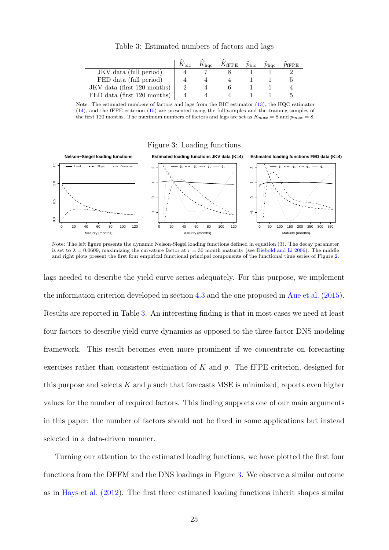<span id="page-24-0"></span>

|  | Table 3: Estimated numbers of factors and lags |  |  |  |  |
|--|------------------------------------------------|--|--|--|--|
|--|------------------------------------------------|--|--|--|--|

|                             | $K_{\rm bic}$ | $K_{\rm{hac}}$ | $K_{\text{fFPE}}$ $\widehat{p}_{\text{bic}}$ | $\widehat{p}_{\text{hqc}}$ | $p_{\rm fFPE}$ |
|-----------------------------|---------------|----------------|----------------------------------------------|----------------------------|----------------|
| JKV data (full period)      |               |                |                                              |                            |                |
| FED data (full period)      |               |                |                                              |                            |                |
| JKV data (first 120 months) |               |                |                                              |                            |                |
| FED data (first 120 months) |               |                |                                              |                            |                |

Note: The estimated numbers of factors and lags from the BIC estimator [\(13\)](#page-18-1), the HQC estimator [\(14\)](#page-18-2), and the fFPE criterion [\(15\)](#page-18-3) are presented using the full samples and the training samples of the first 120 months. The maximum numbers of factors and lags are set as  $K_{max} = 8$  and  $p_{max} = 8$ .

#### <span id="page-24-1"></span>Figure 3: Loading functions



Note: The left figure presents the dynamic Nelson-Siegel loading functions defined in equation [\(3\)](#page-5-3). The decay parameter is set to  $\lambda = 0.0609$ , maximizing the curvature factor at  $r = 30$  month maturity (see [Diebold and Li](#page-28-10) [2006\)](#page-28-10). The middle and right plots present the first four empirical functional principal components of the functional time series of Figure [2.](#page-23-1)

lags needed to describe the yield curve series adequately. For this purpose, we implement the information criterion developed in section [4.3](#page-17-0) and the one proposed in [Aue et al.](#page-28-9) [\(2015\)](#page-28-9). Results are reported in Table [3.](#page-24-0) An interesting finding is that in most cases we need at least four factors to describe yield curve dynamics as opposed to the three factor DNS modeling framework. This result becomes even more prominent if we concentrate on forecasting exercises rather than consistent estimation of  $K$  and  $p$ . The fFPE criterion, designed for this purpose and selects  $K$  and  $p$  such that forecasts MSE is minimized, reports even higher values for the number of required factors. This finding supports one of our main arguments in this paper: the number of factors should not be fixed in some applications but instead selected in a data-driven manner.

Turning our attention to the estimated loading functions, we have plotted the first four functions from the DFFM and the DNS loadings in Figure [3.](#page-24-1) We observe a similar outcome as in [Hays et al.](#page-29-5) [\(2012\)](#page-29-5). The first three estimated loading functions inherit shapes similar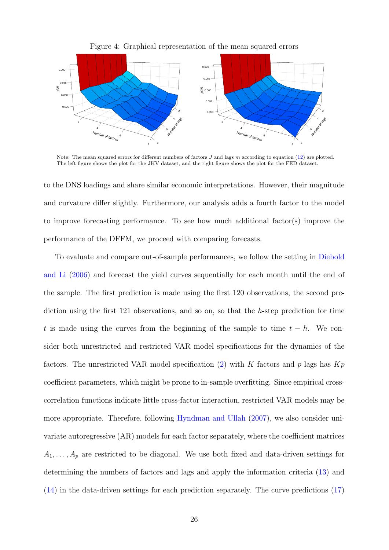

Figure 4: Graphical representation of the mean squared errors

Note: The mean squared errors for different numbers of factors  $J$  and lags  $m$  according to equation [\(12\)](#page-18-0) are plotted. The left figure shows the plot for the JKV dataset, and the right figure shows the plot for the FED dataset.

to the DNS loadings and share similar economic interpretations. However, their magnitude and curvature differ slightly. Furthermore, our analysis adds a fourth factor to the model to improve forecasting performance. To see how much additional factor(s) improve the performance of the DFFM, we proceed with comparing forecasts.

To evaluate and compare out-of-sample performances, we follow the setting in [Diebold](#page-28-10) [and Li](#page-28-10) [\(2006\)](#page-28-10) and forecast the yield curves sequentially for each month until the end of the sample. The first prediction is made using the first 120 observations, the second prediction using the first 121 observations, and so on, so that the h-step prediction for time t is made using the curves from the beginning of the sample to time  $t - h$ . We consider both unrestricted and restricted VAR model specifications for the dynamics of the factors. The unrestricted VAR model specification  $(2)$  with K factors and p lags has  $Kp$ coefficient parameters, which might be prone to in-sample overfitting. Since empirical crosscorrelation functions indicate little cross-factor interaction, restricted VAR models may be more appropriate. Therefore, following [Hyndman and Ullah](#page-29-8) [\(2007\)](#page-29-8), we also consider univariate autoregressive (AR) models for each factor separately, where the coefficient matrices  $A_1, \ldots, A_p$  are restricted to be diagonal. We use both fixed and data-driven settings for determining the numbers of factors and lags and apply the information criteria [\(13\)](#page-18-1) and [\(14\)](#page-18-2) in the data-driven settings for each prediction separately. The curve predictions [\(17\)](#page-20-2)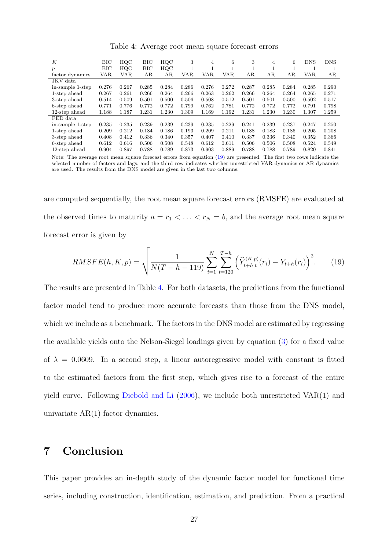| К                | BIC   | $_{\mathrm{HQC}}$ | BIC   | HQC   | 3          | 4          | 6     | 3     | 4     | 6     | <b>DNS</b> | <b>DNS</b> |
|------------------|-------|-------------------|-------|-------|------------|------------|-------|-------|-------|-------|------------|------------|
| $\boldsymbol{p}$ | BIC   | HQC               | BIC   | HQC   |            |            |       |       |       |       |            |            |
| factor dynamics  | VAR   | VAR               | ΑR    | AR    | <b>VAR</b> | <b>VAR</b> | VAR   | AR    | AR    | AR    | <b>VAR</b> | AR         |
| JKV data         |       |                   |       |       |            |            |       |       |       |       |            |            |
| in-sample 1-step | 0.276 | 0.267             | 0.285 | 0.284 | 0.286      | 0.276      | 0.272 | 0.287 | 0.285 | 0.284 | 0.285      | 0.290      |
| 1-step ahead     | 0.267 | 0.261             | 0.266 | 0.264 | 0.266      | 0.263      | 0.262 | 0.266 | 0.264 | 0.264 | 0.265      | 0.271      |
| 3-step ahead     | 0.514 | 0.509             | 0.501 | 0.500 | 0.506      | 0.508      | 0.512 | 0.501 | 0.501 | 0.500 | 0.502      | 0.517      |
| 6-step ahead     | 0.771 | 0.776             | 0.772 | 0.772 | 0.799      | 0.762      | 0.781 | 0.772 | 0.772 | 0.772 | 0.791      | 0.798      |
| 12-step ahead    | 1.188 | 1.187             | 1.231 | 1.230 | 1.309      | 1.169      | 1.192 | 1.231 | 1.230 | 1.230 | 1.307      | 1.259      |
| FED data         |       |                   |       |       |            |            |       |       |       |       |            |            |
| in-sample 1-step | 0.235 | 0.235             | 0.239 | 0.239 | 0.239      | 0.235      | 0.229 | 0.241 | 0.239 | 0.237 | 0.247      | 0.250      |
| 1-step ahead     | 0.209 | 0.212             | 0.184 | 0.186 | 0.193      | 0.209      | 0.211 | 0.188 | 0.183 | 0.186 | 0.205      | 0.208      |
| 3-step ahead     | 0.408 | 0.412             | 0.336 | 0.340 | 0.357      | 0.407      | 0.410 | 0.337 | 0.336 | 0.340 | 0.352      | 0.366      |
| 6-step ahead     | 0.612 | 0.616             | 0.506 | 0.508 | 0.548      | 0.612      | 0.611 | 0.506 | 0.506 | 0.508 | 0.524      | 0.549      |
| 12-step ahead    | 0.904 | 0.897             | 0.788 | 0.789 | 0.873      | 0.903      | 0.889 | 0.788 | 0.788 | 0.789 | 0.820      | 0.841      |

<span id="page-26-2"></span>Table 4: Average root mean square forecast errors

Note: The average root mean square forecast errors from equation [\(19\)](#page-26-1) are presented. The first two rows indicate the selected number of factors and lags, and the third row indicates whether unrestricted VAR dynamics or AR dynamics are used. The results from the DNS model are given in the last two columns.

are computed sequentially, the root mean square forecast errors (RMSFE) are evaluated at the observed times to maturity  $a = r_1 < \ldots < r_N = b$ , and the average root mean square forecast error is given by

<span id="page-26-1"></span>RMSFE(h, K, p) = 
$$
\sqrt{\frac{1}{N(T - h - 119)} \sum_{i=1}^{N} \sum_{t=120}^{T-h} \left(\widehat{Y}_{t+h|t}^{(K,p)}(r_i) - Y_{t+h}(r_i)\right)^2}.
$$
 (19)

The results are presented in Table [4.](#page-26-2) For both datasets, the predictions from the functional factor model tend to produce more accurate forecasts than those from the DNS model, which we include as a benchmark. The factors in the DNS model are estimated by regressing the available yields onto the Nelson-Siegel loadings given by equation [\(3\)](#page-5-3) for a fixed value of  $\lambda = 0.0609$ . In a second step, a linear autoregressive model with constant is fitted to the estimated factors from the first step, which gives rise to a forecast of the entire yield curve. Following [Diebold and Li](#page-28-10) [\(2006\)](#page-28-10), we include both unrestricted VAR(1) and univariate AR(1) factor dynamics.

# <span id="page-26-0"></span>7 Conclusion

This paper provides an in-depth study of the dynamic factor model for functional time series, including construction, identification, estimation, and prediction. From a practical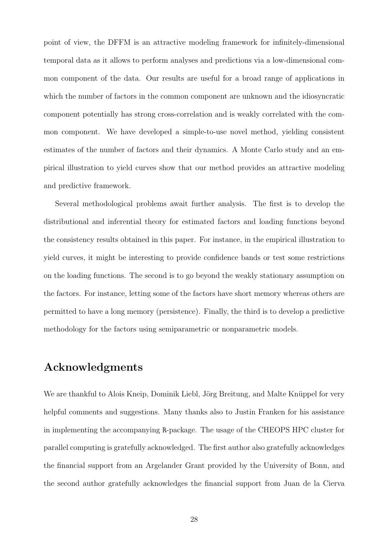point of view, the DFFM is an attractive modeling framework for infinitely-dimensional temporal data as it allows to perform analyses and predictions via a low-dimensional common component of the data. Our results are useful for a broad range of applications in which the number of factors in the common component are unknown and the idiosyncratic component potentially has strong cross-correlation and is weakly correlated with the common component. We have developed a simple-to-use novel method, yielding consistent estimates of the number of factors and their dynamics. A Monte Carlo study and an empirical illustration to yield curves show that our method provides an attractive modeling and predictive framework.

Several methodological problems await further analysis. The first is to develop the distributional and inferential theory for estimated factors and loading functions beyond the consistency results obtained in this paper. For instance, in the empirical illustration to yield curves, it might be interesting to provide confidence bands or test some restrictions on the loading functions. The second is to go beyond the weakly stationary assumption on the factors. For instance, letting some of the factors have short memory whereas others are permitted to have a long memory (persistence). Finally, the third is to develop a predictive methodology for the factors using semiparametric or nonparametric models.

### Acknowledgments

We are thankful to Alois Kneip, Dominik Liebl, Jörg Breitung, and Malte Knüppel for very helpful comments and suggestions. Many thanks also to Justin Franken for his assistance in implementing the accompanying R-package. The usage of the CHEOPS HPC cluster for parallel computing is gratefully acknowledged. The first author also gratefully acknowledges the financial support from an Argelander Grant provided by the University of Bonn, and the second author gratefully acknowledges the financial support from Juan de la Cierva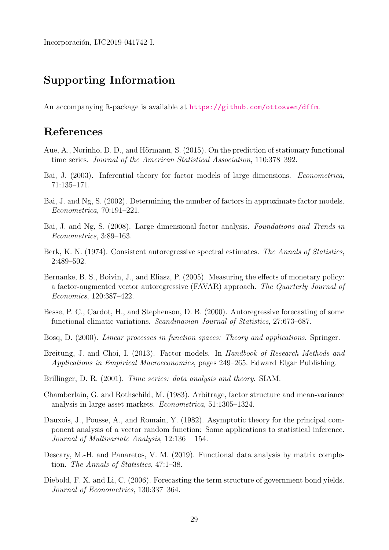Incorporación, IJC2019-041742-I.

# Supporting Information

An accompanying R-package is available at <https://github.com/ottosven/dffm>.

# References

- <span id="page-28-9"></span>Aue, A., Norinho, D. D., and Hörmann, S. (2015). On the prediction of stationary functional time series. Journal of the American Statistical Association, 110:378–392.
- <span id="page-28-2"></span>Bai, J. (2003). Inferential theory for factor models of large dimensions. Econometrica, 71:135–171.
- <span id="page-28-1"></span>Bai, J. and Ng, S. (2002). Determining the number of factors in approximate factor models. Econometrica, 70:191–221.
- <span id="page-28-4"></span>Bai, J. and Ng, S. (2008). Large dimensional factor analysis. Foundations and Trends in Econometrics, 3:89–163.
- <span id="page-28-13"></span>Berk, K. N. (1974). Consistent autoregressive spectral estimates. The Annals of Statistics, 2:489–502.
- <span id="page-28-3"></span>Bernanke, B. S., Boivin, J., and Eliasz, P. (2005). Measuring the effects of monetary policy: a factor-augmented vector autoregressive (FAVAR) approach. The Quarterly Journal of Economics, 120:387–422.
- <span id="page-28-7"></span>Besse, P. C., Cardot, H., and Stephenson, D. B. (2000). Autoregressive forecasting of some functional climatic variations. Scandinavian Journal of Statistics, 27:673–687.
- <span id="page-28-6"></span>Bosq, D. (2000). Linear processes in function spaces: Theory and applications. Springer.
- <span id="page-28-5"></span>Breitung, J. and Choi, I. (2013). Factor models. In Handbook of Research Methods and Applications in Empirical Macroeconomics, pages 249–265. Edward Elgar Publishing.
- <span id="page-28-11"></span>Brillinger, D. R. (2001). Time series: data analysis and theory. SIAM.
- <span id="page-28-0"></span>Chamberlain, G. and Rothschild, M. (1983). Arbitrage, factor structure and mean-variance analysis in large asset markets. Econometrica, 51:1305–1324.
- <span id="page-28-12"></span>Dauxois, J., Pousse, A., and Romain, Y. (1982). Asymptotic theory for the principal component analysis of a vector random function: Some applications to statistical inference. Journal of Multivariate Analysis, 12:136 – 154.
- <span id="page-28-8"></span>Descary, M.-H. and Panaretos, V. M. (2019). Functional data analysis by matrix completion. The Annals of Statistics, 47:1–38.
- <span id="page-28-10"></span>Diebold, F. X. and Li, C. (2006). Forecasting the term structure of government bond yields. Journal of Econometrics, 130:337–364.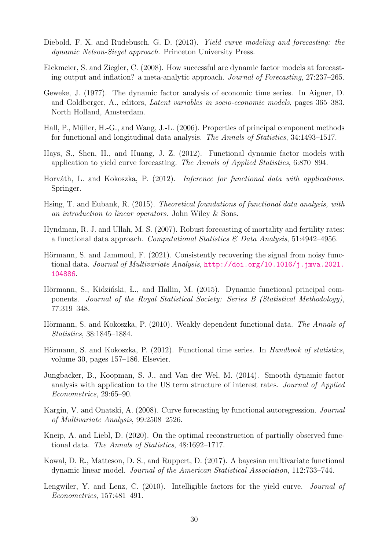- <span id="page-29-9"></span>Diebold, F. X. and Rudebusch, G. D. (2013). Yield curve modeling and forecasting: the dynamic Nelson-Siegel approach. Princeton University Press.
- <span id="page-29-1"></span>Eickmeier, S. and Ziegler, C. (2008). How successful are dynamic factor models at forecasting output and inflation? a meta-analytic approach. Journal of Forecasting, 27:237–265.
- <span id="page-29-0"></span>Geweke, J. (1977). The dynamic factor analysis of economic time series. In Aigner, D. and Goldberger, A., editors, Latent variables in socio-economic models, pages 365–383. North Holland, Amsterdam.
- <span id="page-29-11"></span>Hall, P., Müller, H.-G., and Wang, J.-L. (2006). Properties of principal component methods for functional and longitudinal data analysis. The Annals of Statistics, 34:1493–1517.
- <span id="page-29-5"></span>Hays, S., Shen, H., and Huang, J. Z. (2012). Functional dynamic factor models with application to yield curve forecasting. The Annals of Applied Statistics, 6:870–894.
- <span id="page-29-2"></span>Horváth, L. and Kokoszka, P. (2012). *Inference for functional data with applications*. Springer.
- <span id="page-29-3"></span>Hsing, T. and Eubank, R. (2015). Theoretical foundations of functional data analysis, with an introduction to linear operators. John Wiley & Sons.
- <span id="page-29-8"></span>Hyndman, R. J. and Ullah, M. S. (2007). Robust forecasting of mortality and fertility rates: a functional data approach. Computational Statistics  $\mathcal{B}$  Data Analysis, 51:4942-4956.
- <span id="page-29-7"></span>Hörmann, S. and Jammoul, F. (2021). Consistently recovering the signal from noisy functional data. Journal of Multivariate Analysis, [http://doi.org/10.1016/j.jmva.2021.](http://doi.org/10.1016/j.jmva.2021.104886) [104886](http://doi.org/10.1016/j.jmva.2021.104886).
- <span id="page-29-13"></span>Hörmann, S., Kidziński, L., and Hallin, M. (2015). Dynamic functional principal components. Journal of the Royal Statistical Society: Series B (Statistical Methodology), 77:319–348.
- <span id="page-29-15"></span>Hörmann, S. and Kokoszka, P. (2010). Weakly dependent functional data. The Annals of Statistics, 38:1845–1884.
- <span id="page-29-14"></span>Hörmann, S. and Kokoszka, P. (2012). Functional time series. In Handbook of statistics, volume 30, pages 157–186. Elsevier.
- <span id="page-29-16"></span>Jungbacker, B., Koopman, S. J., and Van der Wel, M. (2014). Smooth dynamic factor analysis with application to the US term structure of interest rates. Journal of Applied Econometrics, 29:65–90.
- <span id="page-29-4"></span>Kargin, V. and Onatski, A. (2008). Curve forecasting by functional autoregression. Journal of Multivariate Analysis, 99:2508–2526.
- <span id="page-29-12"></span>Kneip, A. and Liebl, D. (2020). On the optimal reconstruction of partially observed functional data. The Annals of Statistics, 48:1692–1717.
- <span id="page-29-6"></span>Kowal, D. R., Matteson, D. S., and Ruppert, D. (2017). A bayesian multivariate functional dynamic linear model. Journal of the American Statistical Association, 112:733–744.
- <span id="page-29-10"></span>Lengwiler, Y. and Lenz, C. (2010). Intelligible factors for the yield curve. Journal of Econometrics, 157:481–491.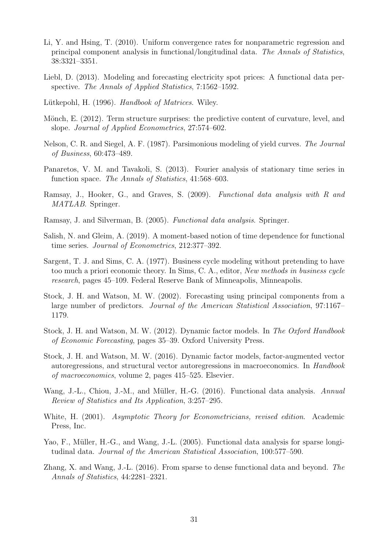- <span id="page-30-9"></span>Li, Y. and Hsing, T. (2010). Uniform convergence rates for nonparametric regression and principal component analysis in functional/longitudinal data. The Annals of Statistics, 38:3321–3351.
- <span id="page-30-7"></span>Liebl, D. (2013). Modeling and forecasting electricity spot prices: A functional data perspective. The Annals of Applied Statistics, 7:1562–1592.
- <span id="page-30-15"></span>Lütkepohl, H. (1996). Handbook of Matrices. Wiley.
- <span id="page-30-14"></span>Mönch, E. (2012). Term structure surprises: the predictive content of curvature, level, and slope. Journal of Applied Econometrics, 27:574–602.
- <span id="page-30-6"></span>Nelson, C. R. and Siegel, A. F. (1987). Parsimonious modeling of yield curves. The Journal of Business, 60:473–489.
- <span id="page-30-11"></span>Panaretos, V. M. and Tavakoli, S. (2013). Fourier analysis of stationary time series in function space. The Annals of Statistics, 41:568–603.
- <span id="page-30-13"></span>Ramsay, J., Hooker, G., and Graves, S. (2009). Functional data analysis with R and MATLAB. Springer.
- <span id="page-30-4"></span>Ramsay, J. and Silverman, B. (2005). Functional data analysis. Springer.
- <span id="page-30-12"></span>Salish, N. and Gleim, A. (2019). A moment-based notion of time dependence for functional time series. Journal of Econometrics, 212:377–392.
- <span id="page-30-0"></span>Sargent, T. J. and Sims, C. A. (1977). Business cycle modeling without pretending to have too much a priori economic theory. In Sims, C. A., editor, New methods in business cycle research, pages 45–109. Federal Reserve Bank of Minneapolis, Minneapolis.
- <span id="page-30-1"></span>Stock, J. H. and Watson, M. W. (2002). Forecasting using principal components from a large number of predictors. Journal of the American Statistical Association, 97:1167– 1179.
- <span id="page-30-2"></span>Stock, J. H. and Watson, M. W. (2012). Dynamic factor models. In The Oxford Handbook of Economic Forecasting, pages 35–39. Oxford University Press.
- <span id="page-30-3"></span>Stock, J. H. and Watson, M. W. (2016). Dynamic factor models, factor-augmented vector autoregressions, and structural vector autoregressions in macroeconomics. In Handbook of macroeconomics, volume 2, pages 415–525. Elsevier.
- <span id="page-30-5"></span>Wang, J.-L., Chiou, J.-M., and Müller, H.-G. (2016). Functional data analysis. Annual Review of Statistics and Its Application, 3:257–295.
- <span id="page-30-16"></span>White, H. (2001). Asymptotic Theory for Econometricians, revised edition. Academic Press, Inc.
- <span id="page-30-8"></span>Yao, F., Müller, H.-G., and Wang, J.-L. (2005). Functional data analysis for sparse longitudinal data. Journal of the American Statistical Association, 100:577–590.
- <span id="page-30-10"></span>Zhang, X. and Wang, J.-L. (2016). From sparse to dense functional data and beyond. The Annals of Statistics, 44:2281–2321.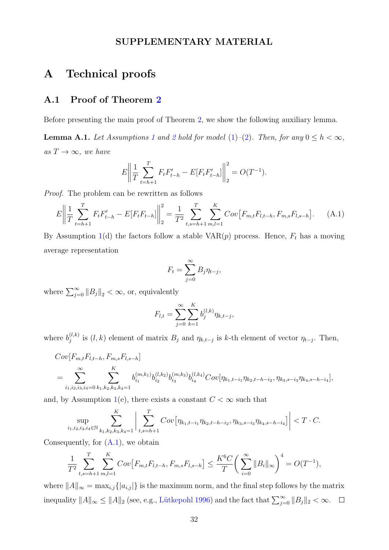#### SUPPLEMENTARY MATERIAL

### A Technical proofs

### A.1 Proof of Theorem [2](#page-13-0)

Before presenting the main proof of Theorem [2,](#page-13-0) we show the following auxiliary lemma.

<span id="page-31-1"></span>**Lemma A.[1](#page-6-0).** Let Assumptions 1 and [2](#page-7-0) hold for model [\(1\)](#page-5-1)–[\(2\)](#page-5-2). Then, for any  $0 \le h < \infty$ , as  $T \to \infty$ , we have

$$
E\left\| \frac{1}{T} \sum_{t=h+1}^{T} F_t F'_{t-h} - E[F_t F'_{t-h}] \right\|_2^2 = O(T^{-1}).
$$

Proof. The problem can be rewritten as follows

$$
E\left\|\frac{1}{T}\sum_{t=h+1}^{T}F_{t}F'_{t-h}-E[F_{t}F_{t-h}]\right\|_{2}^{2}=\frac{1}{T^{2}}\sum_{t,s=h+1}^{T}\sum_{m,l=1}^{K}Cov\left[F_{m,t}F_{l,t-h},F_{m,s}F_{l,s-h}\right].\tag{A.1}
$$

By Assumption [1\(](#page-6-0)d) the factors follow a stable  $VAR(p)$  process. Hence,  $F_t$  has a moving average representation

<span id="page-31-0"></span>
$$
F_t = \sum_{j=0}^{\infty} B_j \eta_{t-j},
$$

where  $\sum_{j=0}^{\infty} ||B_j||_2 < \infty$ , or, equivalently

$$
F_{l,t} = \sum_{j=0}^{\infty} \sum_{k=1}^{K} b_j^{(l,k)} \eta_{k,t-j},
$$

where  $b_i^{(l,k)}$  $j^{(l,k)}$  is  $(l,k)$  element of matrix  $B_j$  and  $\eta_{k,t-j}$  is k-th element of vector  $\eta_{t-j}$ . Then,

$$
Cov[F_{m,t}F_{l,t-h}, F_{m,s}F_{l,s-h}]
$$
  
= 
$$
\sum_{i_1,i_2,i_3,i_4=0}^{\infty} \sum_{k_1,k_2,k_3,k_4=1}^{K} b_{i_1}^{(m,k_1)} b_{i_2}^{(l,k_2)} b_{i_3}^{(m,k_3)} b_{i_4}^{(l,k_4)} Cov[\eta_{k_1,t-i_1}\eta_{k_2,t-h-i_2}, \eta_{k_3,s-i_3}\eta_{k_4,s-h-i_4}],
$$

and, by Assumption [1\(](#page-6-0)e), there exists a constant  $C < \infty$  such that

$$
\sup_{i_1, i_2, i_3, i_4 \in \mathbb{N}} \sum_{k_1, k_2, k_3, k_4 = 1}^{K} \left| \sum_{t, s = h+1}^{T} Cov\big[\eta_{k_1, t-i_1} \eta_{k_2, t-h-i_2}, \eta_{k_3, s-i_3} \eta_{k_4, s-h-i_4}\big]\right| < T \cdot C.
$$

Consequently, for  $(A.1)$ , we obtain

$$
\frac{1}{T^2} \sum_{t,s=h+1}^T \sum_{m,l=1}^K Cov[F_{m,t}F_{l,t-h}, F_{m,s}F_{l,s-h}] \le \frac{K^6 C}{T} \left(\sum_{i=0}^\infty ||B_i||_\infty\right)^4 = O(T^{-1}),
$$

where  $||A||_{\infty} = \max_{i,j} { |a_{i,j}| }$  is the maximum norm, and the final step follows by the matrix inequality  $||A||_{\infty} \le ||A||_2$  (see, e.g., Lütkepohl [1996\)](#page-30-15) and the fact that  $\sum_{j=0}^{\infty} ||B_j||_2 < \infty$ .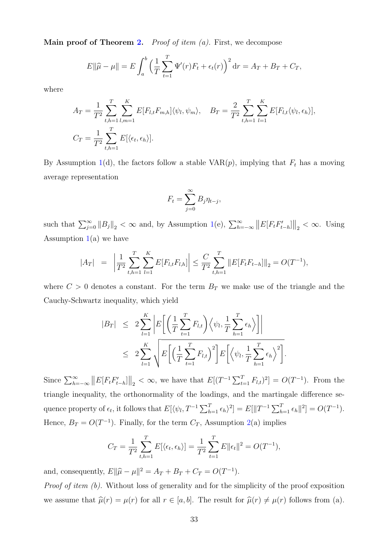**Main proof of Theorem [2.](#page-13-0)** Proof of item  $(a)$ . First, we decompose

$$
E\|\hat{\mu} - \mu\| = E \int_a^b \left(\frac{1}{T} \sum_{t=1}^T \Psi'(r) F_t + \epsilon_t(r)\right)^2 dr = A_T + B_T + C_T,
$$

where

$$
A_T = \frac{1}{T^2} \sum_{t,h=1}^T \sum_{l,m=1}^K E[F_{l,t} F_{m,h}] \langle \psi_l, \psi_m \rangle, \quad B_T = \frac{2}{T^2} \sum_{t,h=1}^T \sum_{l=1}^K E[F_{l,t} \langle \psi_l, \epsilon_h \rangle],
$$
  

$$
C_T = \frac{1}{T^2} \sum_{t,h=1}^T E[\langle \epsilon_t, \epsilon_h \rangle].
$$

By Assumption [1\(](#page-6-0)d), the factors follow a stable VAR $(p)$ , implying that  $F_t$  has a moving average representation

$$
F_t = \sum_{j=0}^{\infty} B_j \eta_{t-j},
$$

such that  $\sum_{j=0}^{\infty} ||B_j||_2 < \infty$  and, by Assumption [1\(](#page-6-0)e),  $\sum_{h=-\infty}^{\infty} ||E[F_t F'_{t-h}]||_2 < \infty$ . Using Assumption  $1(a)$  $1(a)$  we have

$$
|A_T| = \left| \frac{1}{T^2} \sum_{t,h=1}^T \sum_{l=1}^K E[F_{l,t} F_{l,h}] \right| \leq \frac{C}{T^2} \sum_{t,h=1}^T ||E[F_t F_{t-h}]||_2 = O(T^{-1}),
$$

where  $C > 0$  denotes a constant. For the term  $B_T$  we make use of the triangle and the Cauchy-Schwartz inequality, which yield

$$
|B_T| \leq 2 \sum_{l=1}^K \left| E\left[ \left( \frac{1}{T} \sum_{t=1}^T F_{l,t} \right) \left\langle \psi_l, \frac{1}{T} \sum_{h=1}^T \epsilon_h \right\rangle \right] \right|
$$
  

$$
\leq 2 \sum_{l=1}^K \sqrt{E\left[ \left( \frac{1}{T} \sum_{t=1}^T F_{l,t} \right)^2 \right] E\left[ \left\langle \psi_l, \frac{1}{T} \sum_{h=1}^T \epsilon_h \right\rangle^2 \right]}.
$$

Since  $\sum_{h=-\infty}^{\infty} ||E[F_t F'_{t-h}]||_2 < \infty$ , we have that  $E[(T^{-1} \sum_{t=1}^{T} F_{l,t})^2] = O(T^{-1})$ . From the triangle inequality, the orthonormality of the loadings, and the martingale difference sequence property of  $\epsilon_t$ , it follows that  $E[\langle \psi_l, T^{-1} \sum_{h=1}^T \epsilon_h \rangle^2] = E[\|T^{-1} \sum_{h=1}^T \epsilon_h\|^2] = O(T^{-1}).$ Hence,  $B_T = O(T^{-1})$ . Finally, for the term  $C_T$ , Assumption [2\(](#page-7-0)a) implies

$$
C_T = \frac{1}{T^2} \sum_{t,h=1}^T E[\langle \epsilon_t, \epsilon_h \rangle] = \frac{1}{T^2} \sum_{t=1}^T E \|\epsilon_t\|^2 = O(T^{-1}),
$$

and, consequently,  $E\|\hat{\mu} - \mu\|^2 = A_T + B_T + C_T = O(T^{-1}).$ 

Proof of item (b). Without loss of generality and for the simplicity of the proof exposition we assume that  $\hat{\mu}(r) = \mu(r)$  for all  $r \in [a, b]$ . The result for  $\hat{\mu}(r) \neq \mu(r)$  follows from (a).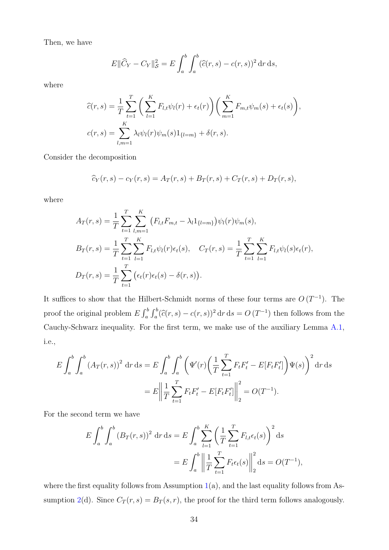Then, we have

$$
E\|\widehat{C}_Y - C_Y\|_{\mathcal{S}}^2 = E\int_a^b \int_a^b (\widehat{c}(r,s) - c(r,s))^2 \,dr\,ds,
$$

where

$$
\widehat{c}(r,s) = \frac{1}{T} \sum_{t=1}^{T} \left( \sum_{l=1}^{K} F_{l,t} \psi_l(r) + \epsilon_t(r) \right) \left( \sum_{m=1}^{K} F_{m,t} \psi_m(s) + \epsilon_t(s) \right),
$$
  

$$
c(r,s) = \sum_{l,m=1}^{K} \lambda_l \psi_l(r) \psi_m(s) 1_{\{l=m\}} + \delta(r,s).
$$

Consider the decomposition

$$
\hat{c}_Y(r,s) - c_Y(r,s) = A_T(r,s) + B_T(r,s) + C_T(r,s) + D_T(r,s),
$$

where

$$
A_T(r,s) = \frac{1}{T} \sum_{t=1}^T \sum_{l,m=1}^K (F_{l,t}F_{m,t} - \lambda_l 1_{\{l=m\}}) \psi_l(r)\psi_m(s),
$$
  
\n
$$
B_T(r,s) = \frac{1}{T} \sum_{t=1}^T \sum_{l=1}^K F_{l,t}\psi_l(r)\epsilon_t(s), \quad C_T(r,s) = \frac{1}{T} \sum_{t=1}^T \sum_{l=1}^K F_{l,t}\psi_l(s)\epsilon_t(r),
$$
  
\n
$$
D_T(r,s) = \frac{1}{T} \sum_{t=1}^T (\epsilon_t(r)\epsilon_t(s) - \delta(r,s)).
$$

It suffices to show that the Hilbert-Schmidt norms of these four terms are  $O(T^{-1})$ . The proof the original problem  $E \int_a^b \int_a^b (\hat{c}(r, s) - c(r, s))^2 dr ds = O(T^{-1})$  then follows from the Cauchy-Schwarz inequality. For the first term, we make use of the auxiliary Lemma [A.1,](#page-31-1) i.e.,

$$
E \int_{a}^{b} \int_{a}^{b} (A_{T}(r,s))^{2} dr ds = E \int_{a}^{b} \int_{a}^{b} \left( \Psi'(r) \left( \frac{1}{T} \sum_{t=1}^{T} F_{t} F'_{t} - E[F_{t} F'_{t}] \right) \Psi(s) \right)^{2} dr ds
$$
  
= 
$$
E \left\| \frac{1}{T} \sum_{t=1}^{T} F_{t} F'_{t} - E[F_{t} F'_{t}] \right\|_{2}^{2} = O(T^{-1}).
$$

For the second term we have

$$
E \int_{a}^{b} \int_{a}^{b} (B_{T}(r, s))^{2} dr ds = E \int_{a}^{b} \sum_{l=1}^{K} \left( \frac{1}{T} \sum_{t=1}^{T} F_{l,t} \epsilon_{t}(s) \right)^{2} ds
$$
  
= 
$$
E \int_{a}^{b} \left\| \frac{1}{T} \sum_{t=1}^{T} F_{t} \epsilon_{t}(s) \right\|_{2}^{2} ds = O(T^{-1}),
$$

where the first equality follows from Assumption  $1(a)$  $1(a)$ , and the last equality follows from As-sumption [2\(](#page-7-0)d). Since  $C_T(r, s) = B_T(s, r)$ , the proof for the third term follows analogously.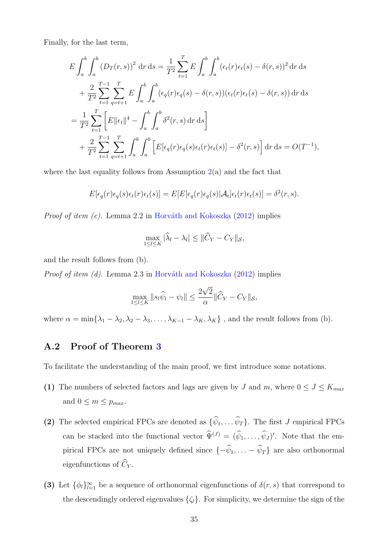Finally, for the last term,

$$
E \int_{a}^{b} \int_{a}^{b} (D_{T}(r, s))^{2} dr ds = \frac{1}{T^{2}} \sum_{t=1}^{T} E \int_{a}^{b} \int_{a}^{b} (\epsilon_{t}(r) \epsilon_{t}(s) - \delta(r, s))^{2} dr ds
$$
  
+ 
$$
\frac{2}{T^{2}} \sum_{t=1}^{T-1} \sum_{q=t+1}^{T} E \int_{a}^{b} \int_{a}^{b} (\epsilon_{q}(r) \epsilon_{q}(s) - \delta(r, s)) (\epsilon_{t}(r) \epsilon_{t}(s) - \delta(r, s)) dr ds
$$
  
= 
$$
\frac{1}{T^{2}} \sum_{t=1}^{T} \left[ E \|\epsilon_{t}\|^{4} - \int_{a}^{b} \int_{a}^{b} \delta^{2}(r, s) dr ds \right]
$$
  
+ 
$$
\frac{2}{T^{2}} \sum_{t=1}^{T-1} \sum_{q=t+1}^{T} \int_{a}^{b} \int_{a}^{b} \left[ E[\epsilon_{q}(r) \epsilon_{q}(s) \epsilon_{t}(r) \epsilon_{t}(s)] - \delta^{2}(r, s) \right] dr ds = O(T^{-1}),
$$

where the last equality follows from Assumption  $2(a)$  $2(a)$  and the fact that

$$
E[\epsilon_q(r)\epsilon_q(s)\epsilon_t(r)\epsilon_t(s)] = E[E[\epsilon_q(r)\epsilon_q(s)|\mathcal{A}_t]\epsilon_t(r)\epsilon_t(s)] = \delta^2(r,s).
$$

*Proof of item (c).* Lemma 2.2 in Horváth and Kokoszka  $(2012)$  implies

$$
\max_{1 \leq l \leq K} |\widehat{\lambda}_l - \lambda_l| \leq ||\widehat{C}_Y - C_Y||_{\mathcal{S}},
$$

and the result follows from (b).

*Proof of item (d).* Lemma 2.3 in Horváth and Kokoszka  $(2012)$  implies

$$
\max_{1 \leq l \leq K} \|s_l \widehat{\psi}_l - \psi_l\| \leq \frac{2\sqrt{2}}{\alpha} \|\widehat{C}_Y - C_Y\|_{\mathcal{S}},
$$

where  $\alpha = \min\{\lambda_1 - \lambda_2, \lambda_2 - \lambda_3, \ldots, \lambda_{K-1} - \lambda_K, \lambda_K\}$ , and the result follows from (b).

### <span id="page-34-0"></span>A.2 Proof of Theorem [3](#page-15-0)

To facilitate the understanding of the main proof, we first introduce some notations.

- (1) The numbers of selected factors and lags are given by J and m, where  $0 \le J \le K_{max}$ and  $0 \leq m \leq p_{max}$ .
- (2) The selected empirical FPCs are denoted as  $\{\widehat{\psi}_1, \ldots \widehat{\psi}_T\}$ . The first J empirical FPCs can be stacked into the functional vector  $\hat{\Psi}^{(J)} = (\hat{\psi}_1, \dots, \hat{\psi}_J)'$ . Note that the empirical FPCs are not uniquely defined since  $\{-\hat{\psi}_1, \ldots - \hat{\psi}_T\}$  are also orthonormal eigenfunctions of  $\widehat{C}_Y$ .
- (3) Let  $\{\phi_l\}_{l=1}^{\infty}$  be a sequence of orthonormal eigenfunctions of  $\delta(r, s)$  that correspond to the descendingly ordered eigenvalues  $\{\zeta_l\}$ . For simplicity, we determine the sign of the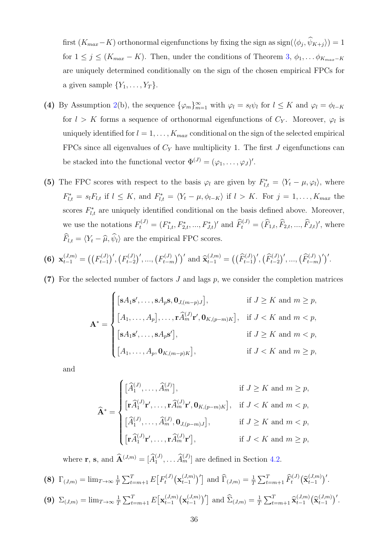first  $(K_{max} - K)$  orthonormal eigenfunctions by fixing the sign as  $sign(\langle \phi_j, \psi_{K+j} \rangle) = 1$ for  $1 \leq j \leq (K_{max} - K)$ . Then, under the conditions of Theorem [3,](#page-15-0)  $\phi_1, \ldots, \phi_{K_{max} - K}$ are uniquely determined conditionally on the sign of the chosen empirical FPCs for a given sample  $\{Y_1, \ldots, Y_T\}$ .

- (4) By Assumption [2\(](#page-7-0)b), the sequence  $\{\varphi_m\}_{m=1}^{\infty}$  with  $\varphi_l = s_l \psi_l$  for  $l \leq K$  and  $\varphi_l = \phi_{l-K}$ for  $l > K$  forms a sequence of orthonormal eigenfunctions of  $C_Y$ . Moreover,  $\varphi_l$  is uniquely identified for  $l = 1, \ldots, K_{max}$  conditional on the sign of the selected empirical FPCs since all eigenvalues of  $C_Y$  have multiplicity 1. The first  $J$  eigenfunctions can be stacked into the functional vector  $\Phi^{(J)} = (\varphi_1, \dots, \varphi_J)'$ .
- (5) The FPC scores with respect to the basis  $\varphi_l$  are given by  $F_{l,t}^* = \langle Y_t \mu, \varphi_l \rangle$ , where  $F_{l,t}^* = s_l F_{l,t}$  if  $l \leq K$ , and  $F_{l,t}^* = \langle Y_t - \mu, \phi_{l-K} \rangle$  if  $l > K$ . For  $j = 1, \ldots, K_{max}$  the scores  $F_{l,t}^*$  are uniquely identified conditional on the basis defined above. Moreover, we use the notations  $F_t^{(J)} = (F_{1,t}^*, F_{2,t}^*, ..., F_{J,t}^*)'$  and  $\hat{F}_t^{(J)} = (\hat{F}_{1,t}, \hat{F}_{2,t}, ..., \hat{F}_{J,t})'$ , where  $\widehat{F}_{l,t} = \langle Y_t - \widehat{\mu}, \widehat{\psi}_l \rangle$  are the empirical FPC scores.

$$
\textbf{(6)}\ \ \mathbf{x}_{t-1}^{(J,m)} = \big(\big(F_{t-1}^{(J)}\big)',\big(F_{t-2}^{(J)}\big)',\dots,\big(F_{t-m}^{(J)}\big)'\big)' \text{ and } \widehat{\mathbf{x}}_{t-1}^{(J,m)} = \big(\big(\widehat{F}_{t-1}^{(J)}\big)',\big(\widehat{F}_{t-2}^{(J)}\big)',\dots,\big(\widehat{F}_{t-m}^{(J)}\big)'\big)'.
$$

(7) For the selected number of factors  $J$  and lags  $p$ , we consider the completion matrices

$$
\mathbf{A}^* = \begin{cases}\n[\mathbf{s}A_1\mathbf{s}', \dots, \mathbf{s}A_p\mathbf{s}, \mathbf{0}_{J,(m-p)J}], & \text{if } J \geq K \text{ and } m \geq p, \\
[A_1, \dots, A_p], \dots, \mathbf{r}\widehat{A}_m^{(J)}\mathbf{r}', \mathbf{0}_{K,(p-m)K}], & \text{if } J < K \text{ and } m < p, \\
[\mathbf{s}A_1\mathbf{s}', \dots, \mathbf{s}A_p\mathbf{s}'], & \text{if } J \geq K \text{ and } m < p, \\
[A_1, \dots, A_p, \mathbf{0}_{K,(m-p)K}], & \text{if } J < K \text{ and } m \geq p,\n\end{cases}
$$

and

$$
\widehat{\mathbf{A}}^* = \begin{cases}\n[\widehat{A}_1^{(J)}, \dots, \widehat{A}_m^{(J)}], & \text{if } J \geq K \text{ and } m \geq p, \\
[\mathbf{r}\widehat{A}_1^{(J)}\mathbf{r}', \dots, \mathbf{r}\widehat{A}_m^{(J)}\mathbf{r}', \mathbf{0}_{K,(p-m)K}], & \text{if } J < K \text{ and } m < p, \\
[\widehat{A}_1^{(J)}, \dots, \widehat{A}_m^{(J)}, \mathbf{0}_{J,(p-m)J}], & \text{if } J \geq K \text{ and } m < p, \\
[\mathbf{r}\widehat{A}_1^{(J)}\mathbf{r}', \dots, \mathbf{r}\widehat{A}_m^{(J)}\mathbf{r}'], & \text{if } J < K \text{ and } m \geq p,\n\end{cases}
$$

where **r**, **s**, and  $\widehat{\mathbf{A}}^{(J,m)} = [\widehat{A}_1^{(J)}, \dots, \widehat{A}_m^{(J)}]$  are defined in Section [4.2.](#page-14-0)

$$
\textbf{(8)}\ \Gamma_{(J,m)} = \lim_{T \to \infty} \frac{1}{T} \sum_{t=m+1}^{T} E\big[F_t^{(J)}\big(\mathbf{x}_{t-1}^{(J,m)}\big)'\big] \text{ and } \widehat{\Gamma}_{(J,m)} = \frac{1}{T} \sum_{t=m+1}^{T} \widehat{F}_t^{(J)}\big(\widehat{\mathbf{x}}_{t-1}^{(J,m)}\big)'\text{.}
$$

$$
\textbf{(9)}\ \ \Sigma_{(J,m)} = \lim_{T \to \infty} \frac{1}{T} \sum_{t=m+1}^{T} E\big[\mathbf{x}_{t-1}^{(J,m)} \big(\mathbf{x}_{t-1}^{(J,m)}\big)'\big] \text{ and } \widehat{\Sigma}_{(J,m)} = \frac{1}{T} \sum_{t=m+1}^{T} \widehat{\mathbf{x}}_{t-1}^{(J,m)} \big(\widehat{\mathbf{x}}_{t-1}^{(J,m)}\big)'\,.
$$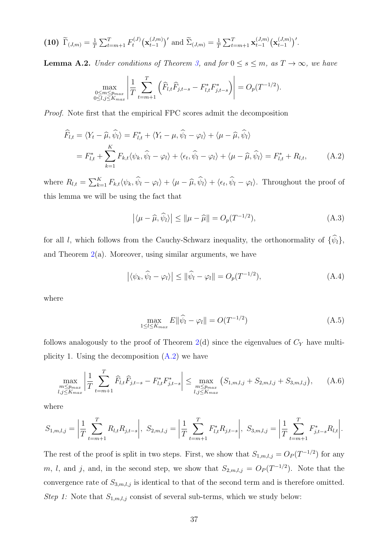(10) 
$$
\widetilde{\Gamma}_{(J,m)} = \frac{1}{T} \sum_{t=m+1}^{T} F_t^{(J)} (\mathbf{x}_{t-1}^{(J,m)})'
$$
 and  $\widetilde{\Sigma}_{(J,m)} = \frac{1}{T} \sum_{t=m+1}^{T} \mathbf{x}_{t-1}^{(J,m)} (\mathbf{x}_{t-1}^{(J,m)})'.$ 

<span id="page-36-4"></span>**Lemma A.2.** Under conditions of Theorem [3,](#page-15-0) and for  $0 \le s \le m$ , as  $T \to \infty$ , we have

$$
\max_{\substack{0 \le m \le p_{max} \\ 0 \le l, j \le K_{max}}} \left| \frac{1}{T} \sum_{t=m+1}^T \left( \widehat{F}_{l,t} \widehat{F}_{j,t-s} - F_{l,t}^* F_{j,t-s}^* \right) \right| = O_p(T^{-1/2}).
$$

Proof. Note first that the empirical FPC scores admit the decomposition

$$
\widehat{F}_{l,t} = \langle Y_t - \widehat{\mu}, \widehat{\psi}_l \rangle = F_{l,t}^* + \langle Y_t - \mu, \widehat{\psi}_l - \varphi_l \rangle + \langle \mu - \widehat{\mu}, \widehat{\psi}_l \rangle
$$
\n
$$
= F_{l,t}^* + \sum_{k=1}^K F_{k,t} \langle \psi_k, \widehat{\psi}_l - \varphi_l \rangle + \langle \epsilon_t, \widehat{\psi}_l - \varphi_l \rangle + \langle \mu - \widehat{\mu}, \widehat{\psi}_l \rangle = F_{l,t}^* + R_{l,t}, \tag{A.2}
$$

where  $R_{l,t} = \sum_{k=1}^{K} F_{k,t} \langle \psi_k, \hat{\psi}_l - \varphi_l \rangle + \langle \mu - \hat{\mu}, \hat{\psi}_l \rangle + \langle \epsilon_t, \hat{\psi}_l - \varphi_l \rangle$ . Throughout the proof of this lemma we will be using the fact that

<span id="page-36-2"></span><span id="page-36-0"></span>
$$
\left| \langle \mu - \widehat{\mu}, \widehat{\psi}_l \rangle \right| \le \|\mu - \widehat{\mu}\| = O_p(T^{-1/2}), \tag{A.3}
$$

for all l, which follows from the Cauchy-Schwarz inequality, the orthonormality of  $\{\hat{\psi}_l\}$ , and Theorem  $2(a)$  $2(a)$ . Moreover, using similar arguments, we have

<span id="page-36-1"></span>
$$
\left| \langle \psi_k, \widehat{\psi}_l - \varphi_l \rangle \right| \leq \|\widehat{\psi}_l - \varphi_l\| = O_p(T^{-1/2}), \tag{A.4}
$$

where

<span id="page-36-5"></span><span id="page-36-3"></span>
$$
\max_{1 \le l \le K_{max}} E \|\widehat{\psi}_l - \varphi_l\| = O(T^{-1/2}) \tag{A.5}
$$

follows analogously to the proof of Theorem  $2(d)$  $2(d)$  since the eigenvalues of  $C_Y$  have multiplicity 1. Using the decomposition  $(A.2)$  we have

$$
\max_{\substack{m \le p_{max} \\ l,j \le K_{max}}} \left| \frac{1}{T} \sum_{t=m+1}^{T} \widehat{F}_{l,t} \widehat{F}_{j,t-s} - F_{l,t}^* F_{j,t-s}^* \right| \le \max_{\substack{m \le p_{max} \\ l,j \le K_{max}}} \left( S_{1,m,l,j} + S_{2,m,l,j} + S_{3,m,l,j} \right), \tag{A.6}
$$

where

$$
S_{1,m,l,j} = \left| \frac{1}{T} \sum_{t=m+1}^{T} R_{l,t} R_{j,t-s} \right|, \ S_{2,m,l,j} = \left| \frac{1}{T} \sum_{t=m+1}^{T} F_{l,t}^{*} R_{j,t-s} \right|, \ S_{3,m,l,j} = \left| \frac{1}{T} \sum_{t=m+1}^{T} F_{j,t-s}^{*} R_{l,t} \right|.
$$

The rest of the proof is split in two steps. First, we show that  $S_{1,m,l,j} = O_P(T^{-1/2})$  for any m, l, and j, and, in the second step, we show that  $S_{2,m,l,j} = O_P(T^{-1/2})$ . Note that the convergence rate of  $S_{3,m,l,j}$  is identical to that of the second term and is therefore omitted. Step 1: Note that  $S_{1,m,l,j}$  consist of several sub-terms, which we study below: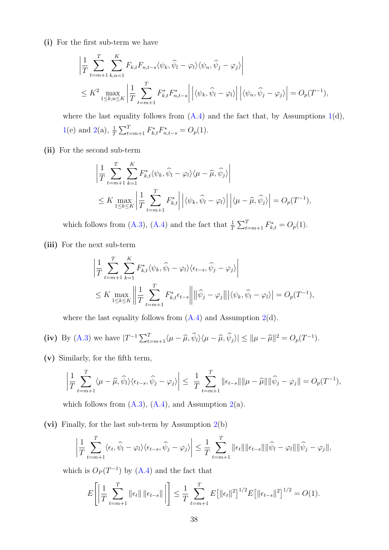(i) For the first sub-term we have

$$
\left| \frac{1}{T} \sum_{t=m+1}^{T} \sum_{k,n=1}^{K} F_{k,t} F_{n,t-s} \langle \psi_k, \widehat{\psi}_l - \varphi_l \rangle \langle \psi_n, \widehat{\psi}_j - \varphi_j \rangle \right|
$$
  
\n
$$
\leq K^2 \max_{1 \leq k,n \leq K} \left| \frac{1}{T} \sum_{t=m+1}^{T} F_{k,t}^* F_{n,t-s}^* \right| \left| \langle \psi_k, \widehat{\psi}_l - \varphi_l \rangle \right| \left| \langle \psi_n, \widehat{\psi}_j - \varphi_j \rangle \right| = O_p(T^{-1}),
$$

where the last equality follows from  $(A.4)$  and the fact that, by Assumptions [1\(](#page-6-0)d), [1\(](#page-6-0)e) and [2\(](#page-7-0)a),  $\frac{1}{T} \sum_{t=m+1}^{T} F_{k,t}^* F_{n,t-s}^* = O_p(1)$ .

(ii) For the second sub-term

$$
\left| \frac{1}{T} \sum_{t=m+1}^{T} \sum_{k=1}^{K} F_{k,t}^* \langle \psi_k, \widehat{\psi}_l - \varphi_l \rangle \langle \mu - \widehat{\mu}, \widehat{\psi}_j \rangle \right|
$$
  
 
$$
\leq K \max_{1 \leq k \leq K} \left| \frac{1}{T} \sum_{t=m+1}^{T} F_{k,t}^* \right| \left| \langle \psi_k, \widehat{\psi}_l - \varphi_l \rangle \right| \left| \langle \mu - \widehat{\mu}, \widehat{\psi}_j \rangle \right| = O_p(T^{-1}),
$$

which follows from [\(A.3\)](#page-36-2), [\(A.4\)](#page-36-1) and the fact that  $\frac{1}{T} \sum_{t=m+1}^{T} F_{k,t}^* = O_p(1)$ .

(iii) For the next sub-term

$$
\left| \frac{1}{T} \sum_{t=m+1}^{T} \sum_{k=1}^{K} F_{k,t}^* \langle \psi_k, \widehat{\psi}_l - \varphi_l \rangle \langle \epsilon_{t-s}, \widehat{\psi}_j - \varphi_j \rangle \right|
$$
  
 
$$
\leq K \max_{1 \leq k \leq K} \left\| \frac{1}{T} \sum_{t=m+1}^{T} F_{k,t}^* \epsilon_{t-s} \right\| \left\| \widehat{\psi}_j - \varphi_j \right\| \left| \langle \psi_k, \widehat{\psi}_l - \varphi_l \rangle \right| = O_p(T^{-1}),
$$

where the last equality follows from  $(A.4)$  and Assumption  $2(d)$  $2(d)$ .

(iv) By (A.3) we have 
$$
|T^{-1}\sum_{t=m+1}^{T} \langle \mu - \widehat{\mu}, \widehat{\psi}_l \rangle \langle \mu - \widehat{\mu}, \widehat{\psi}_j \rangle| \le ||\mu - \widehat{\mu}||^2 = O_p(T^{-1}).
$$

(v) Similarly, for the fifth term,

$$
\left|\frac{1}{T}\sum_{t=m+1}^T\langle\mu-\widehat{\mu},\widehat{\psi}_l\rangle\langle\epsilon_{t-s},\widehat{\psi}_j-\varphi_j\rangle\right|\leq \left|\frac{1}{T}\sum_{t=m+1}^T\|\epsilon_{t-s}\|\|\mu-\widehat{\mu}\|\|\widehat{\psi}_j-\varphi_j\|=O_p(T^{-1}),
$$

which follows from  $(A.3)$ ,  $(A.4)$ , and Assumption  $2(a)$  $2(a)$ .

(vi) Finally, for the last sub-term by Assumption [2\(](#page-7-0)b)

$$
\left|\frac{1}{T}\sum_{t=m+1}^T \langle \epsilon_t, \widehat{\psi}_l - \varphi_l \rangle \langle \epsilon_{t-s}, \widehat{\psi}_j - \varphi_j \rangle \right| \leq \frac{1}{T}\sum_{t=m+1}^T \|\epsilon_t\| \|\epsilon_{t-s}\| \|\widehat{\psi}_l - \varphi_l\| \|\widehat{\psi}_j - \varphi_j\|,
$$

which is  $O_P(T^{-1})$  by [\(A.4\)](#page-36-1) and the fact that

$$
E\left[\left|\frac{1}{T}\sum_{t=m+1}^{T}\|\epsilon_t\| \|\epsilon_{t-s}\|\right|\right] \leq \frac{1}{T}\sum_{t=m+1}^{T}E\left[\|\epsilon_t\|^2\right]^{1/2}E\left[\|\epsilon_{t-s}\|^2\right]^{1/2} = O(1).
$$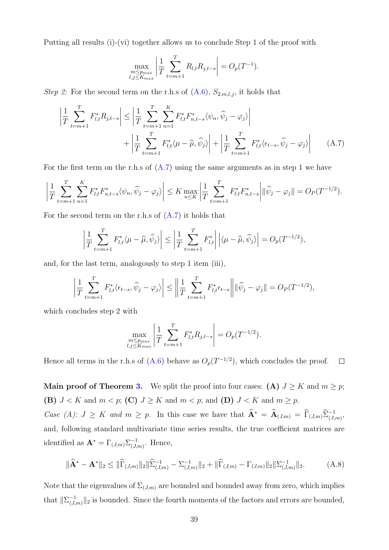Putting all results (i)-(vi) together allows us to conclude Step 1 of the proof with

<span id="page-38-0"></span>
$$
\max_{\substack{m \le p_{max} \\ l,j \le K_{max}}} \left| \frac{1}{T} \sum_{t=m+1}^{T} R_{l,t} R_{j,t-s} \right| = O_p(T^{-1}).
$$

Step 2: For the second term on the r.h.s of  $(A.6)$ ,  $S_{2,m,l,j}$ , it holds that

$$
\left| \frac{1}{T} \sum_{t=m+1}^{T} F_{l,t}^{*} R_{j,t-s} \right| \leq \left| \frac{1}{T} \sum_{t=m+1}^{T} \sum_{n=1}^{K} F_{l,t}^{*} F_{n,t-s}^{*} \langle \psi_n, \widehat{\psi}_j - \varphi_j \rangle \right| + \left| \frac{1}{T} \sum_{t=m+1}^{T} F_{l,t}^{*} \langle \psi_{t-s}, \widehat{\psi}_j - \varphi_j \rangle \right| \tag{A.7}
$$

For the first term on the r.h.s of  $(A.7)$  using the same arguments as in step 1 we have

$$
\left| \frac{1}{T} \sum_{t=m+1}^{T} \sum_{n=1}^{K} F_{l,t}^{*} F_{n,t-s}^{*} \langle \psi_n, \widehat{\psi}_j - \varphi_j \rangle \right| \leq K \max_{n \leq K} \left| \frac{1}{T} \sum_{t=m+1}^{T} F_{l,t}^{*} F_{n,t-s}^{*} \right| \| \widehat{\psi}_j - \varphi_j \| = O_P(T^{-1/2}).
$$

For the second term on the r.h.s of  $(A.7)$  it holds that

$$
\left|\frac{1}{T}\sum_{t=m+1}^T F_{l,t}^* \langle \mu - \widehat{\mu}, \widehat{\psi}_j \rangle \right| \le \left|\frac{1}{T}\sum_{t=m+1}^T F_{l,t}^* \right| \left| \langle \mu - \widehat{\mu}, \widehat{\psi}_j \rangle \right| = O_p(T^{-1/2}),
$$

and, for the last term, analogously to step 1 item (iii),

$$
\left| \frac{1}{T} \sum_{t=m+1}^{T} F_{l,t}^{*} \langle \epsilon_{t-s}, \widehat{\psi}_j - \varphi_j \rangle \right| \leq \left\| \frac{1}{T} \sum_{t=m+1}^{T} F_{l,t}^{*} \epsilon_{t-s} \right\| \|\widehat{\psi}_j - \varphi_j\| = O_P(T^{-1/2}),
$$

which concludes step 2 with

<span id="page-38-1"></span>
$$
\max_{\substack{m \le p_{max} \\ l,j \le K_{max}}} \left| \frac{1}{T} \sum_{t=m+1}^{T} F_{l,t}^* R_{j,t-s} \right| = O_p(T^{-1/2}).
$$

Hence all terms in the r.h.s of  $(A.6)$  behave as  $O_p(T^{-1/2})$ , which concludes the proof.  $\Box$ 

**Main proof of Theorem [3.](#page-15-0)** We split the proof into four cases: (A)  $J \ge K$  and  $m \ge p$ ; (B)  $J < K$  and  $m < p$ ; (C)  $J \geq K$  and  $m < p$ ; and (D)  $J < K$  and  $m \geq p$ . Case (A):  $J \geq K$  and  $m \geq p$ . In this case we have that  $\widehat{A}^* = \widehat{A}_{(J,m)} = \widehat{\Gamma}_{(J,m)}\widehat{\Sigma}_{(J,m)}^{-1}$ , and, following standard multivariate time series results, the true coefficient matrices are identified as  $\mathbf{A}^* = \Gamma_{(J,m)} \Sigma_{(J,m)}^{-1}$  $\frac{-1}{(J,m)}$ . Hence,

$$
\|\widehat{\mathbf{A}}^* - \mathbf{A}^*\|_2 \le \|\widehat{\Gamma}_{(J,m)}\|_2 \|\widehat{\Sigma}_{(J,m)}^{-1} - \Sigma_{(J,m)}^{-1}\|_2 + \|\widehat{\Gamma}_{(J,m)} - \Gamma_{(J,m)}\|_2 \|\Sigma_{(J,m)}^{-1}\|_2. \tag{A.8}
$$

Note that the eigenvalues of  $\Sigma_{(J,m)}$  are bounded and bounded away from zero, which implies that  $\|\Sigma_{\epsilon I}^{-1}\|$  $\|u_{(J,m)}^{-1}\|_2$  is bounded. Since the fourth moments of the factors and errors are bounded,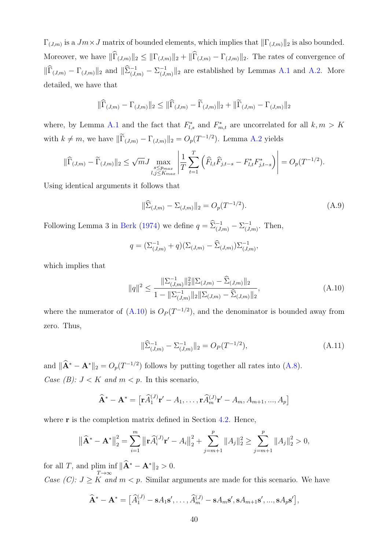$\Gamma_{(J,m)}$  is a  $Jm \times J$  matrix of bounded elements, which implies that  $\|\Gamma_{(J,m)}\|_2$  is also bounded. Moreover, we have  $\|\widehat{\Gamma}_{(J,m)}\|_2 \leq \|\Gamma_{(J,m)}\|_2 + \|\widehat{\Gamma}_{(J,m)} - \Gamma_{(J,m)}\|_2$ . The rates of convergence of  $\|\widehat{\Gamma}_{(J,m)} - \Gamma_{(J,m)}\|_2$  and  $\|\widehat{\Sigma}_{(J,m)}^{-1} - \Sigma_{(J,m)}^{-1}\|_2$  $\binom{-1}{(J,m)}\|_2$  are established by Lemmas [A.1](#page-31-1) and [A.2.](#page-36-4) More detailed, we have that

$$
\|\widehat{\Gamma}_{(J,m)} - \Gamma_{(J,m)}\|_2 \le \|\widehat{\Gamma}_{(J,m)} - \widetilde{\Gamma}_{(J,m)}\|_2 + \|\widetilde{\Gamma}_{(J,m)} - \Gamma_{(J,m)}\|_2
$$

where, by Lemma [A.1](#page-31-1) and the fact that  $F_{l,s}^*$  and  $F_{m,t}^*$  are uncorrelated for all  $k, m > K$ with  $k \neq m$ , we have  $\|\Gamma_{(J,m)} - \Gamma_{(J,m)}\|_2 = O_p(T^{-1/2})$ . Lemma [A.2](#page-36-4) yields

$$
\|\widehat{\Gamma}_{(J,m)} - \widetilde{\Gamma}_{(J,m)}\|_2 \le \sqrt{m} J \max_{\substack{s \le p_{max} \\ l,j \le K_{max}}} \left| \frac{1}{T} \sum_{t=1}^T \left( \widehat{F}_{l,t} \widehat{F}_{j,t-s} - F_{l,t}^* F_{j,t-s}^* \right) \right| = O_p(T^{-1/2}).
$$

Using identical arguments it follows that

<span id="page-39-1"></span>
$$
\|\widehat{\Sigma}_{(J,m)} - \Sigma_{(J,m)}\|_2 = O_p(T^{-1/2}).\tag{A.9}
$$

Following Lemma 3 in [Berk](#page-28-13) [\(1974\)](#page-28-13) we define  $q = \widehat{\Sigma}_{(J,m)}^{-1} - \Sigma_{(J,m)}^{-1}$  $\overline{J}_{(J,m)}^{-1}$ . Then,

$$
q = (\Sigma_{(J,m)}^{-1} + q)(\Sigma_{(J,m)} - \widehat{\Sigma}_{(J,m)})\Sigma_{(J,m)}^{-1},
$$

which implies that

$$
||q||^2 \le \frac{||\Sigma_{(J,m)}^{-1}||_2^2 ||\Sigma_{(J,m)} - \widehat{\Sigma}_{(J,m)}||_2}{1 - ||\Sigma_{(J,m)}^{-1}||_2 ||\Sigma_{(J,m)} - \widehat{\Sigma}_{(J,m)}||_2},
$$
\n(A.10)

where the numerator of  $(A.10)$  is  $O_p(T^{-1/2})$ , and the denominator is bounded away from zero. Thus,

<span id="page-39-2"></span><span id="page-39-0"></span>
$$
\|\widehat{\Sigma}_{(J,m)}^{-1} - \Sigma_{(J,m)}^{-1}\|_2 = O_P(T^{-1/2}),\tag{A.11}
$$

and  $\|\hat{\mathbf{A}}^* - \mathbf{A}^*\|_2 = O_p(T^{-1/2})$  follows by putting together all rates into [\(A.8\)](#page-38-1). Case (B):  $J < K$  and  $m < p$ . In this scenario,

$$
\widehat{\mathbf{A}}^* - \mathbf{A}^* = \left[ \mathbf{r} \widehat{A}_1^{(J)} \mathbf{r}' - A_1, \dots, \mathbf{r} \widehat{A}_m^{(J)} \mathbf{r}' - A_m, A_{m+1}, \dots, A_p \right]
$$

where **r** is the completion matrix defined in Section [4.2.](#page-14-0) Hence,

$$
\left\|\widehat{\mathbf{A}}^* - \mathbf{A}^*\right\|_2^2 = \sum_{i=1}^m \left\|\mathbf{r}\widehat{A}_i^{(J)}\mathbf{r}' - A_i\right\|_2^2 + \sum_{j=m+1}^p \|A_j\|_2^2 \ge \sum_{j=m+1}^p \|A_j\|_2^2 > 0,
$$

for all T, and plim inf  $\|\hat{\mathbf{A}}^* - \mathbf{A}^*\|_2 > 0$ .  $T\rightarrow\infty$ 

Case (C):  $J \geq K$  and  $m < p$ . Similar arguments are made for this scenario. We have

$$
\widehat{\mathbf{A}}^* - \mathbf{A}^* = \left[ \widehat{A}_1^{(J)} - sA_1 s', \dots, \widehat{A}_m^{(J)} - sA_m s', sA_{m+1} s', \dots, sA_p s' \right],
$$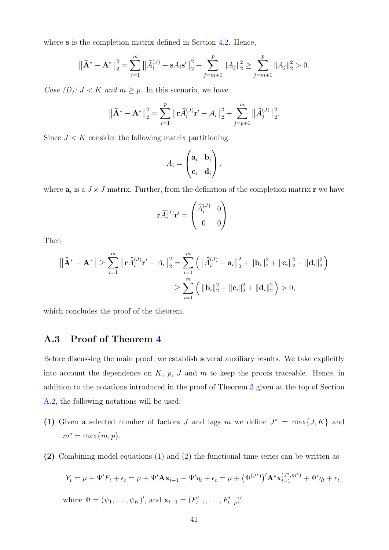where **s** is the completion matrix defined in Section [4.2.](#page-14-0) Hence,

$$
\left\|\widehat{\mathbf{A}}^* - \mathbf{A}^*\right\|_2^2 = \sum_{i=1}^m \left\|\widehat{A}_i^{(J)} - sA_i s'\right\|_2^2 + \sum_{j=m+1}^p \|A_j\|_2^2 \ge \sum_{j=m+1}^p \|A_j\|_2^2 > 0.
$$

Case (D):  $J < K$  and  $m \geq p$ . In this scenario, we have

$$
\left\|\widehat{\mathbf{A}}^* - \mathbf{A}^*\right\|_2^2 = \sum_{i=1}^p \left\|\mathbf{r}\widehat{A}_i^{(J)}\mathbf{r}' - A_i\right\|_2^2 + \sum_{j=p+1}^m \left\|\widehat{A}_j^{(J)}\right\|_2^2.
$$

Since  $J < K$  consider the following matrix partitioning

$$
A_i = \begin{pmatrix} \mathbf{a}_i & \mathbf{b}_i \\ \mathbf{c}_i & \mathbf{d}_i \end{pmatrix},
$$

where  $a_i$  is a  $J \times J$  matrix. Further, from the definition of the completion matrix **r** we have

$$
\mathbf{r}\widehat{A}_i^{(J)}\mathbf{r}' = \begin{pmatrix} \widehat{A}_i^{(J)} & 0 \\ 0 & 0 \end{pmatrix}.
$$

Then

$$
\|\widehat{\mathbf{A}}^* - \mathbf{A}^*\| \ge \sum_{i=1}^m \|\mathbf{r}\widehat{A}_i^{(J)}\mathbf{r}' - A_i\|_2^2 = \sum_{i=1}^m \left( \|\widehat{A}_i^{(J)} - \mathbf{a}_i\|_2^2 + \|\mathbf{b}_i\|_2^2 + \|\mathbf{c}_i\|_2^2 + \|\mathbf{d}_i\|_2^2 \right)
$$
  

$$
\ge \sum_{i=1}^m \left( \|\mathbf{b}_i\|_2^2 + \|\mathbf{c}_i\|_2^2 + \|\mathbf{d}_i\|_2^2 \right) > 0,
$$

which concludes the proof of the theorem.

### A.3 Proof of Theorem [4](#page-16-0)

Before discussing the main proof, we establish several auxiliary results. We take explicitly into account the dependence on  $K$ ,  $p$ ,  $J$  and  $m$  to keep the proofs traceable. Hence, in addition to the notations introduced in the proof of Theorem [3](#page-15-0) given at the top of Section [A.2,](#page-34-0) the following notations will be used:

- (1) Given a selected number of factors J and lags m we define  $J^* = \max\{J, K\}$  and  $m^* = \max\{m, p\}.$
- (2) Combining model equations [\(1\)](#page-5-1) and [\(2\)](#page-5-2) the functional time series can be written as

$$
Y_t = \mu + \Psi' F_t + \epsilon_t = \mu + \Psi' \mathbf{A} \mathbf{x}_{t-1} + \Psi' \eta_t + \epsilon_t = \mu + \left(\Phi^{(J^*)}\right)' \mathbf{A}^* \mathbf{x}_{t-1}^{(J^*, m^*)} + \Psi' \eta_t + \epsilon_t,
$$
  
where  $\Psi = (\psi_1, \dots, \psi_K)'$ , and  $\mathbf{x}_{t-1} = (F'_{t-1}, \dots, F'_{t-p})'$ .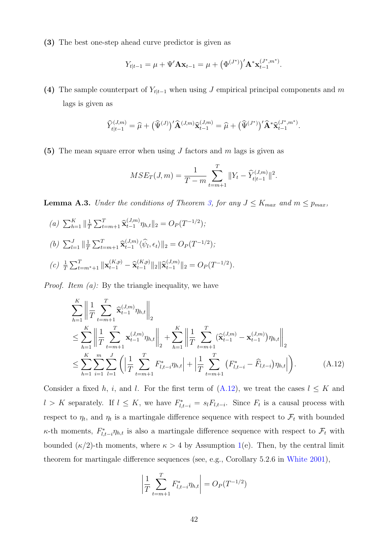(3) The best one-step ahead curve predictor is given as

$$
Y_{t|t-1} = \mu + \Psi' \mathbf{A} \mathbf{x}_{t-1} = \mu + (\Phi^{(J^*)})' \mathbf{A}^* \mathbf{x}_{t-1}^{(J^*,m^*)}.
$$

(4) The sample counterpart of  $Y_{t|t-1}$  when using J empirical principal components and m lags is given as

$$
\widehat{Y}_{t|t-1}^{(J,m)} = \widehat{\mu} + \big(\widehat{\Psi}^{(J)}\big)' \widehat{\mathbf{A}}^{(J,m)} \widehat{\mathbf{x}}_{t-1}^{(J,m)} = \widehat{\mu} + \big(\widehat{\Psi}^{(J^*)}\big)' \widehat{\mathbf{A}}^* \widehat{\mathbf{x}}_{t-1}^{(J^*,m^*)}.
$$

(5) The mean square error when using  $J$  factors and  $m$  lags is given as

$$
MSE_T(J,m) = \frac{1}{T-m} \sum_{t=m+1}^{T} ||Y_t - \widehat{Y}_{t|t-1}^{(J,m)}||^2.
$$

**Lemma A.3.** Under the conditions of Theorem [3,](#page-15-0) for any  $J \leq K_{max}$  and  $m \leq p_{max}$ ,

(a)  $\sum_{h=1}^{K} \|\frac{1}{T}\|$  $\frac{1}{T} \sum_{t=m+1}^T \mathbf{\widehat{x}}_{t-1}^{(J,m)}$  $t_{t-1}^{(J,m)}\eta_{h,t}\|_2 = O_P(T^{-1/2});$ (*b*)  $\sum_{l=1}^{J} \|\frac{1}{T}\|$  $\frac{1}{T} \sum_{t=m+1}^T \mathbf{\widehat{x}}_{t-1}^{(J,m)}$  $(t^{(J,m)}_{t-1} \langle \hat{\psi}_l, \epsilon_t \rangle ||_2 = O_P(T^{-1/2});$ (c)  $\frac{1}{T} \sum_{t=m^*+1}^T ||\mathbf{x}_{t-1}^{(K,p)} - \hat{\mathbf{x}}_{t-1}^{(K,p)}||_2 ||\hat{\mathbf{x}}_{t-1}^{(J,m)}||_2 = O_P(T^{-1/2}).$ 

*Proof.* Item  $(a)$ : By the triangle inequality, we have

$$
\sum_{h=1}^{K} \left\| \frac{1}{T} \sum_{t=m+1}^{T} \hat{\mathbf{x}}_{t-1}^{(J,m)} \eta_{h,t} \right\|_{2} \n\leq \sum_{h=1}^{K} \left\| \frac{1}{T} \sum_{t=m+1}^{T} \mathbf{x}_{t-1}^{(J,m)} \eta_{h,t} \right\|_{2} + \sum_{h=1}^{K} \left\| \frac{1}{T} \sum_{t=m+1}^{T} (\hat{\mathbf{x}}_{t-1}^{(J,m)} - \mathbf{x}_{t-1}^{(J,m)}) \eta_{h,t} \right\|_{2} \n\leq \sum_{h=1}^{K} \sum_{i=1}^{m} \sum_{l=1}^{J} \left( \left| \frac{1}{T} \sum_{t=m+1}^{T} F_{l,t-i}^{*} \eta_{h,t} \right| + \left| \frac{1}{T} \sum_{t=m+1}^{T} (F_{l,t-i}^{*} - \hat{F}_{l,t-i}) \eta_{h,t} \right| \right).
$$
\n(A.12)

Consider a fixed h, i, and l. For the first term of  $(A.12)$ , we treat the cases  $l \leq K$  and  $l > K$  separately. If  $l \leq K$ , we have  $F_{l,t-i}^* = s_l F_{l,t-i}$ . Since  $F_t$  is a causal process with respect to  $\eta_t$ , and  $\eta_t$  is a martingale difference sequence with respect to  $\mathcal{F}_t$  with bounded  $\kappa$ -th moments,  $F_{l,t-i}^* \eta_{h,t}$  is also a martingale difference sequence with respect to  $\mathcal{F}_t$  with bounded  $(\kappa/2)$ -th moments, where  $\kappa > 4$  by Assumption [1\(](#page-6-0)e). Then, by the central limit theorem for martingale difference sequences (see, e.g., Corollary 5.2.6 in [White](#page-30-16) [2001\)](#page-30-16),

<span id="page-41-0"></span>
$$
\left| \frac{1}{T} \sum_{t=m+1}^{T} F_{l,t-i}^{*} \eta_{h,t} \right| = O_P(T^{-1/2})
$$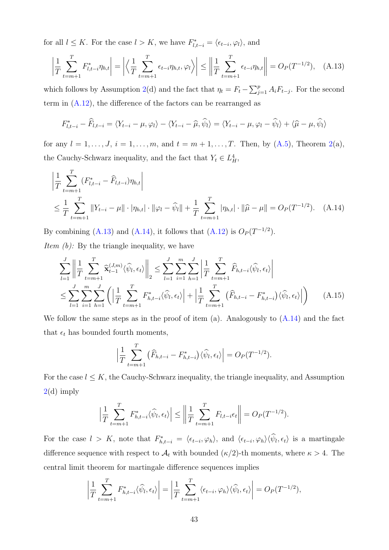for all  $l \leq K$ . For the case  $l > K$ , we have  $F_{l,t-i}^* = \langle \epsilon_{t-i}, \varphi_l \rangle$ , and

<span id="page-42-0"></span>
$$
\left| \frac{1}{T} \sum_{t=m+1}^{T} F_{l,t-i}^{*} \eta_{h,t} \right| = \left| \left\langle \frac{1}{T} \sum_{t=m+1}^{T} \epsilon_{t-i} \eta_{h,t}, \varphi_l \right\rangle \right| \le \left\| \frac{1}{T} \sum_{t=m+1}^{T} \epsilon_{t-i} \eta_{h,t} \right\| = O_P(T^{-1/2}), \quad (A.13)
$$

which follows by Assumption [2\(](#page-7-0)d) and the fact that  $\eta_t = F_t - \sum_{j=1}^p A_i F_{t-j}$ . For the second term in [\(A.12\)](#page-41-0), the difference of the factors can be rearranged as

$$
F_{l,t-i}^* - \widehat{F}_{l,t-i} = \langle Y_{t-i} - \mu, \varphi_l \rangle - \langle Y_{t-i} - \widehat{\mu}, \widehat{\psi}_l \rangle = \langle Y_{t-i} - \mu, \varphi_l - \widehat{\psi}_l \rangle + \langle \widehat{\mu} - \mu, \widehat{\psi}_l \rangle
$$

for any  $l = 1, ..., J$ ,  $i = 1, ..., m$ , and  $t = m + 1, ..., T$ . Then, by  $(A.5)$ , Theorem [2\(](#page-13-0)a), the Cauchy-Schwarz inequality, and the fact that  $Y_t \in L^4_H$ ,

$$
\left| \frac{1}{T} \sum_{t=m+1}^{T} (F_{l,t-i}^{*} - \widehat{F}_{l,t-i}) \eta_{h,t} \right|
$$
\n
$$
\leq \frac{1}{T} \sum_{t=m+1}^{T} \|Y_{t-i} - \mu\| \cdot |\eta_{h,t}| \cdot \|\varphi_l - \widehat{\psi}_l\| + \frac{1}{T} \sum_{t=m+1}^{T} |\eta_{h,t}| \cdot \|\widehat{\mu} - \mu\| = O_P(T^{-1/2}). \quad (A.14)
$$

By combining [\(A.13\)](#page-42-0) and [\(A.14\)](#page-42-1), it follows that [\(A.12\)](#page-41-0) is  $O_P(T^{-1/2})$ .

*Item*  $(b)$ *:* By the triangle inequality, we have

$$
\sum_{l=1}^{J} \left\| \frac{1}{T} \sum_{t=m+1}^{T} \widehat{\mathbf{x}}_{t-1}^{(J,m)} \langle \widehat{\psi}_l, \epsilon_t \rangle \right\|_2 \le \sum_{l=1}^{J} \sum_{i=1}^{m} \sum_{h=1}^{J} \left| \frac{1}{T} \sum_{t=m+1}^{T} \widehat{F}_{h,t-i} \langle \widehat{\psi}_l, \epsilon_t \rangle \right|
$$
\n
$$
\le \sum_{l=1}^{J} \sum_{i=1}^{m} \sum_{h=1}^{J} \left( \left| \frac{1}{T} \sum_{t=m+1}^{T} F_{h,t-i}^* \langle \widehat{\psi}_l, \epsilon_t \rangle \right| + \left| \frac{1}{T} \sum_{t=m+1}^{T} \left( \widehat{F}_{h,t-i} - F_{h,t-i}^* \right) \langle \widehat{\psi}_l, \epsilon_t \rangle \right| \right) \tag{A.15}
$$

We follow the same steps as in the proof of item (a). Analogously to  $(A.14)$  and the fact that  $\epsilon_t$  has bounded fourth moments,

<span id="page-42-2"></span><span id="page-42-1"></span>
$$
\left|\frac{1}{T}\sum_{t=m+1}^T\left(\widehat{F}_{h,t-i} - F_{h,t-i}^*\right)\langle\widehat{\psi}_l,\epsilon_t\rangle\right| = O_P(T^{-1/2}).
$$

For the case  $l \leq K$ , the Cauchy-Schwarz inequality, the triangle inequality, and Assumption  $2(d)$  $2(d)$  imply

$$
\left|\frac{1}{T}\sum_{t=m+1}^T F_{h,t-i}^*\langle \widehat{\psi}_l, \epsilon_t \rangle\right| \le \left\|\frac{1}{T}\sum_{t=m+1}^T F_{l,t-i}\epsilon_t\right\| = O_P(T^{-1/2}).
$$

For the case  $l > K$ , note that  $F_{h,t-i}^* = \langle \epsilon_{t-i}, \varphi_h \rangle$ , and  $\langle \epsilon_{t-i}, \varphi_h \rangle \langle \psi_l, \epsilon_t \rangle$  is a martingale difference sequence with respect to  $\mathcal{A}_t$  with bounded  $(\kappa/2)$ -th moments, where  $\kappa > 4$ . The central limit theorem for martingale difference sequences implies

$$
\left|\frac{1}{T}\sum_{t=m+1}^T F_{h,t-i}^*\langle \widehat{\psi}_l,\epsilon_t\rangle\right| = \left|\frac{1}{T}\sum_{t=m+1}^T \langle \epsilon_{t-i},\varphi_h\rangle \langle \widehat{\psi}_l,\epsilon_t\rangle\right| = O_P(T^{-1/2}),
$$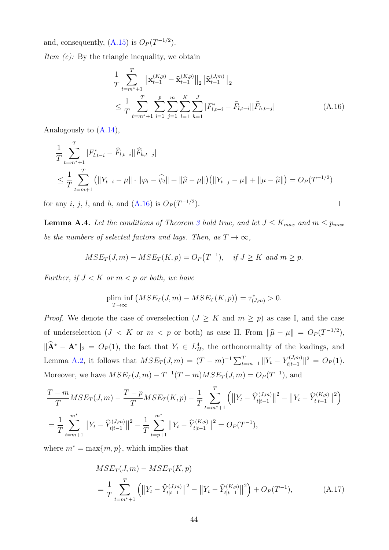and, consequently,  $(A.15)$  is  $O_P(T^{-1/2})$ .

*Item*  $(c)$ *:* By the triangle inequality, we obtain

$$
\frac{1}{T} \sum_{t=m^*+1}^T \left\| \mathbf{x}_{t-1}^{(K,p)} - \widehat{\mathbf{x}}_{t-1}^{(K,p)} \right\|_2 \left\| \widehat{\mathbf{x}}_{t-1}^{(J,m)} \right\|_2
$$
\n
$$
\leq \frac{1}{T} \sum_{t=m^*+1}^T \sum_{i=1}^P \sum_{j=1}^m \sum_{l=1}^K \sum_{h=1}^J |F_{l,t-i}^* - \widehat{F}_{l,t-i}| |\widehat{F}_{h,t-j}| \tag{A.16}
$$

<span id="page-43-0"></span> $\Box$ 

Analogously to [\(A.14\)](#page-42-1),

$$
\frac{1}{T} \sum_{t=m^*+1}^T |F_{l,t-i}^* - \widehat{F}_{l,t-i}| |\widehat{F}_{h,t-j}|
$$
\n
$$
\leq \frac{1}{T} \sum_{t=m+1}^T (||Y_{t-i} - \mu|| \cdot ||\varphi_l - \widehat{\psi}_l|| + ||\widehat{\mu} - \mu||) (||Y_{t-j} - \mu|| + ||\mu - \widehat{\mu}||) = O_P(T^{-1/2})
$$

for any *i*, *j*, *l*, and *h*, and  $(A.16)$  is  $O_P(T^{-1/2})$ .

<span id="page-43-2"></span>**Lemma A.4.** Let the conditions of Theorem [3](#page-15-0) hold true, and let  $J \leq K_{max}$  and  $m \leq p_{max}$ be the numbers of selected factors and lags. Then, as  $T \to \infty$ ,

$$
MSE_T(J,m) - MSE_T(K,p) = O_P(T^{-1}), \quad \text{if } J \ge K \text{ and } m \ge p.
$$

Further, if  $J < K$  or  $m < p$  or both, we have

plim inf 
$$
(MSE_T(J,m) - MSE_T(K,p)) = \tau_{(J,m)}^* > 0
$$
.

*Proof.* We denote the case of overselection  $(J \geq K$  and  $m \geq p)$  as case I, and the case of underselection  $(J < K$  or  $m < p$  or both) as case II. From  $\|\hat{\mu} - \mu\| = O_P(T^{-1/2}),$  $\|\hat{\mathbf{A}}^* - \mathbf{A}^*\|_2 = O_P(1)$ , the fact that  $Y_t \in L_H^4$ , the orthonormality of the loadings, and Lemma [A.2,](#page-36-4) it follows that  $MSE_T(J,m) = (T - m)^{-1} \sum_{t=m+1}^{T} ||Y_t - Y_{t|t-1}^{(J,m)}||$  $\|t^{(J,m)}_{t|t-1}\|^2 = O_P(1).$ Moreover, we have  $MSE_T(J, m) - T^{-1}(T - m)MSE_T(J, m) = O_P(T^{-1}),$  and

$$
\frac{T-m}{T}MSE_T(J,m) - \frac{T-p}{T}MSE_T(K,p) - \frac{1}{T} \sum_{t=m^*+1}^T \left( \left\| Y_t - \widehat{Y}_{t|t-1}^{(J,m)} \right\|^2 - \left\| Y_t - \widehat{Y}_{t|t-1}^{(K,p)} \right\|^2 \right)
$$
\n
$$
= \frac{1}{T} \sum_{t=m+1}^{m^*} \left\| Y_t - \widehat{Y}_{t|t-1}^{(J,m)} \right\|^2 - \frac{1}{T} \sum_{t=p+1}^{m^*} \left\| Y_t - \widehat{Y}_{t|t-1}^{(K,p)} \right\|^2 = O_P(T^{-1}),
$$

where  $m^* = \max\{m, p\}$ , which implies that

<span id="page-43-1"></span>
$$
MSE_T(J,m) - MSE_T(K,p)
$$
  
=  $\frac{1}{T} \sum_{t=m^*+1}^{T} \left( ||Y_t - \widehat{Y}_{t|t-1}^{(J,m)}||^2 - ||Y_t - \widehat{Y}_{t|t-1}^{(K,p)}||^2 \right) + O_P(T^{-1}),$  (A.17)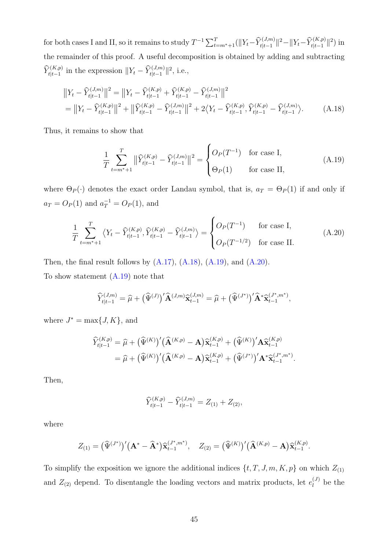for both cases I and II, so it remains to study  $T^{-1} \sum_{t=m^*+1}^{T} (\|Y_t - \widehat{Y}_{t|t-1}^{(J,m)}\|^2 - \|Y_t - \widehat{Y}_{t|t-1}^{(K,p)}\|^2)$  in the remainder of this proof. A useful decomposition is obtained by adding and subtracting  $\widehat{Y}_{t|t-1}^{(K,p)}$  in the expression  $||Y_t - \widehat{Y}_{t|t-1}^{(J,m)}||^2$ , i.e.,

$$
\|Y_t - \widehat{Y}_{t|t-1}^{(J,m)}\|^2 = \|Y_t - \widehat{Y}_{t|t-1}^{(K,p)} + \widehat{Y}_{t|t-1}^{(K,p)} - \widehat{Y}_{t|t-1}^{(J,m)}\|^2
$$
  
= 
$$
\|Y_t - \widehat{Y}_{t|t-1}^{(K,p)}\|^2 + \|\widehat{Y}_{t|t-1}^{(K,p)} - \widehat{Y}_{t|t-1}^{(J,m)}\|^2 + 2\langle Y_t - \widehat{Y}_{t|t-1}^{(K,p)}, \widehat{Y}_{t|t-1}^{(K,p)} - \widehat{Y}_{t|t-1}^{(J,m)}\rangle.
$$
 (A.18)

Thus, it remains to show that

<span id="page-44-2"></span><span id="page-44-1"></span><span id="page-44-0"></span>
$$
\frac{1}{T} \sum_{t=m^*+1}^T \left\| \widehat{Y}_{t|t-1}^{(K,p)} - \widehat{Y}_{t|t-1}^{(J,m)} \right\|^2 = \begin{cases} O_P(T^{-1}) & \text{for case I,} \\ \Theta_P(1) & \text{for case II,} \end{cases}
$$
(A.19)

where  $\Theta_P(\cdot)$  denotes the exact order Landau symbol, that is,  $a_T = \Theta_P(1)$  if and only if  $a_T = O_P(1)$  and  $a_T^{-1} = O_P(1)$ , and

$$
\frac{1}{T} \sum_{t=m^*+1}^T \left\langle Y_t - \widehat{Y}_{t|t-1}^{(K,p)}, \widehat{Y}_{t|t-1}^{(K,p)} - \widehat{Y}_{t|t-1}^{(J,m)} \right\rangle = \begin{cases} O_P(T^{-1}) & \text{for case I,} \\ O_P(T^{-1/2}) & \text{for case II.} \end{cases}
$$
(A.20)

Then, the final result follows by  $(A.17)$ ,  $(A.18)$ ,  $(A.19)$ , and  $(A.20)$ . To show statement [\(A.19\)](#page-44-1) note that

$$
\widehat{Y}_{t|t-1}^{(J,m)} = \widehat{\mu} + \big(\widehat{\Psi}^{(J)}\big)' \widehat{\mathbf{A}}^{(J,m)} \widehat{\mathbf{x}}_{t-1}^{(J,m)} = \widehat{\mu} + \big(\widehat{\Psi}^{(J^*)}\big)' \widehat{\mathbf{A}}^* \widehat{\mathbf{x}}_{t-1}^{(J^*,m^*)},
$$

where  $J^* = \max\{J, K\}$ , and

$$
\begin{split} \widehat{Y}_{t|t-1}^{(K,p)} &= \widehat{\mu} + \big(\widehat{\Psi}^{(K)}\big)' \big(\widehat{\mathbf{A}}^{(K,p)} - \mathbf{A}\big) \widehat{\mathbf{x}}_{t-1}^{(K,p)} + \big(\widehat{\Psi}^{(K)}\big)' \mathbf{A} \widehat{\mathbf{x}}_{t-1}^{(K,p)} \\ &= \widehat{\mu} + \big(\widehat{\Psi}^{(K)}\big)' \big(\widehat{\mathbf{A}}^{(K,p)} - \mathbf{A}\big) \widehat{\mathbf{x}}_{t-1}^{(K,p)} + \big(\widehat{\Psi}^{(J^*)}\big)' \mathbf{A}^* \widehat{\mathbf{x}}_{t-1}^{(J^*,m^*)} .\end{split}
$$

Then,

$$
\widehat{Y}_{t|t-1}^{(K,p)} - \widehat{Y}_{t|t-1}^{(J,m)} = Z_{(1)} + Z_{(2)},
$$

where

$$
Z_{(1)} = (\widehat{\Psi}^{(J^*)})' (\mathbf{A}^* - \widehat{\mathbf{A}}^*) \widehat{\mathbf{x}}_{t-1}^{(J^*,m^*)}, \quad Z_{(2)} = (\widehat{\Psi}^{(K)})' (\widehat{\mathbf{A}}^{(K,p)} - \mathbf{A}) \widehat{\mathbf{x}}_{t-1}^{(K,p)}.
$$

To simplify the exposition we ignore the additional indices  $\{t, T, J, m, K, p\}$  on which  $Z_{(1)}$ and  $Z_{(2)}$  depend. To disentangle the loading vectors and matrix products, let  $e_l^{(J)}$  $l_l^{(J)}$  be the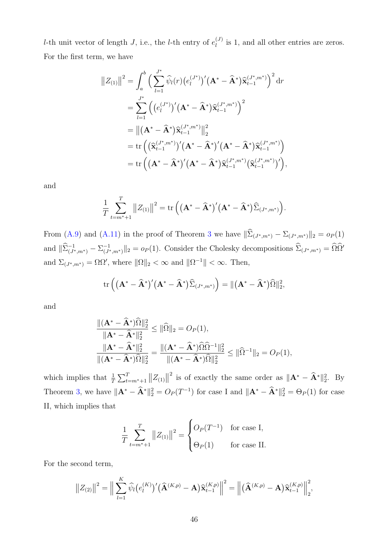*l*-th unit vector of length *J*, i.e., the *l*-th entry of  $e_l^{(J)}$  $\ell_i^{(J)}$  is 1, and all other entries are zeros. For the first term, we have

$$
||Z_{(1)}||^2 = \int_a^b \left(\sum_{l=1}^{J^*} \widehat{\psi}_l(r) (e_l^{(J^*)})' (\mathbf{A}^* - \widehat{\mathbf{A}}^*) \widehat{\mathbf{x}}_{t-1}^{(J^*,m^*)}\right)^2 dr
$$
  
\n
$$
= \sum_{l=1}^{J^*} \left( (e_l^{(J^*)})' (\mathbf{A}^* - \widehat{\mathbf{A}}^*) \widehat{\mathbf{x}}_{t-1}^{(J^*,m^*)} \right)^2
$$
  
\n
$$
= ||(\mathbf{A}^* - \widehat{\mathbf{A}}^*) \widehat{\mathbf{x}}_{t-1}^{(J^*,m^*)} ||_2^2
$$
  
\n
$$
= \text{tr} \left( (\widehat{\mathbf{x}}_{t-1}^{(J^*,m^*)})' (\mathbf{A}^* - \widehat{\mathbf{A}}^*)' (\mathbf{A}^* - \widehat{\mathbf{A}}^*) \widehat{\mathbf{x}}_{t-1}^{(J^*,m^*)} \right)
$$
  
\n
$$
= \text{tr} \left( (\mathbf{A}^* - \widehat{\mathbf{A}}^*)' (\mathbf{A}^* - \widehat{\mathbf{A}}^*) \widehat{\mathbf{x}}_{t-1}^{(J^*,m^*)} (\widehat{\mathbf{x}}_{t-1}^{(J^*,m^*)})' \right),
$$

and

$$
\frac{1}{T} \sum_{t=m^*+1}^T ||Z_{(1)}||^2 = \text{tr}\left( (\mathbf{A}^* - \mathbf{\widehat{A}}^*)'(\mathbf{A}^* - \mathbf{\widehat{A}}^*)\widehat{\Sigma}_{(J^*,m^*)}\right).
$$

From [\(A.9\)](#page-39-1) and [\(A.11\)](#page-39-2) in the proof of Theorem [3](#page-15-0) we have  $\|\widehat{\Sigma}_{(J^*,m^*)} - \Sigma_{(J^*,m^*)}\|_2 = o_P(1)$ and  $\|\widehat{\Sigma}_{(J^*,m^*)}^{-1} - \Sigma_{(J^*}^{-1})\|$  $\sum_{(J^*,m^*)}^{-1} \|_2 = o_P(1)$ . Consider the Cholesky decompositions  $\hat{\Sigma}_{(J^*,m^*)} = \hat{\Omega}\hat{\Omega}^*$ and  $\Sigma_{(J^*,m^*)} = \Omega \Omega'$ , where  $\|\Omega\|_2 < \infty$  and  $\|\Omega^{-1}\| < \infty$ . Then,

$$
\mathrm{tr}\left(\left(\mathbf{A}^*-\widehat{\mathbf{A}}^*\right)'(\mathbf{A}^*-\widehat{\mathbf{A}}^*)\widehat{\Sigma}_{(J^*,m^*)}\right)=\|(\mathbf{A}^*-\widehat{\mathbf{A}}^*)\widehat{\Omega}\|_2^2,
$$

and

$$
\frac{\|(\mathbf{A}^* - \hat{\mathbf{A}}^*)\hat{\Omega}\|_2^2}{\|\mathbf{A}^* - \hat{\mathbf{A}}^*\|_2^2} \le \|\hat{\Omega}\|_2 = O_P(1),
$$
  

$$
\frac{\|\mathbf{A}^* - \hat{\mathbf{A}}^*\|_2^2}{\|(\mathbf{A}^* - \hat{\mathbf{A}}^*)\hat{\Omega}\|_2^2} = \frac{\|(\mathbf{A}^* - \hat{\mathbf{A}}^*)\hat{\Omega}\hat{\Omega}^{-1}\|_2^2}{\|(\mathbf{A}^* - \hat{\mathbf{A}}^*)\hat{\Omega}\|_2^2} \le \|\hat{\Omega}^{-1}\|_2 = O_P(1),
$$

which implies that  $\frac{1}{T} \sum_{t=m^*+1}^{T} ||Z_{(1)}||$ <sup>2</sup> is of exactly the same order as  $\|\mathbf{A}^* - \mathbf{\hat{A}}^*\|_2^2$ . By Theorem [3,](#page-15-0) we have  $\|\mathbf{A}^* - \mathbf{A}^*\|_2^2 = O_P(T^{-1})$  for case I and  $\|\mathbf{A}^* - \mathbf{A}^*\|_2^2 = \Theta_P(1)$  for case II, which implies that

$$
\frac{1}{T} \sum_{t=m^*+1}^T ||Z_{(1)}||^2 = \begin{cases} O_P(T^{-1}) & \text{for case I,} \\ \Theta_P(1) & \text{for case II.} \end{cases}
$$

For the second term,

$$
||Z_{(2)}||^2 = \Big\|\sum_{l=1}^K \widehat{\psi}_l (e_l^{(K)})' (\widehat{\mathbf{A}}^{(K,p)} - \mathbf{A}) \widehat{\mathbf{x}}_{t-1}^{(K,p)}\Big\|^2 = \Big\|\big(\widehat{\mathbf{A}}^{(K,p)} - \mathbf{A}\big) \widehat{\mathbf{x}}_{t-1}^{(K,p)}\Big\|_2^2,
$$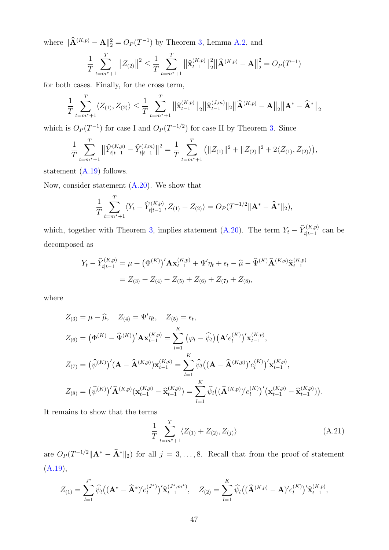where  $\|\hat{\mathbf{A}}^{(K,p)} - \mathbf{A}\|_2^2 = O_P(T^{-1})$  by Theorem [3,](#page-15-0) Lemma [A.2,](#page-36-4) and

$$
\frac{1}{T} \sum_{t=m^*+1}^T ||Z_{(2)}||^2 \le \frac{1}{T} \sum_{t=m^*+1}^T ||\widehat{\mathbf{x}}_{t-1}^{(K,p)}||_2^2 ||\widehat{\mathbf{A}}^{(K,p)} - \mathbf{A}||_2^2 = O_P(T^{-1})
$$

for both cases. Finally, for the cross term,

$$
\frac{1}{T} \sum_{t=m^*+1}^T \langle Z_{(1)}, Z_{(2)} \rangle \le \frac{1}{T} \sum_{t=m^*+1}^T \left\| \widehat{\mathbf{x}}_{t-1}^{(K,p)} \right\|_2 \left\| \widehat{\mathbf{x}}_{t-1}^{(J,m)} \right\|_2 \left\| \widehat{\mathbf{A}}^{(K,p)} - \mathbf{A} \right\|_2 \left\| \mathbf{A}^* - \widehat{\mathbf{A}}^* \right\|_2
$$

which is  $O_P(T^{-1})$  for case I and  $O_P(T^{-1/2})$  for case II by Theorem [3.](#page-15-0) Since

$$
\frac{1}{T} \sum_{t=m^*+1}^T \left\| \widehat{Y}_{t|t-1}^{(K,p)} - \widehat{Y}_{t|t-1}^{(J,m)} \right\|^2 = \frac{1}{T} \sum_{t=m^*+1}^T \left( \|Z_{(1)}\|^2 + \|Z_{(2)}\|^2 + 2 \langle Z_{(1)}, Z_{(2)} \rangle \right),
$$

statement [\(A.19\)](#page-44-1) follows.

Now, consider statement [\(A.20\)](#page-44-2). We show that

$$
\frac{1}{T} \sum_{t=m^*+1}^T \langle Y_t - \widehat{Y}_{t|t-1}^{(K,p)}, Z_{(1)} + Z_{(2)} \rangle = O_P(T^{-1/2} || \mathbf{A}^* - \widehat{\mathbf{A}}^* ||_2),
$$

which, together with Theorem [3,](#page-15-0) implies statement [\(A.20\)](#page-44-2). The term  $Y_t - \widehat{Y}_{t|t-1}^{(K,p)}$  can be decomposed as

$$
Y_t - \widehat{Y}_{t|t-1}^{(K,p)} = \mu + (\Phi^{(K)})' \mathbf{A} \mathbf{x}_{t-1}^{(K,p)} + \Psi'\eta_t + \epsilon_t - \widehat{\mu} - \widehat{\Psi}^{(K)} \widehat{\mathbf{A}}^{(K,p)} \widehat{\mathbf{x}}_{t-1}^{(K,p)}
$$
  
= Z<sub>(3)</sub> + Z<sub>(4)</sub> + Z<sub>(5)</sub> + Z<sub>(6)</sub> + Z<sub>(7)</sub> + Z<sub>(8)</sub>,

where

$$
Z_{(3)} = \mu - \widehat{\mu}, \quad Z_{(4)} = \Psi'\eta_t, \quad Z_{(5)} = \epsilon_t,
$$
  
\n
$$
Z_{(6)} = (\Phi^{(K)} - \widehat{\Psi}^{(K)})' \mathbf{A} \mathbf{x}_{t-1}^{(K,p)} = \sum_{l=1}^K (\varphi_l - \widehat{\psi}_l) (\mathbf{A}' e_l^{(K)})' \mathbf{x}_{t-1}^{(K,p)},
$$
  
\n
$$
Z_{(7)} = (\widehat{\psi}^{(K)})' (\mathbf{A} - \widehat{\mathbf{A}}^{(K,p)}) \mathbf{x}_{t-1}^{(K,p)} = \sum_{l=1}^K \widehat{\psi}_l ((\mathbf{A} - \widehat{\mathbf{A}}^{(K,p)})' e_l^{(K)})' \mathbf{x}_{t-1}^{(K,p)},
$$
  
\n
$$
Z_{(8)} = (\widehat{\psi}^{(K)})' \widehat{\mathbf{A}}^{(K,p)} (\mathbf{x}_{t-1}^{(K,p)} - \widehat{\mathbf{x}}_{t-1}^{(K,p)}) = \sum_{l=1}^K \widehat{\psi}_l ((\widehat{\mathbf{A}}^{(K,p)})' e_l^{(K)})' (\mathbf{x}_{t-1}^{(K,p)} - \widehat{\mathbf{x}}_{t-1}^{(K,p)})).
$$

It remains to show that the terms

<span id="page-46-0"></span>
$$
\frac{1}{T} \sum_{t=m^*+1}^{T} \langle Z_{(1)} + Z_{(2)}, Z_{(j)} \rangle \tag{A.21}
$$

are  $O_P(T^{-1/2} \|\mathbf{A}^* - \mathbf{\hat{A}}^*\|_2)$  for all  $j = 3, ..., 8$ . Recall that from the proof of statement  $(A.19),$  $(A.19),$ 

$$
Z_{(1)} = \sum_{l=1}^{J^*} \widehat{\psi}_l \big( (\mathbf{A}^* - \widehat{\mathbf{A}}^*)' e_l^{(J^*)} \big)^{\prime} \widehat{\mathbf{x}}_{t-1}^{(J^*,m^*)}, \quad Z_{(2)} = \sum_{l=1}^{K} \widehat{\psi}_l \big( (\widehat{\mathbf{A}}^{(K,p)} - \mathbf{A})' e_l^{(K)} \big)^{\prime} \widehat{\mathbf{x}}_{t-1}^{(K,p)},
$$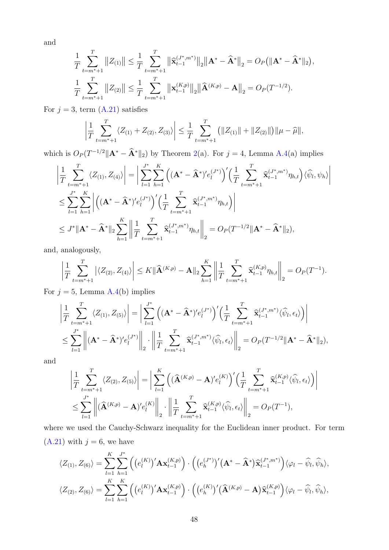and

$$
\frac{1}{T} \sum_{t=m^*+1}^T ||Z_{(1)}|| \leq \frac{1}{T} \sum_{t=m^*+1}^T ||\widehat{\mathbf{x}}_{t-1}^{(J^*,m^*)}||_2 ||\mathbf{A}^* - \widehat{\mathbf{A}}^*||_2 = O_P(||\mathbf{A}^* - \widehat{\mathbf{A}}^*||_2),
$$
  

$$
\frac{1}{T} \sum_{t=m^*+1}^T ||Z_{(2)}|| \leq \frac{1}{T} \sum_{t=m^*+1}^T ||\mathbf{x}_{t-1}^{(K,p)}||_2 ||\widehat{\mathbf{A}}^{(K,p)} - \mathbf{A}||_2 = O_P(T^{-1/2}).
$$

For  $j = 3$ , term  $(A.21)$  satisfies

$$
\left|\frac{1}{T}\sum_{t=m^*+1}^T \langle Z_{(1)} + Z_{(2)}, Z_{(3)} \rangle\right| \leq \frac{1}{T}\sum_{t=m^*+1}^T \left(\|Z_{(1)}\| + \|Z_{(2)}\|\right) \|\mu - \widehat{\mu}\|,
$$

which is  $O_P(T^{-1/2} \|\mathbf{A}^* - \mathbf{\hat{A}}^*\|_2)$  by Theorem [2\(](#page-13-0)a). For  $j = 4$ , Lemma [A.4\(](#page-43-2)a) implies

$$
\left| \frac{1}{T} \sum_{t=m^*+1}^T \langle Z_{(1)}, Z_{(4)} \rangle \right| = \left| \sum_{l=1}^{J^*} \sum_{h=1}^K \left( (\mathbf{A}^* - \widehat{\mathbf{A}}^*)' e_l^{(J^*)} \right)' \left( \frac{1}{T} \sum_{t=m^*+1}^T \widehat{\mathbf{x}}_{t-1}^{(J^*,m^*)} \eta_{h,t} \right) \langle \widehat{\psi}_l, \psi_h \rangle \right|
$$
  

$$
\leq \sum_{l=1}^{J^*} \sum_{h=1}^K \left| \left( (\mathbf{A}^* - \widehat{\mathbf{A}}^*)' e_l^{(J^*)} \right)' \left( \frac{1}{T} \sum_{t=m^*+1}^T \widehat{\mathbf{x}}_{t-1}^{(J^*,m^*)} \eta_{h,t} \right) \right|
$$
  

$$
\leq J^* \| \mathbf{A}^* - \widehat{\mathbf{A}}^* \|_2 \sum_{h=1}^K \left\| \frac{1}{T} \sum_{t=m^*+1}^T \widehat{\mathbf{x}}_{t-1}^{(J^*,m^*)} \eta_{h,t} \right\|_2 = O_P(T^{-1/2} \| \mathbf{A}^* - \widehat{\mathbf{A}}^* \|_2),
$$

and, analogously,

$$
\left|\frac{1}{T}\sum_{t=m^*+1}^T \left| \langle Z_{(2)}, Z_{(4)} \rangle \right| \leq K \|\widehat{\mathbf{A}}^{(K,p)} - \mathbf{A}\|_2 \sum_{h=1}^K \left\| \frac{1}{T}\sum_{t=m^*+1}^T \widehat{\mathbf{x}}_{t-1}^{(K,p)} \eta_{h,t} \right\|_2 = O_P(T^{-1}).
$$

For  $j = 5$ , Lemma [A.4\(](#page-43-2)b) implies

$$
\left| \frac{1}{T} \sum_{t=m^*+1}^{T} \langle Z_{(1)}, Z_{(5)} \rangle \right| = \left| \sum_{l=1}^{J^*} \left( (\mathbf{A}^* - \widehat{\mathbf{A}}^*)' e_l^{(J^*)} \right)' \left( \frac{1}{T} \sum_{t=m^*+1}^{T} \widehat{\mathbf{x}}_{t-1}^{(J^*,m^*)} \langle \widehat{\psi}_l, \epsilon_t \rangle \right) \right|
$$
  

$$
\leq \sum_{l=1}^{J^*} \left\| (\mathbf{A}^* - \widehat{\mathbf{A}}^*)' e_l^{(J^*)} \right\|_2 \cdot \left\| \frac{1}{T} \sum_{t=m^*+1}^{T} \widehat{\mathbf{x}}_{t-1}^{(J^*,m^*)} \langle \widehat{\psi}_l, \epsilon_t \rangle \right\|_2 = O_P(T^{-1/2} \|\mathbf{A}^* - \widehat{\mathbf{A}}^*\|_2),
$$

and

$$
\left| \frac{1}{T} \sum_{t=m^*+1}^{T} \langle Z_{(2)}, Z_{(5)} \rangle \right| = \left| \sum_{l=1}^{K} \left( (\widehat{\mathbf{A}}^{(K,p)} - \mathbf{A})' e_l^{(K)} \right)' \left( \frac{1}{T} \sum_{t=m^*+1}^{T} \widehat{\mathbf{x}}_{t-1}^{(K,p)} \langle \widehat{\psi}_l, \epsilon_t \rangle \right) \right|
$$
  

$$
\leq \sum_{l=1}^{J^*} \left\| (\widehat{\mathbf{A}}^{(K,p)} - \mathbf{A})' e_l^{(K)} \right\|_2 \cdot \left\| \frac{1}{T} \sum_{t=m^*+1}^{T} \widehat{\mathbf{x}}_{t-1}^{(K,p)} \langle \widehat{\psi}_l, \epsilon_t \rangle \right\|_2 = O_P(T^{-1}),
$$

where we used the Cauchy-Schwarz inequality for the Euclidean inner product. For term  $(A.21)$  with  $j = 6$ , we have

$$
\langle Z_{(1)}, Z_{(6)} \rangle = \sum_{l=1}^{K} \sum_{h=1}^{J^*} \left( \left( e_l^{(K)} \right)' \mathbf{A} \mathbf{x}_{t-1}^{(K,p)} \right) \cdot \left( \left( e_h^{(J^*)} \right)' (\mathbf{A}^* - \mathbf{\hat{A}}^*) \mathbf{\hat{x}}_{t-1}^{(J^*, m^*)} \right) \langle \varphi_l - \widehat{\psi}_l, \widehat{\psi}_h \rangle,
$$
  

$$
\langle Z_{(2)}, Z_{(6)} \rangle = \sum_{l=1}^{K} \sum_{h=1}^{K} \left( \left( e_l^{(K)} \right)' \mathbf{A} \mathbf{x}_{t-1}^{(K,p)} \right) \cdot \left( \left( e_h^{(K)} \right)' (\mathbf{\hat{A}}^{(K,p)} - \mathbf{A}) \mathbf{\hat{x}}_{t-1}^{(K,p)} \right) \langle \varphi_l - \widehat{\psi}_l, \widehat{\psi}_h \rangle,
$$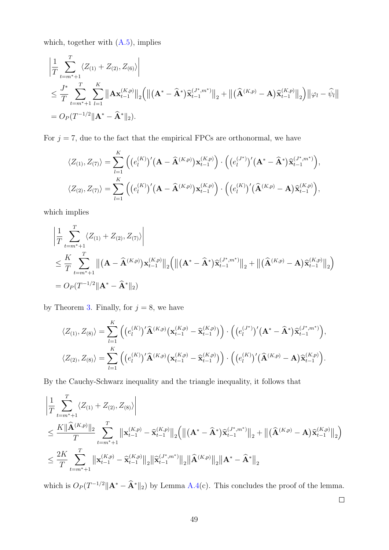which, together with  $(A.5)$ , implies

$$
\left| \frac{1}{T} \sum_{t=m^*+1}^{T} \langle Z_{(1)} + Z_{(2)}, Z_{(6)} \rangle \right|
$$
\n
$$
\leq \frac{J^*}{T} \sum_{t=m^*+1}^{T} \sum_{l=1}^{K} \left\| \mathbf{A} \mathbf{x}_{t-1}^{(K,p)} \right\|_2 \left( \left\| (\mathbf{A}^* - \widehat{\mathbf{A}}^*) \widehat{\mathbf{x}}_{t-1}^{(J^*,m^*)} \right\|_2 + \left\| (\widehat{\mathbf{A}}^{(K,p)} - \mathbf{A}) \widehat{\mathbf{x}}_{t-1}^{(K,p)} \right\|_2 \right) \left\| \varphi_l - \widehat{\psi}_l \right\|
$$
\n
$$
= O_P(T^{-1/2} \|\mathbf{A}^* - \widehat{\mathbf{A}}^* \|_2).
$$

For  $j = 7$ , due to the fact that the empirical FPCs are orthonormal, we have

$$
\langle Z_{(1)}, Z_{(7)} \rangle = \sum_{l=1}^{K} \left( (e_l^{(K)})' (\mathbf{A} - \widehat{\mathbf{A}}^{(K,p)}) \mathbf{x}_{t-1}^{(K,p)}) \cdot \left( (e_l^{(J^*)})' (\mathbf{A}^* - \widehat{\mathbf{A}}^*) \widehat{\mathbf{x}}_{t-1}^{(J^*,m^*)} \right), \n\langle Z_{(2)}, Z_{(7)} \rangle = \sum_{l=1}^{K} \left( (e_l^{(K)})' (\mathbf{A} - \widehat{\mathbf{A}}^{(K,p)}) \mathbf{x}_{t-1}^{(K,p)}) \cdot \left( (e_l^{(K)})' (\widehat{\mathbf{A}}^{(K,p)} - \mathbf{A}) \widehat{\mathbf{x}}_{t-1}^{(K,p)} \right),
$$

which implies

$$
\left| \frac{1}{T} \sum_{t=m^*+1}^{T} \langle Z_{(1)} + Z_{(2)}, Z_{(7)} \rangle \right|
$$
\n
$$
\leq \frac{K}{T} \sum_{t=m^*+1}^{T} \left\| (\mathbf{A} - \mathbf{\hat{A}}^{(K,p)}) \mathbf{x}_{t-1}^{(K,p)} \right\|_{2} \left( \left\| (\mathbf{A}^* - \mathbf{\hat{A}}^*) \mathbf{\hat{x}}_{t-1}^{(J^*,m^*)} \right\|_{2} + \left\| (\mathbf{\hat{A}}^{(K,p)} - \mathbf{A}) \mathbf{\hat{x}}_{t-1}^{(K,p)} \right\|_{2} \right)
$$
\n
$$
= O_P(T^{-1/2} \|\mathbf{A}^* - \mathbf{\hat{A}}^*\|_{2})
$$

by Theorem [3.](#page-15-0) Finally, for  $j = 8$ , we have

$$
\langle Z_{(1)}, Z_{(8)} \rangle = \sum_{l=1}^{K} \left( \left( e_l^{(K)} \right)^{\prime} \widehat{\mathbf{A}}^{(K, p)} \left( \mathbf{x}_{t-1}^{(K, p)} - \widehat{\mathbf{x}}_{t-1}^{(K, p)} \right) \right) \cdot \left( \left( e_l^{(J^*)} \right)^{\prime} \left( \mathbf{A}^* - \widehat{\mathbf{A}}^* \right) \widehat{\mathbf{x}}_{t-1}^{(J^*, m^*)} \right),
$$
  

$$
\langle Z_{(2)}, Z_{(8)} \rangle = \sum_{l=1}^{K} \left( \left( e_l^{(K)} \right)^{\prime} \widehat{\mathbf{A}}^{(K, p)} \left( \mathbf{x}_{t-1}^{(K, p)} - \widehat{\mathbf{x}}_{t-1}^{(K, p)} \right) \right) \cdot \left( \left( e_l^{(K)} \right)^{\prime} \left( \widehat{\mathbf{A}}^{(K, p)} - \mathbf{A} \right) \widehat{\mathbf{x}}_{t-1}^{(K, p)} \right).
$$

By the Cauchy-Schwarz inequality and the triangle inequality, it follows that

$$
\begin{aligned} &\left|\frac{1}{T}\sum_{t=m^*+1}^T\langle Z_{(1)}+Z_{(2)},Z_{(8)}\rangle\right|\\ &\leq \frac{K\|\widehat{\mathbf{A}}^{(K,p)}\|_2}{T}\sum_{t=m^*+1}^T\left\|\mathbf{x}_{t-1}^{(K,p)}-\widehat{\mathbf{x}}_{t-1}^{(K,p)}\right\|_2\Big(\left\|\left(\mathbf{A}^*-\widehat{\mathbf{A}}^*\right)\widehat{\mathbf{x}}_{t-1}^{(J^*,m^*)}\right\|_2+\left\|\left(\widehat{\mathbf{A}}^{(K,p)}-\mathbf{A}\right)\widehat{\mathbf{x}}_{t-1}^{(K,p)}\right\|_2\Big)\\ &\leq \frac{2K}{T}\sum_{t=m^*+1}^T\left\|\mathbf{x}_{t-1}^{(K,p)}-\widehat{\mathbf{x}}_{t-1}^{(K,p)}\right\|_2\left\|\widehat{\mathbf{x}}_{t-1}^{(J^*,m^*)}\right\|_2\left\|\widehat{\mathbf{A}}^{(K,p)}\right\|_2\left\|\mathbf{A}^*-\widehat{\mathbf{A}}^*\right\|_2\end{aligned}
$$

which is  $O_P(T^{-1/2} \|\mathbf{A}^* - \mathbf{\hat{A}}^*\|_2)$  by Lemma [A.4\(](#page-43-2)c). This concludes the proof of the lemma.

 $\Box$